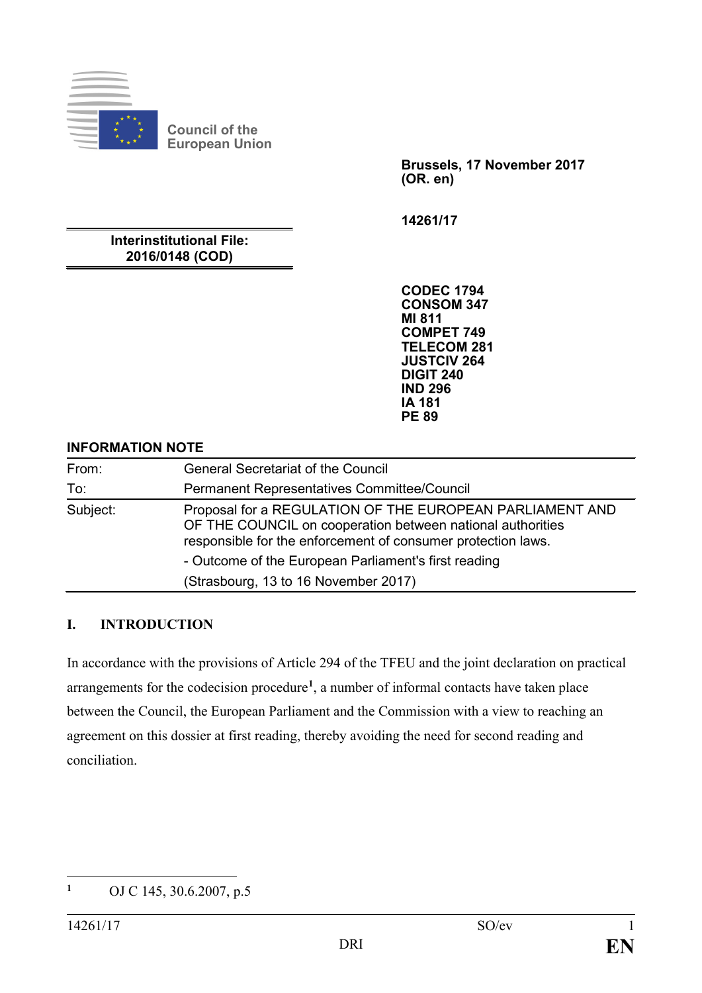

**Council of the European Union**

> **Brussels, 17 November 2017 (OR. en)**

**14261/17**

**Interinstitutional File: 2016/0148 (COD)**

> **CODEC 1794 CONSOM 347 MI 811 COMPET 749 TELECOM 281 JUSTCIV 264 DIGIT 240 IND 296 IA 181 PE 89**

#### **INFORMATION NOTE**

| From:    | <b>General Secretariat of the Council</b>                                                                                                                                              |
|----------|----------------------------------------------------------------------------------------------------------------------------------------------------------------------------------------|
| To:      | Permanent Representatives Committee/Council                                                                                                                                            |
| Subject: | Proposal for a REGULATION OF THE EUROPEAN PARLIAMENT AND<br>OF THE COUNCIL on cooperation between national authorities<br>responsible for the enforcement of consumer protection laws. |
|          | - Outcome of the European Parliament's first reading                                                                                                                                   |
|          | (Strasbourg, 13 to 16 November 2017)                                                                                                                                                   |

#### **I. INTRODUCTION**

In accordance with the provisions of Article 294 of the TFEU and the joint declaration on practical arrangements for the codecision procedure**[1](#page-0-0)**, a number of informal contacts have taken place between the Council, the European Parliament and the Commission with a view to reaching an agreement on this dossier at first reading, thereby avoiding the need for second reading and conciliation.

<span id="page-0-0"></span> $\mathbf{1}$ **<sup>1</sup>** OJ C 145, 30.6.2007, p.5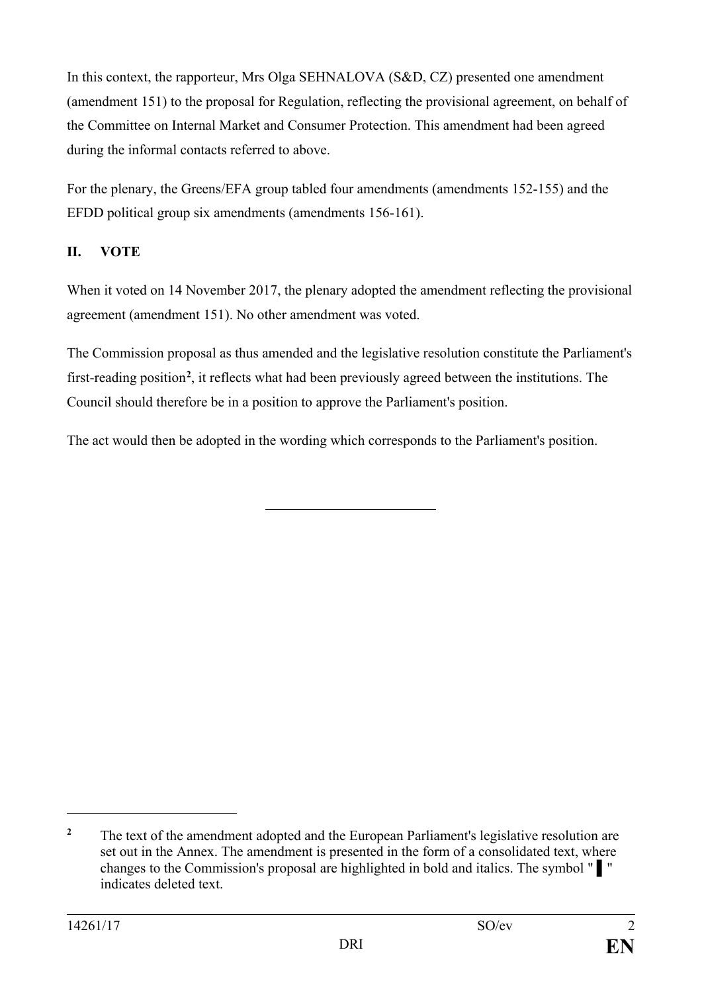In this context, the rapporteur, Mrs Olga SEHNALOVA (S&D, CZ) presented one amendment (amendment 151) to the proposal for Regulation, reflecting the provisional agreement, on behalf of the Committee on Internal Market and Consumer Protection. This amendment had been agreed during the informal contacts referred to above.

For the plenary, the Greens/EFA group tabled four amendments (amendments 152-155) and the EFDD political group six amendments (amendments 156-161).

# **II. VOTE**

When it voted on 14 November 2017, the plenary adopted the amendment reflecting the provisional agreement (amendment 151). No other amendment was voted.

The Commission proposal as thus amended and the legislative resolution constitute the Parliament's first-reading position**[2](#page-1-0)** , it reflects what had been previously agreed between the institutions. The Council should therefore be in a position to approve the Parliament's position.

The act would then be adopted in the wording which corresponds to the Parliament's position.

 $\overline{a}$ 

<span id="page-1-0"></span><sup>&</sup>lt;sup>2</sup> The text of the amendment adopted and the European Parliament's legislative resolution are set out in the Annex. The amendment is presented in the form of a consolidated text, where changes to the Commission's proposal are highlighted in bold and italics. The symbol " ▌" indicates deleted text.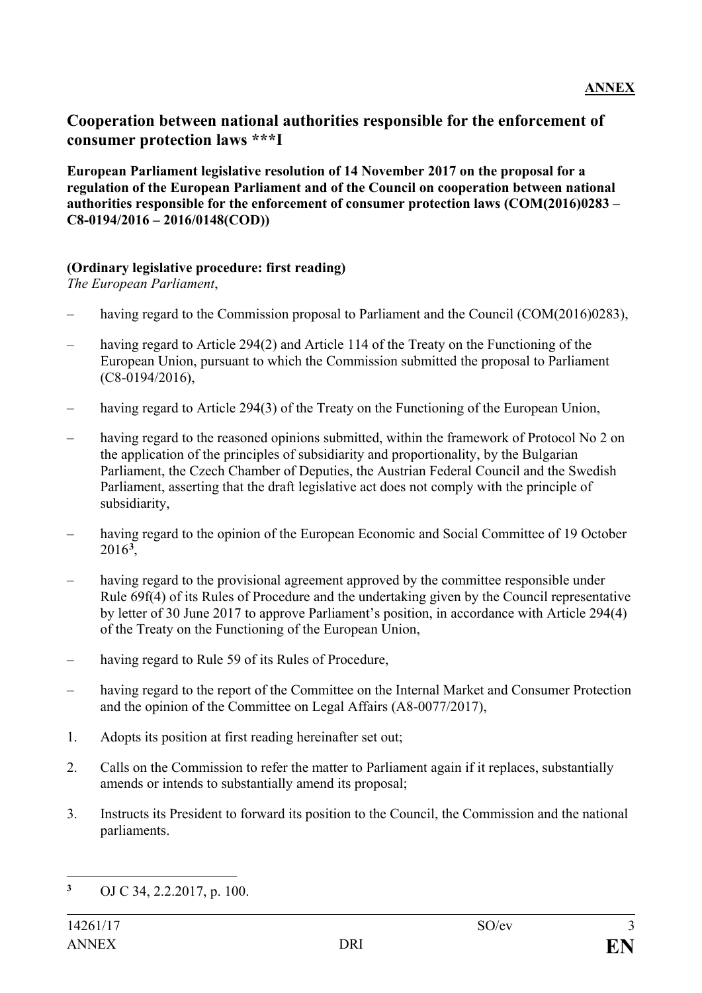# **Cooperation between national authorities responsible for the enforcement of consumer protection laws \*\*\*I**

**European Parliament legislative resolution of 14 November 2017 on the proposal for a regulation of the European Parliament and of the Council on cooperation between national authorities responsible for the enforcement of consumer protection laws (COM(2016)0283 – C8-0194/2016 – 2016/0148(COD))**

#### **(Ordinary legislative procedure: first reading)**

*The European Parliament*,

- having regard to the Commission proposal to Parliament and the Council (COM(2016)0283),
- having regard to Article 294(2) and Article 114 of the Treaty on the Functioning of the European Union, pursuant to which the Commission submitted the proposal to Parliament (C8-0194/2016),
- having regard to Article 294(3) of the Treaty on the Functioning of the European Union,
- having regard to the reasoned opinions submitted, within the framework of Protocol No 2 on the application of the principles of subsidiarity and proportionality, by the Bulgarian Parliament, the Czech Chamber of Deputies, the Austrian Federal Council and the Swedish Parliament, asserting that the draft legislative act does not comply with the principle of subsidiarity,
- having regard to the opinion of the European Economic and Social Committee of 19 October 2016**[3](#page-2-0)**,
- having regard to the provisional agreement approved by the committee responsible under Rule 69f(4) of its Rules of Procedure and the undertaking given by the Council representative by letter of 30 June 2017 to approve Parliament's position, in accordance with Article 294(4) of the Treaty on the Functioning of the European Union,
- having regard to Rule 59 of its Rules of Procedure,
- having regard to the report of the Committee on the Internal Market and Consumer Protection and the opinion of the Committee on Legal Affairs (A8-0077/2017),
- 1. Adopts its position at first reading hereinafter set out;
- 2. Calls on the Commission to refer the matter to Parliament again if it replaces, substantially amends or intends to substantially amend its proposal;
- 3. Instructs its President to forward its position to the Council, the Commission and the national parliaments.

<span id="page-2-0"></span> $\overline{\mathbf{3}}$ **<sup>3</sup>** OJ C 34, 2.2.2017, p. 100.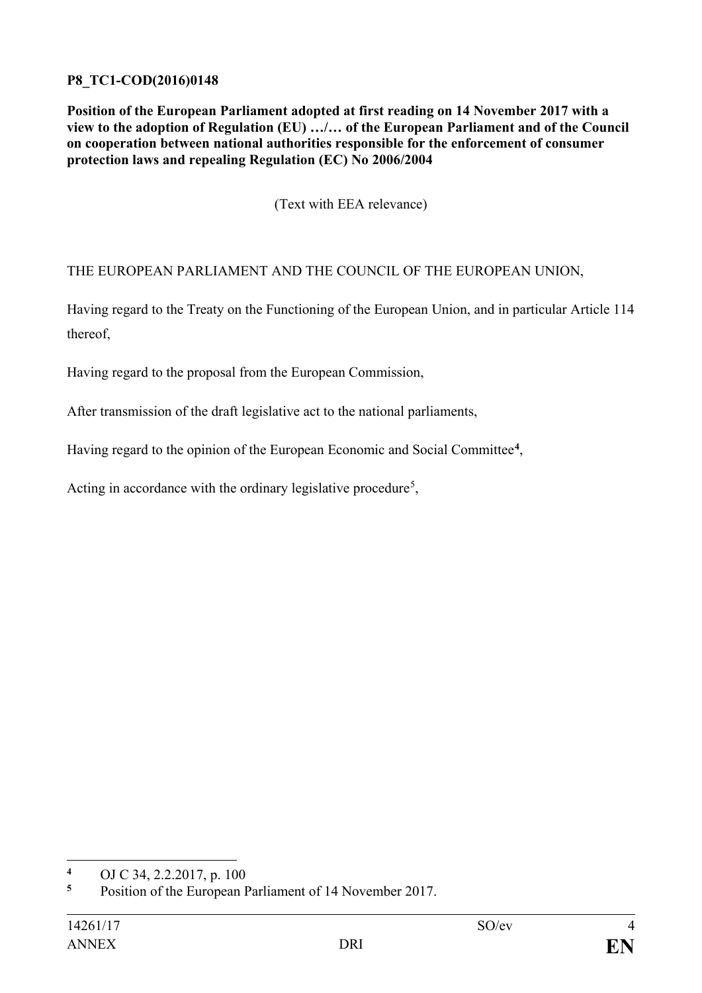### **P8\_TC1-COD(2016)0148**

**Position of the European Parliament adopted at first reading on 14 November 2017 with a view to the adoption of Regulation (EU) …/… of the European Parliament and of the Council on cooperation between national authorities responsible for the enforcement of consumer protection laws and repealing Regulation (EC) No 2006/2004**

(Text with EEA relevance)

THE EUROPEAN PARLIAMENT AND THE COUNCIL OF THE EUROPEAN UNION,

Having regard to the Treaty on the Functioning of the European Union, and in particular Article 114 thereof,

Having regard to the proposal from the European Commission,

After transmission of the draft legislative act to the national parliaments,

Having regard to the opinion of the European Economic and Social Committee**[4](#page-3-0)**,

Acting in accordance with the ordinary legislative procedure<sup>[5](#page-3-1)</sup>,

<span id="page-3-0"></span> $\overline{\mathbf{4}}$ **<sup>4</sup>** OJ C 34, 2.2.2017, p. 100

<span id="page-3-1"></span>**<sup>5</sup>** Position of the European Parliament of 14 November 2017.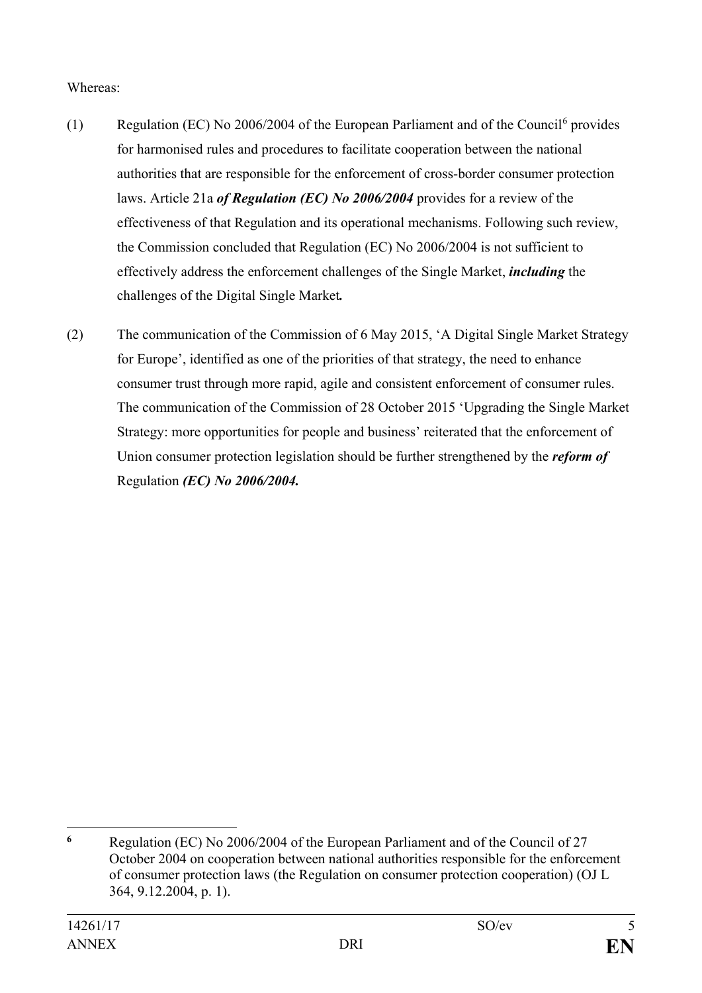Whereas:

- (1) Regulation (EC) No 200[6](#page-4-0)/2004 of the European Parliament and of the Council <sup>6</sup> provides for harmonised rules and procedures to facilitate cooperation between the national authorities that are responsible for the enforcement of cross-border consumer protection laws. Article 21a *of Regulation (EC) No 2006/2004* provides for a review of the effectiveness of that Regulation and its operational mechanisms. Following such review, the Commission concluded that Regulation (EC) No 2006/2004 is not sufficient to effectively address the enforcement challenges of the Single Market, *including* the challenges of the Digital Single Market*.*
- (2) The communication of the Commission of 6 May 2015, 'A Digital Single Market Strategy for Europe', identified as one of the priorities of that strategy, the need to enhance consumer trust through more rapid, agile and consistent enforcement of consumer rules. The communication of the Commission of 28 October 2015 'Upgrading the Single Market Strategy: more opportunities for people and business' reiterated that the enforcement of Union consumer protection legislation should be further strengthened by the *reform of*  Regulation *(EC) No 2006/2004.*

<span id="page-4-0"></span> $\overline{a}$ **<sup>6</sup>** Regulation (EC) No 2006/2004 of the European Parliament and of the Council of 27 October 2004 on cooperation between national authorities responsible for the enforcement of consumer protection laws (the Regulation on consumer protection cooperation) (OJ L 364, 9.12.2004, p. 1).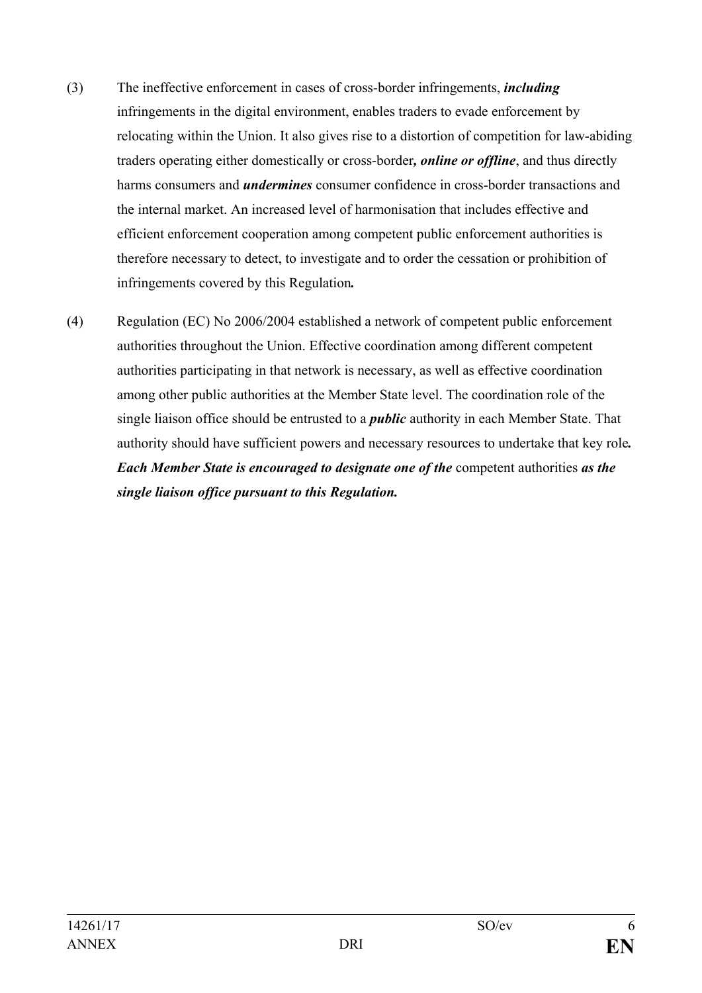- (3) The ineffective enforcement in cases of cross-border infringements, *including* infringements in the digital environment, enables traders to evade enforcement by relocating within the Union. It also gives rise to a distortion of competition for law-abiding traders operating either domestically or cross-border*, online or offline*, and thus directly harms consumers and *undermines* consumer confidence in cross-border transactions and the internal market. An increased level of harmonisation that includes effective and efficient enforcement cooperation among competent public enforcement authorities is therefore necessary to detect, to investigate and to order the cessation or prohibition of infringements covered by this Regulation*.*
- (4) Regulation (EC) No 2006/2004 established a network of competent public enforcement authorities throughout the Union. Effective coordination among different competent authorities participating in that network is necessary, as well as effective coordination among other public authorities at the Member State level. The coordination role of the single liaison office should be entrusted to a *public* authority in each Member State. That authority should have sufficient powers and necessary resources to undertake that key role*. Each Member State is encouraged to designate one of the* competent authorities *as the single liaison office pursuant to this Regulation.*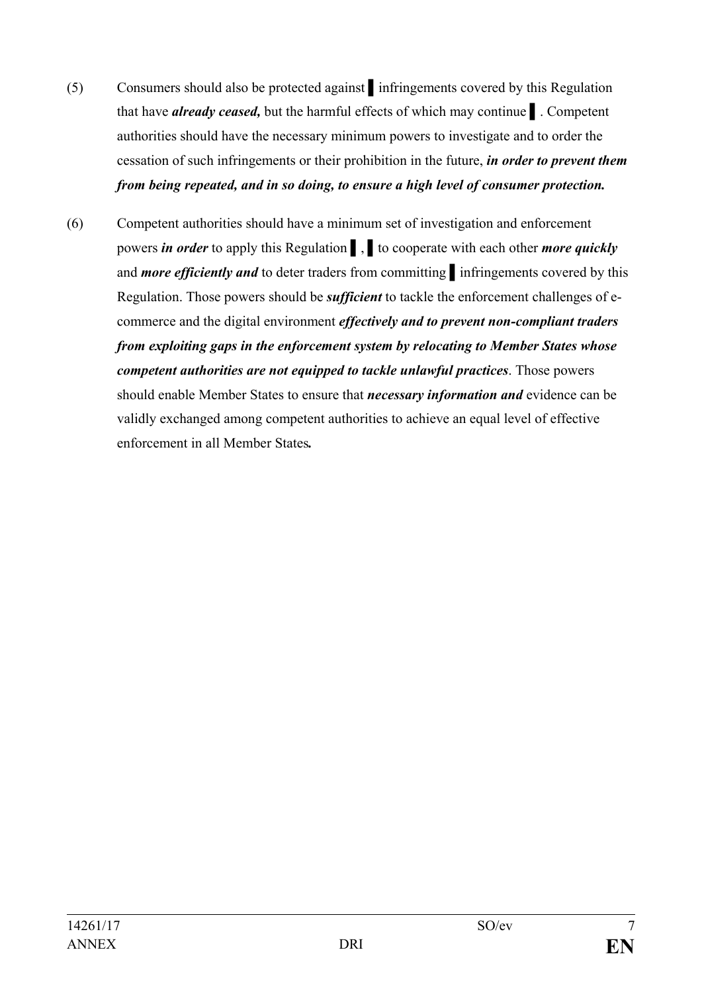- (5) Consumers should also be protected against ▌infringements covered by this Regulation that have *already ceased,* but the harmful effects of which may continue ▌. Competent authorities should have the necessary minimum powers to investigate and to order the cessation of such infringements or their prohibition in the future, *in order to prevent them from being repeated, and in so doing, to ensure a high level of consumer protection.*
- (6) Competent authorities should have a minimum set of investigation and enforcement powers *in order* to apply this Regulation ▌, ▌to cooperate with each other *more quickly* and *more efficiently and* to deter traders from committing ▌infringements covered by this Regulation. Those powers should be *sufficient* to tackle the enforcement challenges of ecommerce and the digital environment *effectively and to prevent non-compliant traders from exploiting gaps in the enforcement system by relocating to Member States whose competent authorities are not equipped to tackle unlawful practices*. Those powers should enable Member States to ensure that *necessary information and* evidence can be validly exchanged among competent authorities to achieve an equal level of effective enforcement in all Member States*.*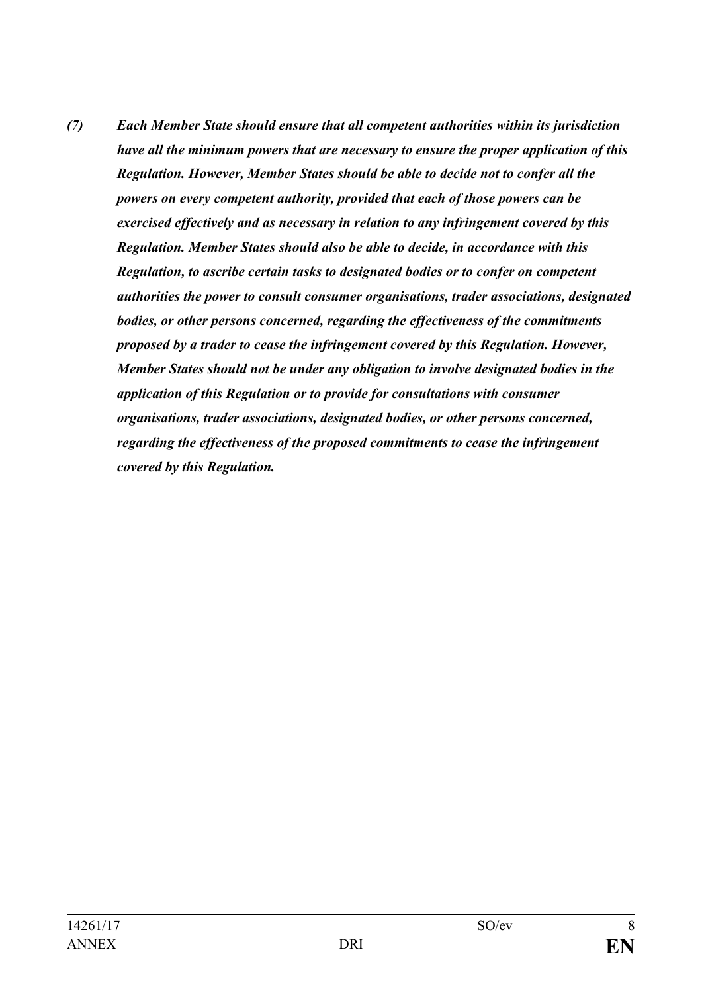*(7) Each Member State should ensure that all competent authorities within its jurisdiction have all the minimum powers that are necessary to ensure the proper application of this Regulation. However, Member States should be able to decide not to confer all the powers on every competent authority, provided that each of those powers can be exercised effectively and as necessary in relation to any infringement covered by this Regulation. Member States should also be able to decide, in accordance with this Regulation, to ascribe certain tasks to designated bodies or to confer on competent authorities the power to consult consumer organisations, trader associations, designated bodies, or other persons concerned, regarding the effectiveness of the commitments proposed by a trader to cease the infringement covered by this Regulation. However, Member States should not be under any obligation to involve designated bodies in the application of this Regulation or to provide for consultations with consumer organisations, trader associations, designated bodies, or other persons concerned, regarding the effectiveness of the proposed commitments to cease the infringement covered by this Regulation.*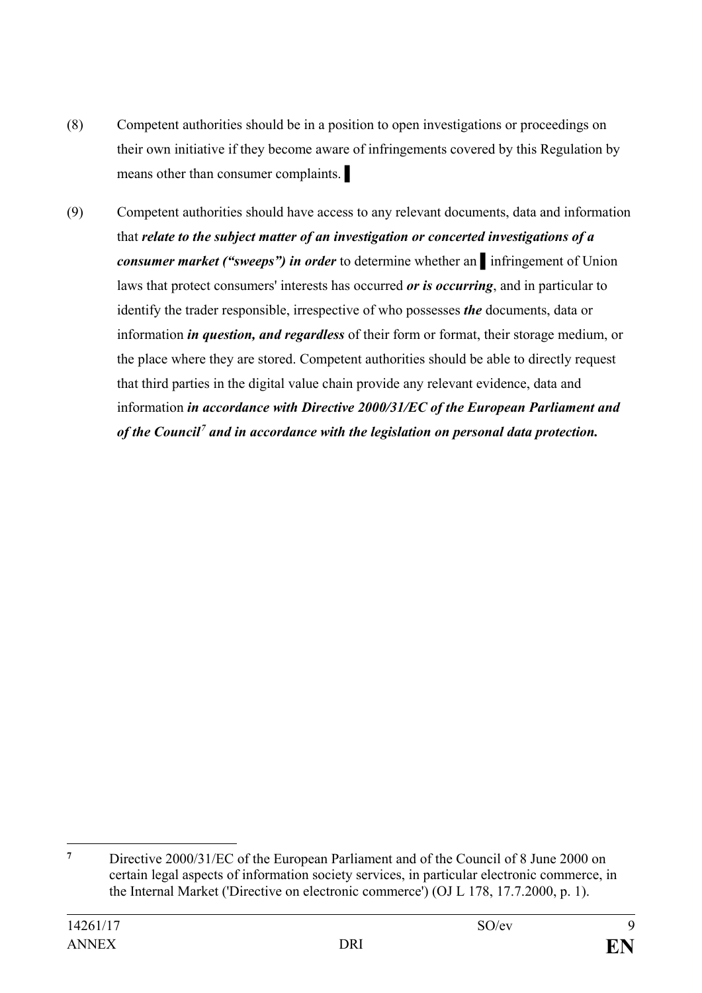- (8) Competent authorities should be in a position to open investigations or proceedings on their own initiative if they become aware of infringements covered by this Regulation by means other than consumer complaints.
- (9) Competent authorities should have access to any relevant documents, data and information that *relate to the subject matter of an investigation or concerted investigations of a consumer market ("sweeps") in order* to determine whether an ▌infringement of Union laws that protect consumers' interests has occurred *or is occurring*, and in particular to identify the trader responsible, irrespective of who possesses *the* documents, data or information *in question, and regardless* of their form or format, their storage medium, or the place where they are stored. Competent authorities should be able to directly request that third parties in the digital value chain provide any relevant evidence, data and information *in accordance with Directive 2000/31/EC of the European Parliament and of the Council[7](#page-8-0) and in accordance with the legislation on personal data protection.*

<span id="page-8-0"></span> $\overline{7}$ **<sup>7</sup>** Directive 2000/31/EC of the European Parliament and of the Council of 8 June 2000 on certain legal aspects of information society services, in particular electronic commerce, in the Internal Market ('Directive on electronic commerce') (OJ L 178, 17.7.2000, p. 1).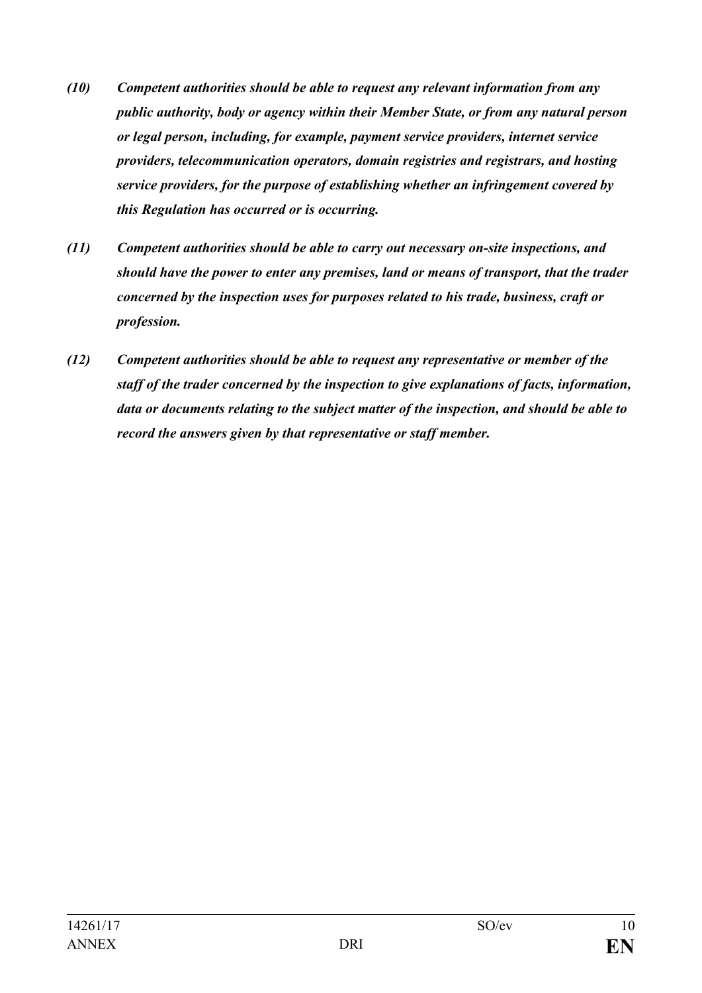- *(10) Competent authorities should be able to request any relevant information from any public authority, body or agency within their Member State, or from any natural person or legal person, including, for example, payment service providers, internet service providers, telecommunication operators, domain registries and registrars, and hosting service providers, for the purpose of establishing whether an infringement covered by this Regulation has occurred or is occurring.*
- *(11) Competent authorities should be able to carry out necessary on-site inspections, and should have the power to enter any premises, land or means of transport, that the trader concerned by the inspection uses for purposes related to his trade, business, craft or profession.*
- *(12) Competent authorities should be able to request any representative or member of the staff of the trader concerned by the inspection to give explanations of facts, information, data or documents relating to the subject matter of the inspection, and should be able to record the answers given by that representative or staff member.*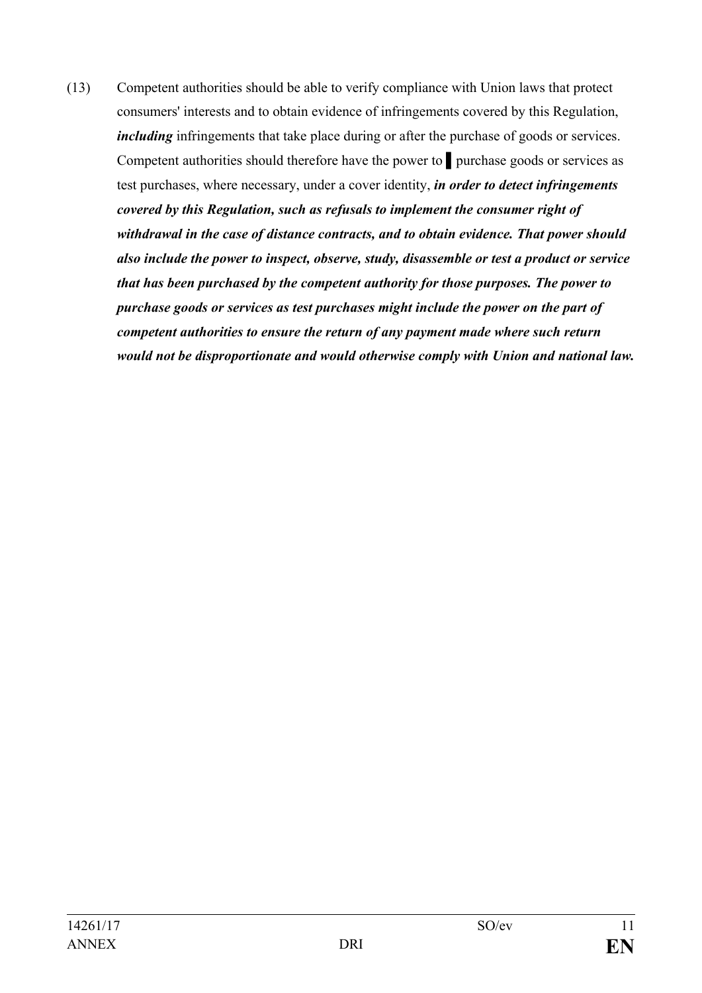(13) Competent authorities should be able to verify compliance with Union laws that protect consumers' interests and to obtain evidence of infringements covered by this Regulation, *including* infringements that take place during or after the purchase of goods or services. Competent authorities should therefore have the power to ▌purchase goods or services as test purchases, where necessary, under a cover identity, *in order to detect infringements covered by this Regulation, such as refusals to implement the consumer right of withdrawal in the case of distance contracts, and to obtain evidence. That power should also include the power to inspect, observe, study, disassemble or test a product or service that has been purchased by the competent authority for those purposes. The power to purchase goods or services as test purchases might include the power on the part of competent authorities to ensure the return of any payment made where such return would not be disproportionate and would otherwise comply with Union and national law.*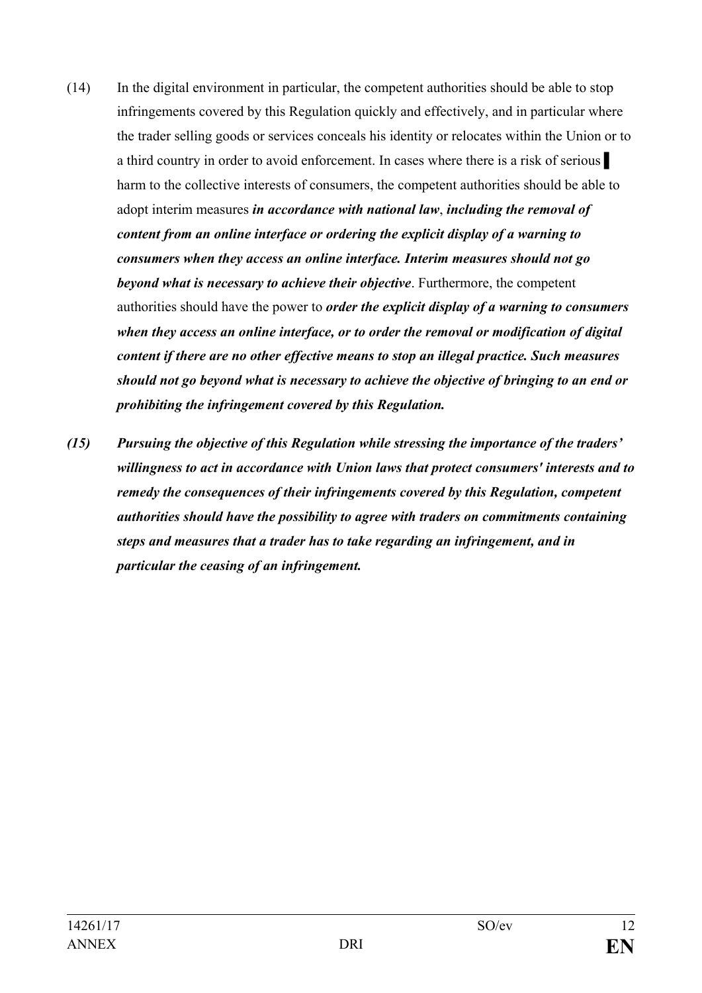- (14) In the digital environment in particular, the competent authorities should be able to stop infringements covered by this Regulation quickly and effectively, and in particular where the trader selling goods or services conceals his identity or relocates within the Union or to a third country in order to avoid enforcement. In cases where there is a risk of serious harm to the collective interests of consumers, the competent authorities should be able to adopt interim measures *in accordance with national law*, *including the removal of content from an online interface or ordering the explicit display of a warning to consumers when they access an online interface. Interim measures should not go beyond what is necessary to achieve their objective*. Furthermore, the competent authorities should have the power to *order the explicit display of a warning to consumers when they access an online interface, or to order the removal or modification of digital content if there are no other effective means to stop an illegal practice. Such measures should not go beyond what is necessary to achieve the objective of bringing to an end or prohibiting the infringement covered by this Regulation.*
- *(15) Pursuing the objective of this Regulation while stressing the importance of the traders' willingness to act in accordance with Union laws that protect consumers' interests and to remedy the consequences of their infringements covered by this Regulation, competent authorities should have the possibility to agree with traders on commitments containing steps and measures that a trader has to take regarding an infringement, and in particular the ceasing of an infringement.*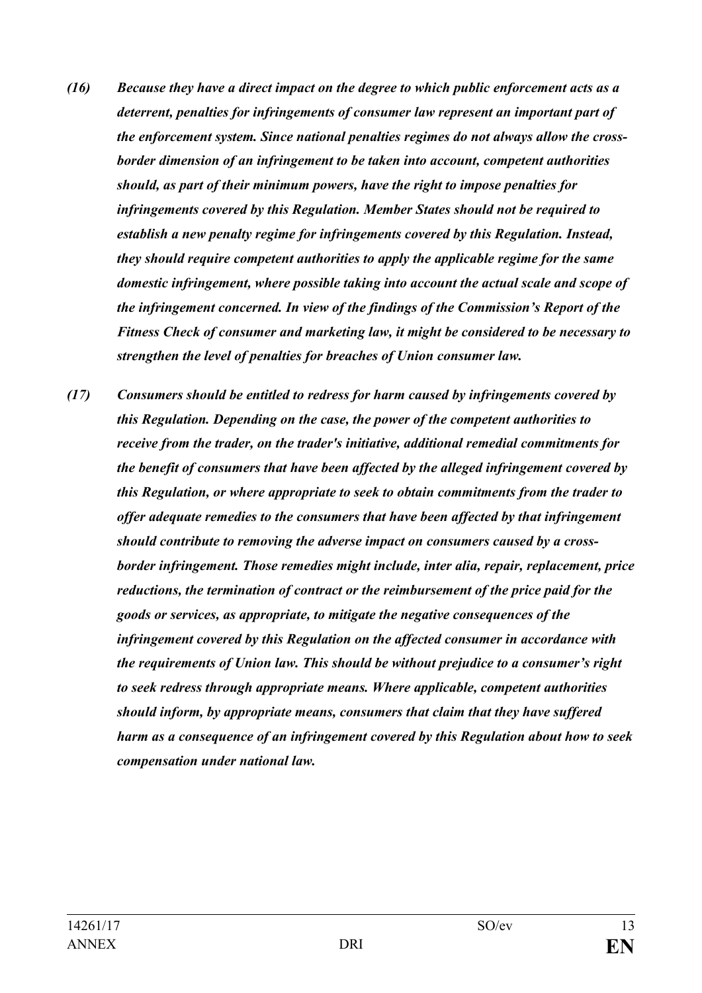- *(16) Because they have a direct impact on the degree to which public enforcement acts as a deterrent, penalties for infringements of consumer law represent an important part of the enforcement system. Since national penalties regimes do not always allow the crossborder dimension of an infringement to be taken into account, competent authorities should, as part of their minimum powers, have the right to impose penalties for infringements covered by this Regulation. Member States should not be required to establish a new penalty regime for infringements covered by this Regulation. Instead, they should require competent authorities to apply the applicable regime for the same domestic infringement, where possible taking into account the actual scale and scope of the infringement concerned. In view of the findings of the Commission's Report of the Fitness Check of consumer and marketing law, it might be considered to be necessary to strengthen the level of penalties for breaches of Union consumer law.*
- *(17) Consumers should be entitled to redress for harm caused by infringements covered by this Regulation. Depending on the case, the power of the competent authorities to receive from the trader, on the trader's initiative, additional remedial commitments for the benefit of consumers that have been affected by the alleged infringement covered by this Regulation, or where appropriate to seek to obtain commitments from the trader to offer adequate remedies to the consumers that have been affected by that infringement should contribute to removing the adverse impact on consumers caused by a crossborder infringement. Those remedies might include, inter alia, repair, replacement, price reductions, the termination of contract or the reimbursement of the price paid for the goods or services, as appropriate, to mitigate the negative consequences of the infringement covered by this Regulation on the affected consumer in accordance with the requirements of Union law. This should be without prejudice to a consumer's right to seek redress through appropriate means. Where applicable, competent authorities should inform, by appropriate means, consumers that claim that they have suffered harm as a consequence of an infringement covered by this Regulation about how to seek compensation under national law.*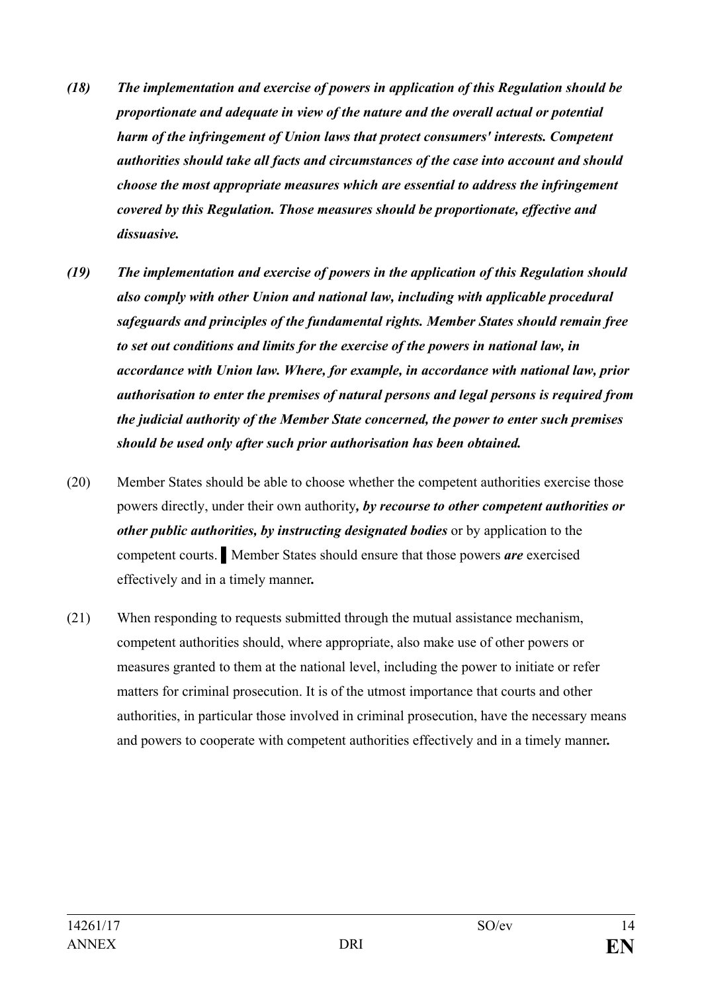- *(18) The implementation and exercise of powers in application of this Regulation should be proportionate and adequate in view of the nature and the overall actual or potential harm of the infringement of Union laws that protect consumers' interests. Competent authorities should take all facts and circumstances of the case into account and should choose the most appropriate measures which are essential to address the infringement covered by this Regulation. Those measures should be proportionate, effective and dissuasive.*
- *(19) The implementation and exercise of powers in the application of this Regulation should also comply with other Union and national law, including with applicable procedural safeguards and principles of the fundamental rights. Member States should remain free to set out conditions and limits for the exercise of the powers in national law, in accordance with Union law. Where, for example, in accordance with national law, prior authorisation to enter the premises of natural persons and legal persons is required from the judicial authority of the Member State concerned, the power to enter such premises should be used only after such prior authorisation has been obtained.*
- (20) Member States should be able to choose whether the competent authorities exercise those powers directly, under their own authority*, by recourse to other competent authorities or other public authorities, by instructing designated bodies* or by application to the competent courts. ▌Member States should ensure that those powers *are* exercised effectively and in a timely manner*.*
- (21) When responding to requests submitted through the mutual assistance mechanism, competent authorities should, where appropriate, also make use of other powers or measures granted to them at the national level, including the power to initiate or refer matters for criminal prosecution. It is of the utmost importance that courts and other authorities, in particular those involved in criminal prosecution, have the necessary means and powers to cooperate with competent authorities effectively and in a timely manner*.*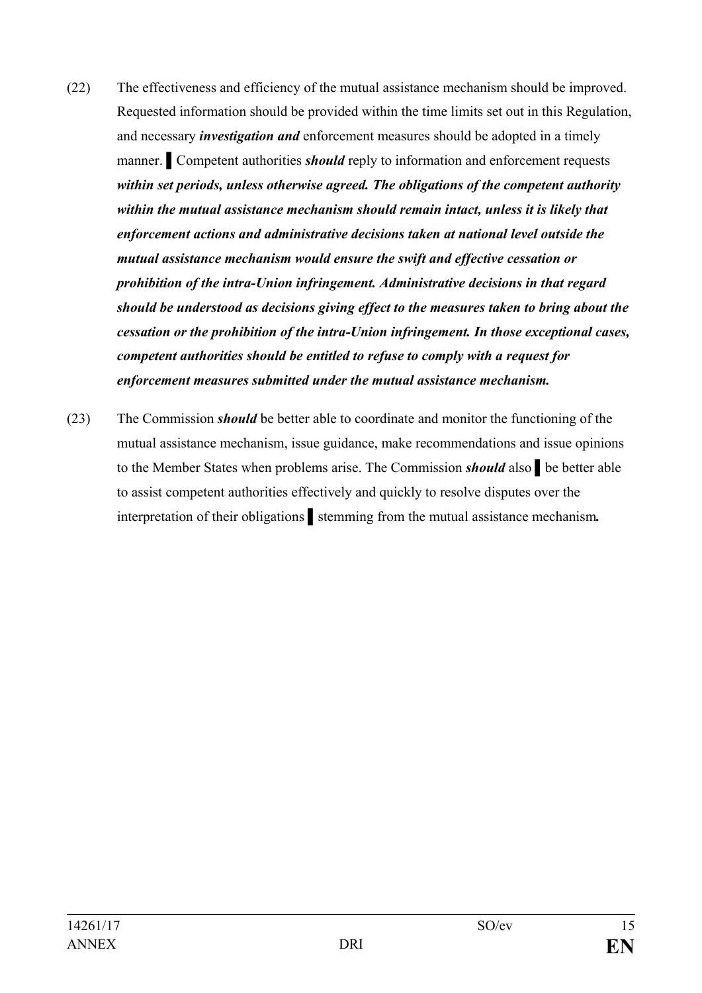- (22) The effectiveness and efficiency of the mutual assistance mechanism should be improved. Requested information should be provided within the time limits set out in this Regulation, and necessary *investigation and* enforcement measures should be adopted in a timely manner. Competent authorities *should* reply to information and enforcement requests *within set periods, unless otherwise agreed. The obligations of the competent authority within the mutual assistance mechanism should remain intact, unless it is likely that enforcement actions and administrative decisions taken at national level outside the mutual assistance mechanism would ensure the swift and effective cessation or prohibition of the intra-Union infringement. Administrative decisions in that regard should be understood as decisions giving effect to the measures taken to bring about the cessation or the prohibition of the intra-Union infringement. In those exceptional cases, competent authorities should be entitled to refuse to comply with a request for enforcement measures submitted under the mutual assistance mechanism.*
- (23) The Commission *should* be better able to coordinate and monitor the functioning of the mutual assistance mechanism, issue guidance, make recommendations and issue opinions to the Member States when problems arise. The Commission *should* also ▌be better able to assist competent authorities effectively and quickly to resolve disputes over the interpretation of their obligations ▌stemming from the mutual assistance mechanism*.*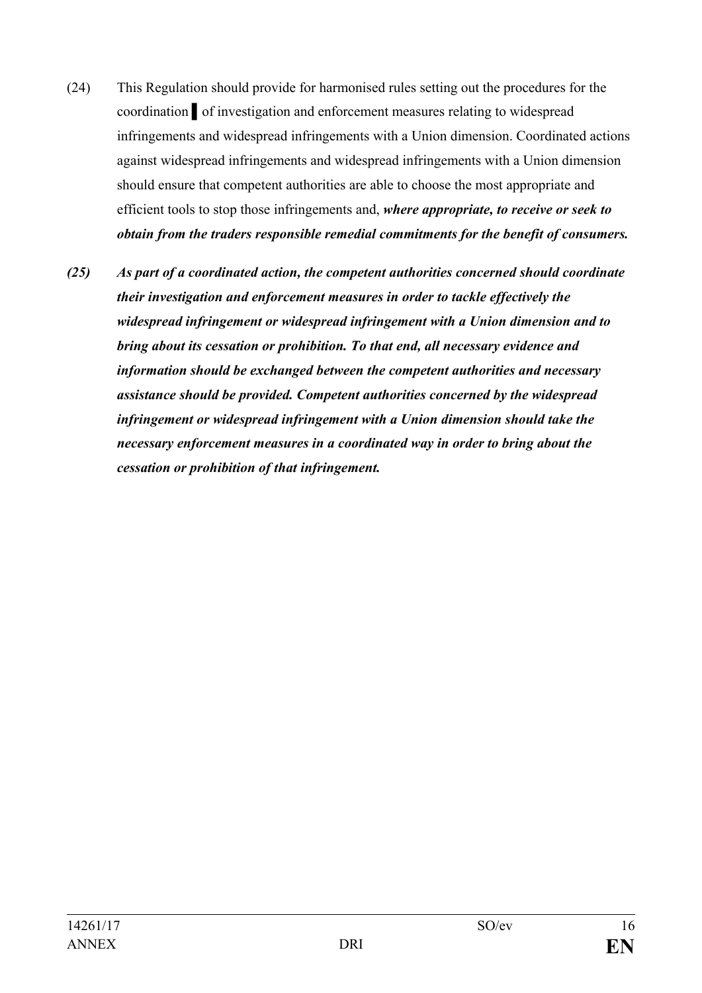- (24) This Regulation should provide for harmonised rules setting out the procedures for the coordination ▌of investigation and enforcement measures relating to widespread infringements and widespread infringements with a Union dimension. Coordinated actions against widespread infringements and widespread infringements with a Union dimension should ensure that competent authorities are able to choose the most appropriate and efficient tools to stop those infringements and, *where appropriate, to receive or seek to obtain from the traders responsible remedial commitments for the benefit of consumers.*
- *(25) As part of a coordinated action, the competent authorities concerned should coordinate their investigation and enforcement measures in order to tackle effectively the widespread infringement or widespread infringement with a Union dimension and to bring about its cessation or prohibition. To that end, all necessary evidence and information should be exchanged between the competent authorities and necessary assistance should be provided. Competent authorities concerned by the widespread infringement or widespread infringement with a Union dimension should take the necessary enforcement measures in a coordinated way in order to bring about the cessation or prohibition of that infringement.*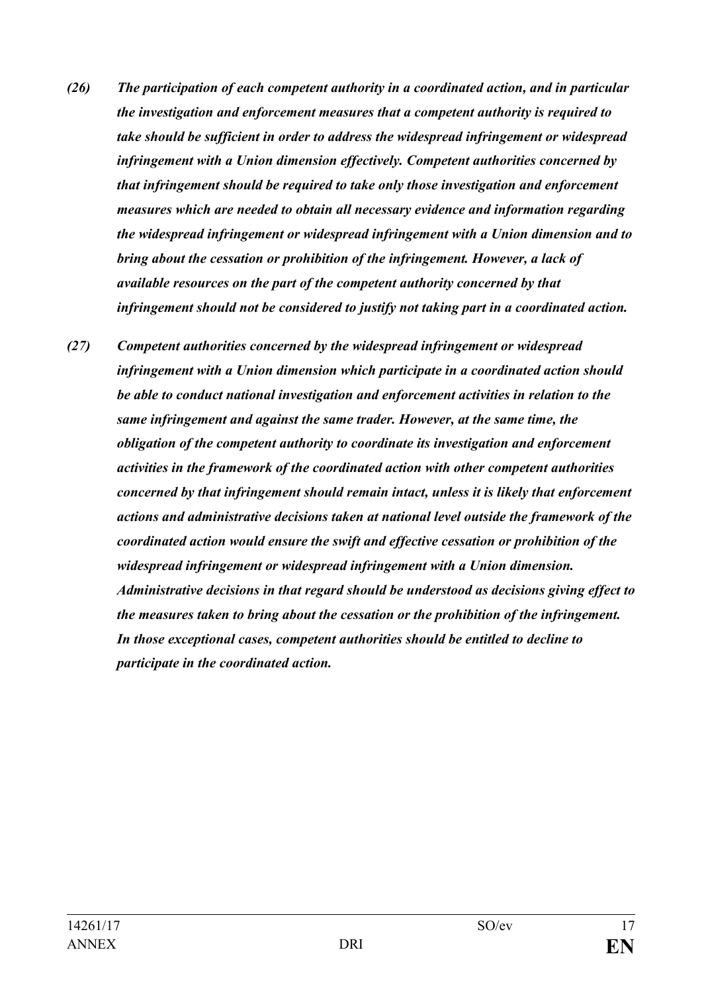- *(26) The participation of each competent authority in a coordinated action, and in particular the investigation and enforcement measures that a competent authority is required to take should be sufficient in order to address the widespread infringement or widespread infringement with a Union dimension effectively. Competent authorities concerned by that infringement should be required to take only those investigation and enforcement measures which are needed to obtain all necessary evidence and information regarding the widespread infringement or widespread infringement with a Union dimension and to bring about the cessation or prohibition of the infringement. However, a lack of available resources on the part of the competent authority concerned by that infringement should not be considered to justify not taking part in a coordinated action.*
- *(27) Competent authorities concerned by the widespread infringement or widespread infringement with a Union dimension which participate in a coordinated action should be able to conduct national investigation and enforcement activities in relation to the same infringement and against the same trader. However, at the same time, the obligation of the competent authority to coordinate its investigation and enforcement activities in the framework of the coordinated action with other competent authorities concerned by that infringement should remain intact, unless it is likely that enforcement actions and administrative decisions taken at national level outside the framework of the coordinated action would ensure the swift and effective cessation or prohibition of the widespread infringement or widespread infringement with a Union dimension. Administrative decisions in that regard should be understood as decisions giving effect to the measures taken to bring about the cessation or the prohibition of the infringement. In those exceptional cases, competent authorities should be entitled to decline to participate in the coordinated action.*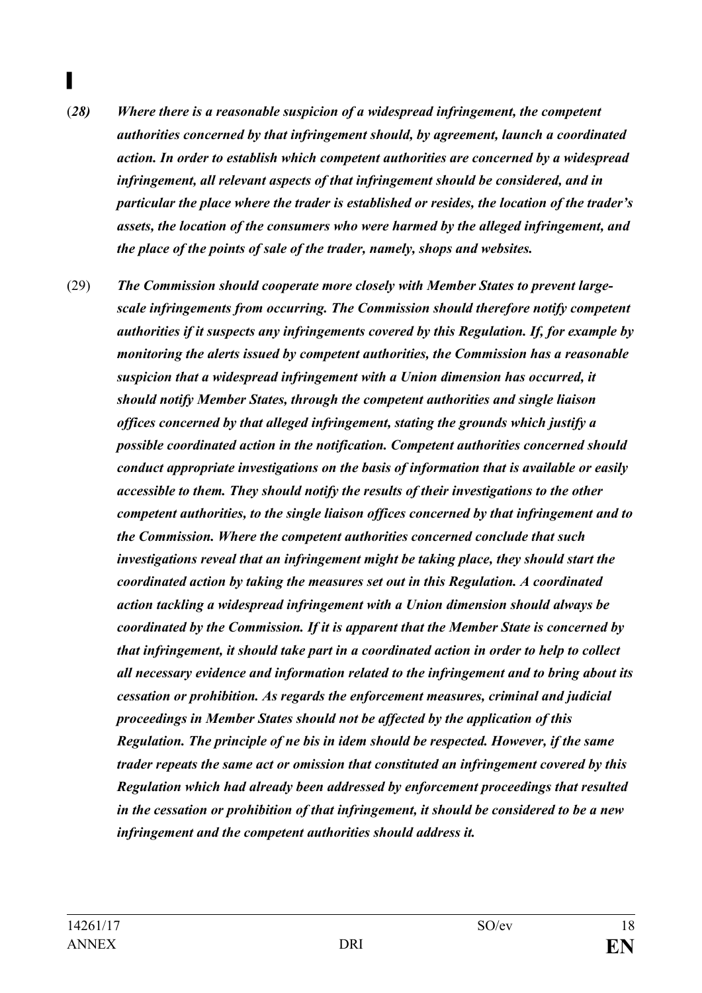- (*28) Where there is a reasonable suspicion of a widespread infringement, the competent authorities concerned by that infringement should, by agreement, launch a coordinated action. In order to establish which competent authorities are concerned by a widespread infringement, all relevant aspects of that infringement should be considered, and in particular the place where the trader is established or resides, the location of the trader's assets, the location of the consumers who were harmed by the alleged infringement, and the place of the points of sale of the trader, namely, shops and websites.*
- (29) *The Commission should cooperate more closely with Member States to prevent largescale infringements from occurring. The Commission should therefore notify competent authorities if it suspects any infringements covered by this Regulation. If, for example by monitoring the alerts issued by competent authorities, the Commission has a reasonable suspicion that a widespread infringement with a Union dimension has occurred, it should notify Member States, through the competent authorities and single liaison offices concerned by that alleged infringement, stating the grounds which justify a possible coordinated action in the notification. Competent authorities concerned should conduct appropriate investigations on the basis of information that is available or easily accessible to them. They should notify the results of their investigations to the other competent authorities, to the single liaison offices concerned by that infringement and to the Commission. Where the competent authorities concerned conclude that such investigations reveal that an infringement might be taking place, they should start the coordinated action by taking the measures set out in this Regulation. A coordinated action tackling a widespread infringement with a Union dimension should always be coordinated by the Commission. If it is apparent that the Member State is concerned by that infringement, it should take part in a coordinated action in order to help to collect all necessary evidence and information related to the infringement and to bring about its cessation or prohibition. As regards the enforcement measures, criminal and judicial proceedings in Member States should not be affected by the application of this Regulation. The principle of ne bis in idem should be respected. However, if the same trader repeats the same act or omission that constituted an infringement covered by this Regulation which had already been addressed by enforcement proceedings that resulted in the cessation or prohibition of that infringement, it should be considered to be a new infringement and the competent authorities should address it.*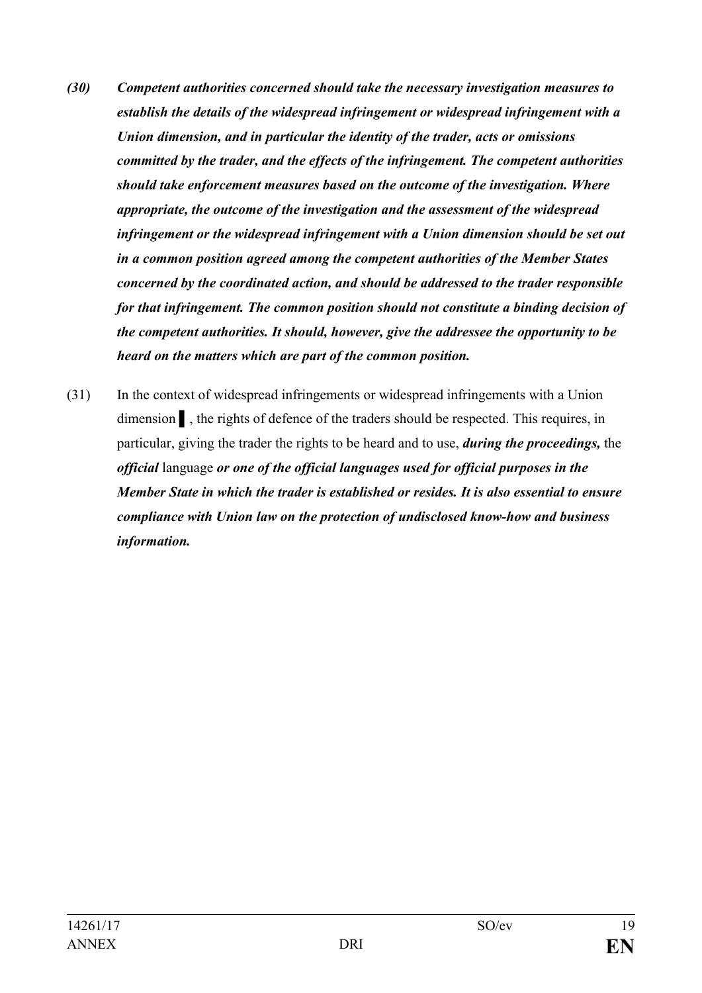- *(30) Competent authorities concerned should take the necessary investigation measures to establish the details of the widespread infringement or widespread infringement with a Union dimension, and in particular the identity of the trader, acts or omissions committed by the trader, and the effects of the infringement. The competent authorities should take enforcement measures based on the outcome of the investigation. Where appropriate, the outcome of the investigation and the assessment of the widespread infringement or the widespread infringement with a Union dimension should be set out in a common position agreed among the competent authorities of the Member States concerned by the coordinated action, and should be addressed to the trader responsible for that infringement. The common position should not constitute a binding decision of the competent authorities. It should, however, give the addressee the opportunity to be heard on the matters which are part of the common position.*
- (31) In the context of widespread infringements or widespread infringements with a Union dimension ▌, the rights of defence of the traders should be respected. This requires, in particular, giving the trader the rights to be heard and to use, *during the proceedings,* the *official* language *or one of the official languages used for official purposes in the Member State in which the trader is established or resides. It is also essential to ensure compliance with Union law on the protection of undisclosed know-how and business information.*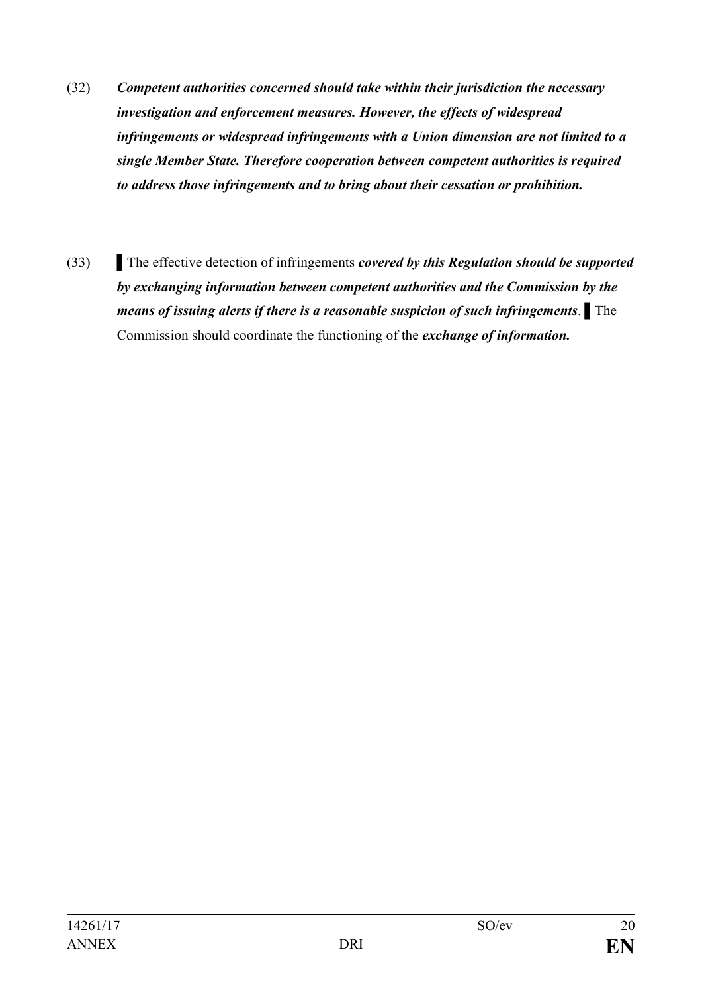- (32) *Competent authorities concerned should take within their jurisdiction the necessary investigation and enforcement measures. However, the effects of widespread infringements or widespread infringements with a Union dimension are not limited to a single Member State. Therefore cooperation between competent authorities is required to address those infringements and to bring about their cessation or prohibition.*
- (33) ▌The effective detection of infringements *covered by this Regulation should be supported by exchanging information between competent authorities and the Commission by the means of issuing alerts if there is a reasonable suspicion of such infringements*. ▌The Commission should coordinate the functioning of the *exchange of information.*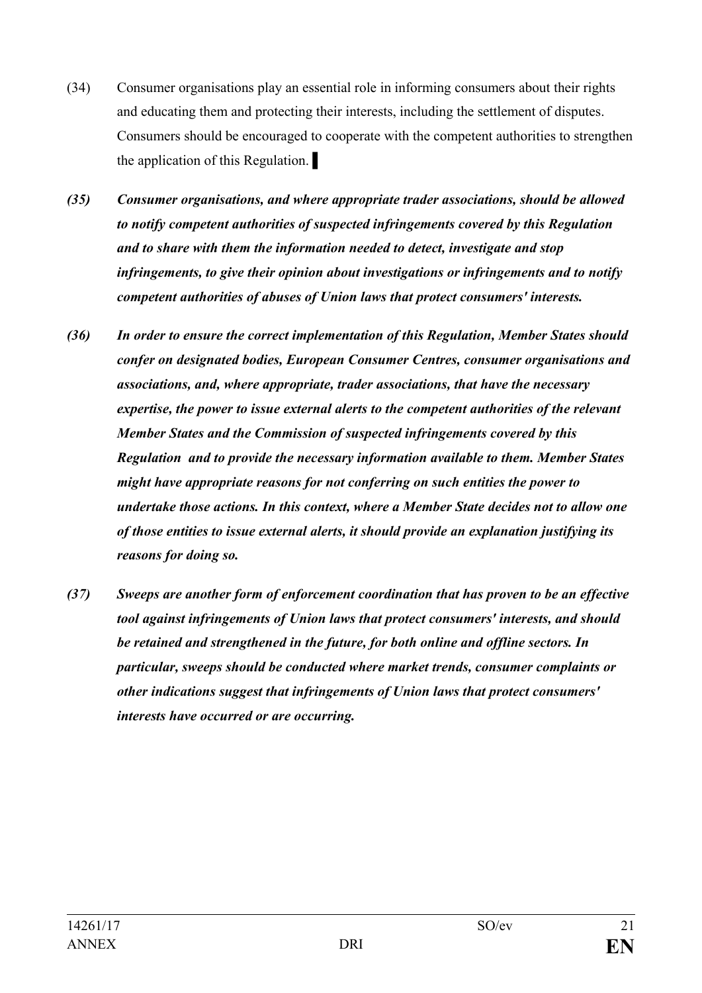- (34) Consumer organisations play an essential role in informing consumers about their rights and educating them and protecting their interests, including the settlement of disputes. Consumers should be encouraged to cooperate with the competent authorities to strengthen the application of this Regulation. ▌
- *(35) Consumer organisations, and where appropriate trader associations, should be allowed to notify competent authorities of suspected infringements covered by this Regulation and to share with them the information needed to detect, investigate and stop infringements, to give their opinion about investigations or infringements and to notify competent authorities of abuses of Union laws that protect consumers' interests.*
- *(36) In order to ensure the correct implementation of this Regulation, Member States should confer on designated bodies, European Consumer Centres, consumer organisations and associations, and, where appropriate, trader associations, that have the necessary expertise, the power to issue external alerts to the competent authorities of the relevant Member States and the Commission of suspected infringements covered by this Regulation and to provide the necessary information available to them. Member States might have appropriate reasons for not conferring on such entities the power to undertake those actions. In this context, where a Member State decides not to allow one of those entities to issue external alerts, it should provide an explanation justifying its reasons for doing so.*
- *(37) Sweeps are another form of enforcement coordination that has proven to be an effective tool against infringements of Union laws that protect consumers' interests, and should be retained and strengthened in the future, for both online and offline sectors. In particular, sweeps should be conducted where market trends, consumer complaints or other indications suggest that infringements of Union laws that protect consumers' interests have occurred or are occurring.*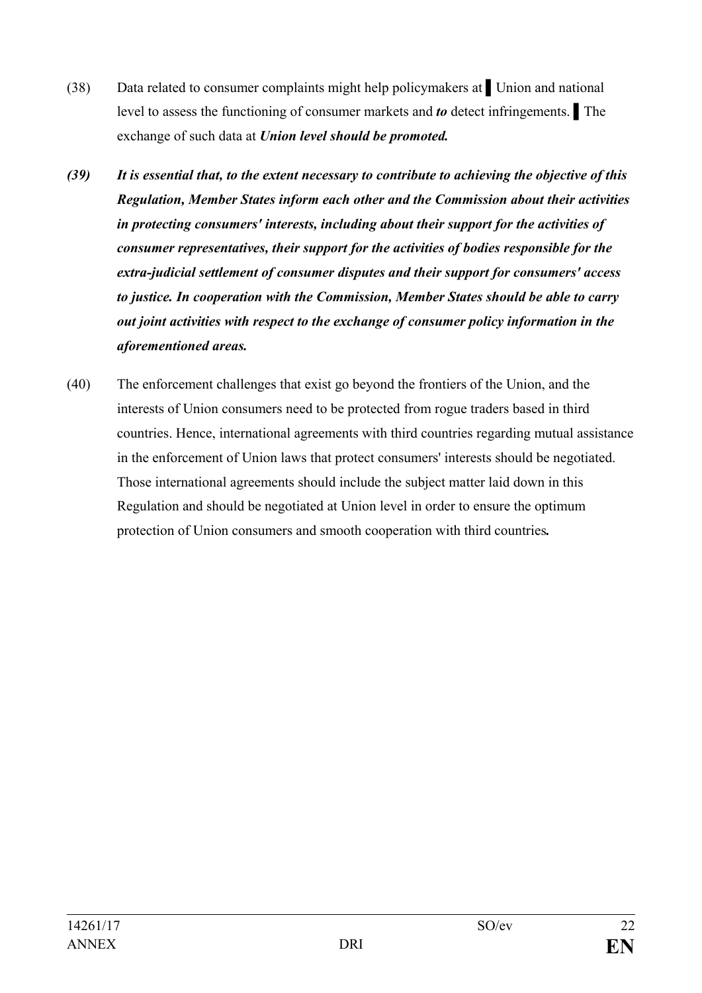- (38) Data related to consumer complaints might help policymakers at ▌Union and national level to assess the functioning of consumer markets and *to* detect infringements. ▌The exchange of such data at *Union level should be promoted.*
- *(39) It is essential that, to the extent necessary to contribute to achieving the objective of this Regulation, Member States inform each other and the Commission about their activities in protecting consumers' interests, including about their support for the activities of consumer representatives, their support for the activities of bodies responsible for the extra-judicial settlement of consumer disputes and their support for consumers' access to justice. In cooperation with the Commission, Member States should be able to carry out joint activities with respect to the exchange of consumer policy information in the aforementioned areas.*
- (40) The enforcement challenges that exist go beyond the frontiers of the Union, and the interests of Union consumers need to be protected from rogue traders based in third countries. Hence, international agreements with third countries regarding mutual assistance in the enforcement of Union laws that protect consumers' interests should be negotiated. Those international agreements should include the subject matter laid down in this Regulation and should be negotiated at Union level in order to ensure the optimum protection of Union consumers and smooth cooperation with third countries*.*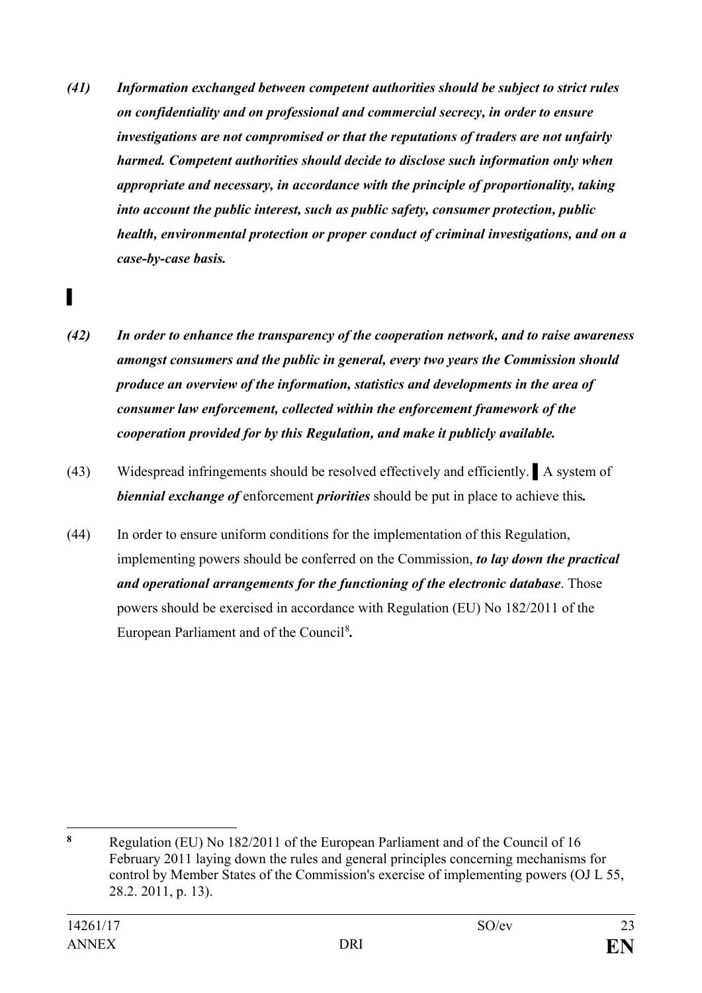*(41) Information exchanged between competent authorities should be subject to strict rules on confidentiality and on professional and commercial secrecy, in order to ensure investigations are not compromised or that the reputations of traders are not unfairly harmed. Competent authorities should decide to disclose such information only when appropriate and necessary, in accordance with the principle of proportionality, taking into account the public interest, such as public safety, consumer protection, public health, environmental protection or proper conduct of criminal investigations, and on a case-by-case basis.*

- *(42) In order to enhance the transparency of the cooperation network, and to raise awareness amongst consumers and the public in general, every two years the Commission should produce an overview of the information, statistics and developments in the area of consumer law enforcement, collected within the enforcement framework of the cooperation provided for by this Regulation, and make it publicly available.*
- (43) Widespread infringements should be resolved effectively and efficiently. ▌A system of *biennial exchange of* enforcement *priorities* should be put in place to achieve this*.*
- (44) In order to ensure uniform conditions for the implementation of this Regulation, implementing powers should be conferred on the Commission, *to lay down the practical and operational arrangements for the functioning of the electronic database*. Those powers should be exercised in accordance with Regulation (EU) No 182/2011 of the European Parliament and of the Council<sup>[8](#page-22-0)</sup>.

<span id="page-22-0"></span> $\bf{8}$ **<sup>8</sup>** Regulation (EU) No 182/2011 of the European Parliament and of the Council of 16 February 2011 laying down the rules and general principles concerning mechanisms for control by Member States of the Commission's exercise of implementing powers (OJ L 55, 28.2. 2011, p. 13).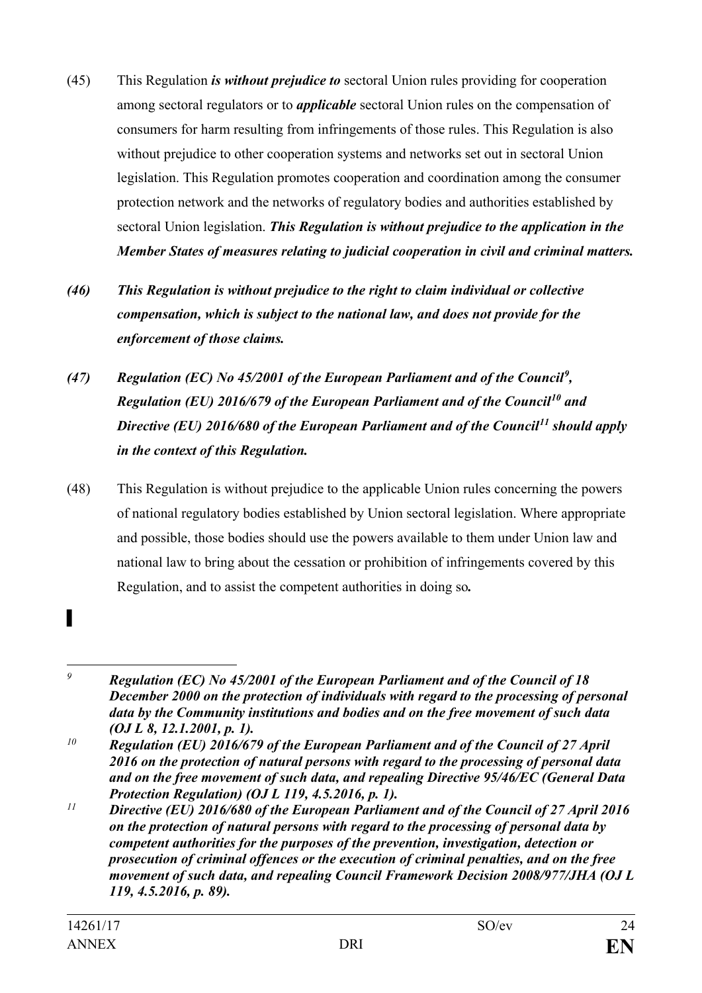- (45) This Regulation *is without prejudice to* sectoral Union rules providing for cooperation among sectoral regulators or to *applicable* sectoral Union rules on the compensation of consumers for harm resulting from infringements of those rules. This Regulation is also without prejudice to other cooperation systems and networks set out in sectoral Union legislation. This Regulation promotes cooperation and coordination among the consumer protection network and the networks of regulatory bodies and authorities established by sectoral Union legislation. *This Regulation is without prejudice to the application in the Member States of measures relating to judicial cooperation in civil and criminal matters.*
- *(46) This Regulation is without prejudice to the right to claim individual or collective compensation, which is subject to the national law, and does not provide for the enforcement of those claims.*
- *(47) Regulation (EC) No 45/2001 of the European Parliament and of the Council[9](#page-23-0) , Regulation (EU) 2016/679 of the European Parliament and of the Council[10](#page-23-1) and Directive (EU) 2016/680 of the European Parliament and of the Council[11](#page-23-2) should apply in the context of this Regulation.*
- (48) This Regulation is without prejudice to the applicable Union rules concerning the powers of national regulatory bodies established by Union sectoral legislation. Where appropriate and possible, those bodies should use the powers available to them under Union law and national law to bring about the cessation or prohibition of infringements covered by this Regulation, and to assist the competent authorities in doing so*.*

<span id="page-23-0"></span> $\overline{9}$ *<sup>9</sup> Regulation (EC) No 45/2001 of the European Parliament and of the Council of 18 December 2000 on the protection of individuals with regard to the processing of personal data by the Community institutions and bodies and on the free movement of such data (OJ L 8, 12.1.2001, p. 1).*

<span id="page-23-1"></span>*<sup>10</sup> Regulation (EU) 2016/679 of the European Parliament and of the Council of 27 April 2016 on the protection of natural persons with regard to the processing of personal data and on the free movement of such data, and repealing Directive 95/46/EC (General Data Protection Regulation) (OJ L 119, 4.5.2016, p. 1).*

<span id="page-23-2"></span>*<sup>11</sup> Directive (EU) 2016/680 of the European Parliament and of the Council of 27 April 2016 on the protection of natural persons with regard to the processing of personal data by competent authorities for the purposes of the prevention, investigation, detection or prosecution of criminal offences or the execution of criminal penalties, and on the free movement of such data, and repealing Council Framework Decision 2008/977/JHA (OJ L 119, 4.5.2016, p. 89).*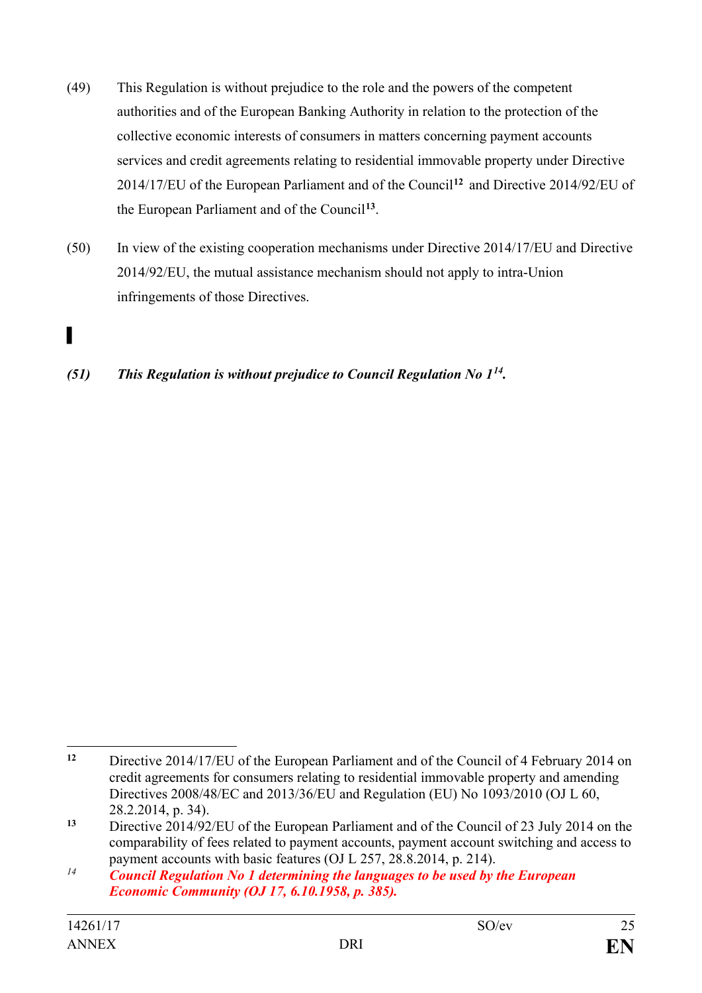- (49) This Regulation is without prejudice to the role and the powers of the competent authorities and of the European Banking Authority in relation to the protection of the collective economic interests of consumers in matters concerning payment accounts services and credit agreements relating to residential immovable property under Directive 2014/17/EU of the European Parliament and of the Council**[12](#page-24-0)** and Directive 2014/92/EU of the European Parliament and of the Council**[13](#page-24-1)**.
- (50) In view of the existing cooperation mechanisms under Directive 2014/17/EU and Directive 2014/92/EU, the mutual assistance mechanism should not apply to intra-Union infringements of those Directives.

*(51) This Regulation is without prejudice to Council Regulation No 1[14.](#page-24-2)*

<span id="page-24-0"></span> $\overline{a}$ **<sup>12</sup>** Directive 2014/17/EU of the European Parliament and of the Council of 4 February 2014 on credit agreements for consumers relating to residential immovable property and amending Directives 2008/48/EC and 2013/36/EU and Regulation (EU) No 1093/2010 (OJ L 60, 28.2.2014, p. 34).

<span id="page-24-1"></span>**<sup>13</sup>** Directive 2014/92/EU of the European Parliament and of the Council of 23 July 2014 on the comparability of fees related to payment accounts, payment account switching and access to payment accounts with basic features (OJ L 257, 28.8.2014, p. 214).

<span id="page-24-2"></span>*<sup>14</sup> Council Regulation No 1 determining the languages to be used by the European Economic Community (OJ 17, 6.10.1958, p. 385).*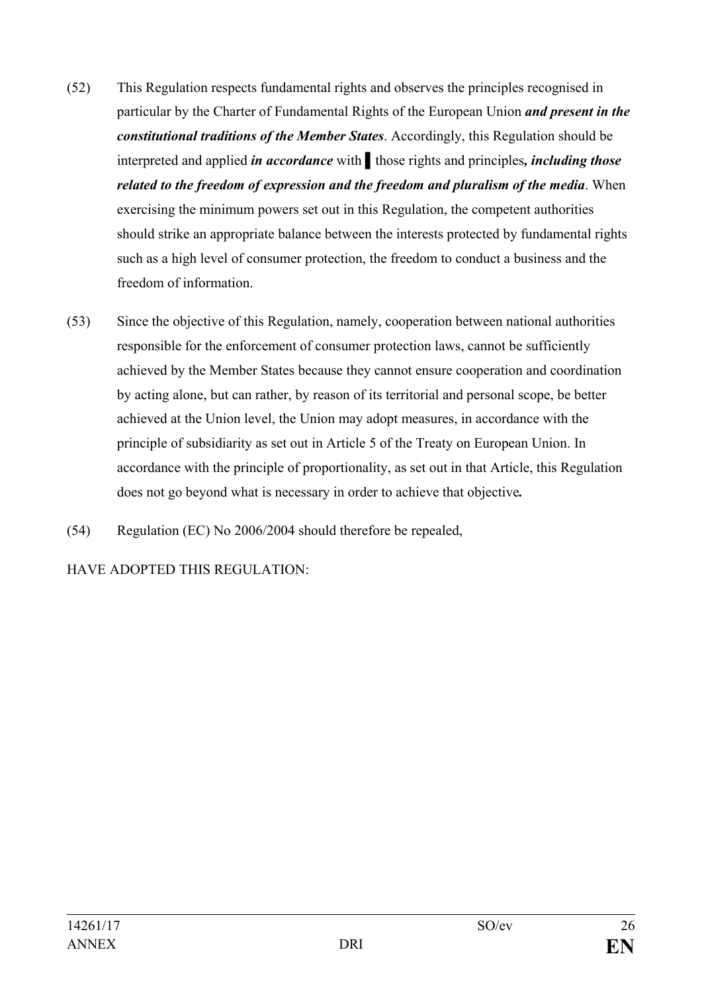- (52) This Regulation respects fundamental rights and observes the principles recognised in particular by the Charter of Fundamental Rights of the European Union *and present in the constitutional traditions of the Member States*. Accordingly, this Regulation should be interpreted and applied *in accordance* with ▌those rights and principles*, including those related to the freedom of expression and the freedom and pluralism of the media*. When exercising the minimum powers set out in this Regulation, the competent authorities should strike an appropriate balance between the interests protected by fundamental rights such as a high level of consumer protection, the freedom to conduct a business and the freedom of information.
- (53) Since the objective of this Regulation, namely, cooperation between national authorities responsible for the enforcement of consumer protection laws, cannot be sufficiently achieved by the Member States because they cannot ensure cooperation and coordination by acting alone, but can rather, by reason of its territorial and personal scope, be better achieved at the Union level, the Union may adopt measures, in accordance with the principle of subsidiarity as set out in Article 5 of the Treaty on European Union. In accordance with the principle of proportionality, as set out in that Article, this Regulation does not go beyond what is necessary in order to achieve that objective*.*
- (54) Regulation (EC) No 2006/2004 should therefore be repealed,

HAVE ADOPTED THIS REGULATION: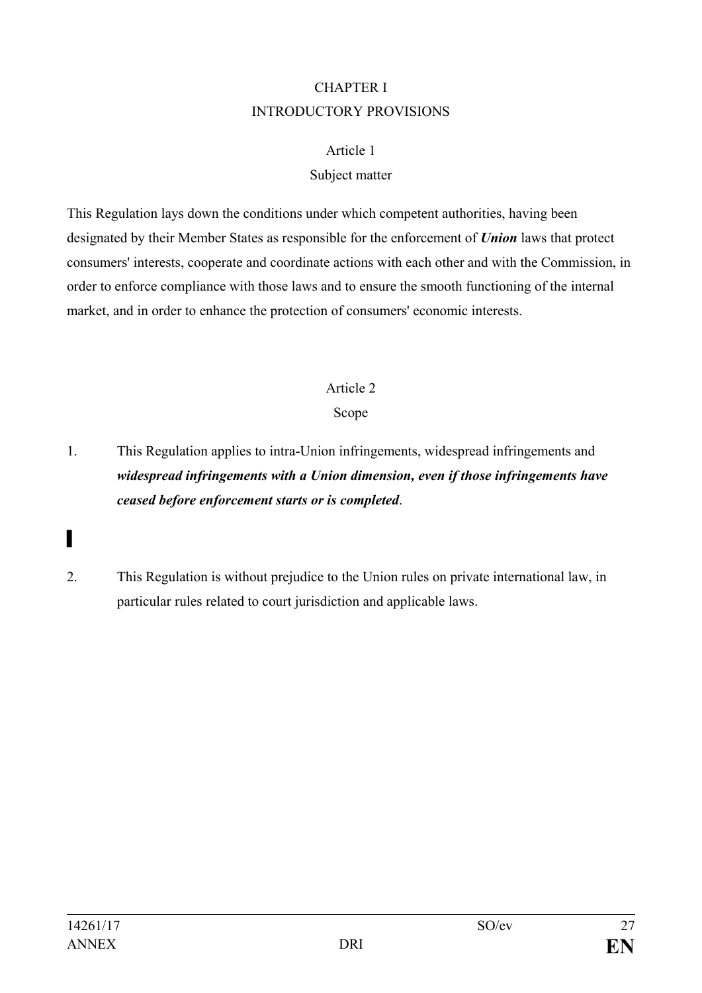# CHAPTER I INTRODUCTORY PROVISIONS

### Article 1

## Subject matter

This Regulation lays down the conditions under which competent authorities, having been designated by their Member States as responsible for the enforcement of *Union* laws that protect consumers' interests, cooperate and coordinate actions with each other and with the Commission, in order to enforce compliance with those laws and to ensure the smooth functioning of the internal market, and in order to enhance the protection of consumers' economic interests.

# Article 2

# Scope

- 1. This Regulation applies to intra-Union infringements, widespread infringements and *widespread infringements with a Union dimension, even if those infringements have ceased before enforcement starts or is completed*.
- ▌
- 2. This Regulation is without prejudice to the Union rules on private international law, in particular rules related to court jurisdiction and applicable laws.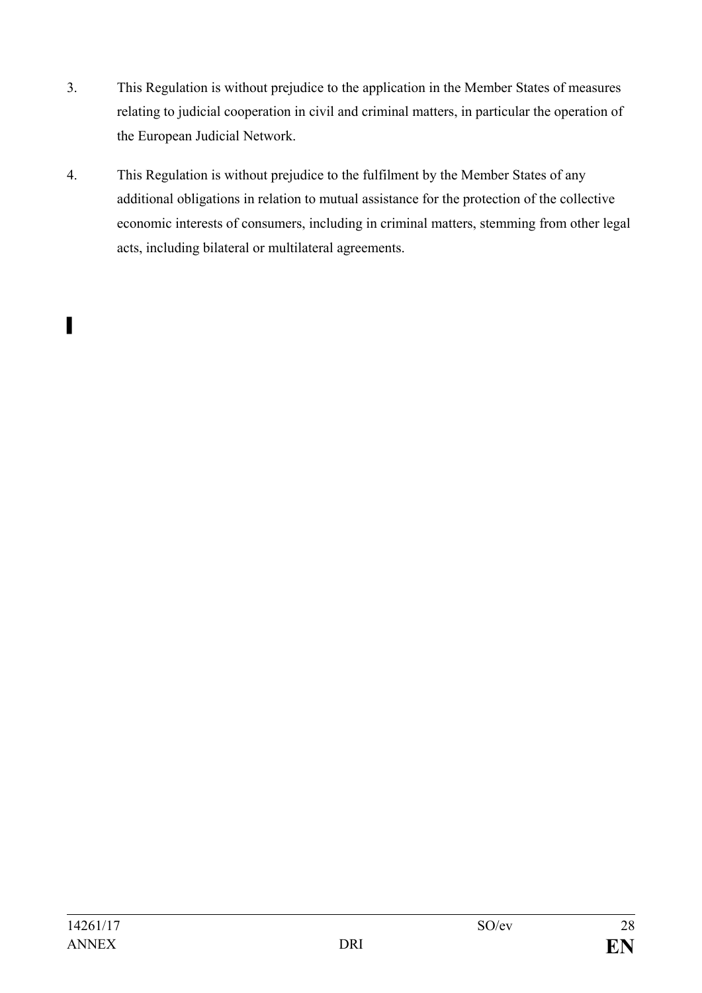- 3. This Regulation is without prejudice to the application in the Member States of measures relating to judicial cooperation in civil and criminal matters, in particular the operation of the European Judicial Network.
- 4. This Regulation is without prejudice to the fulfilment by the Member States of any additional obligations in relation to mutual assistance for the protection of the collective economic interests of consumers, including in criminal matters, stemming from other legal acts, including bilateral or multilateral agreements.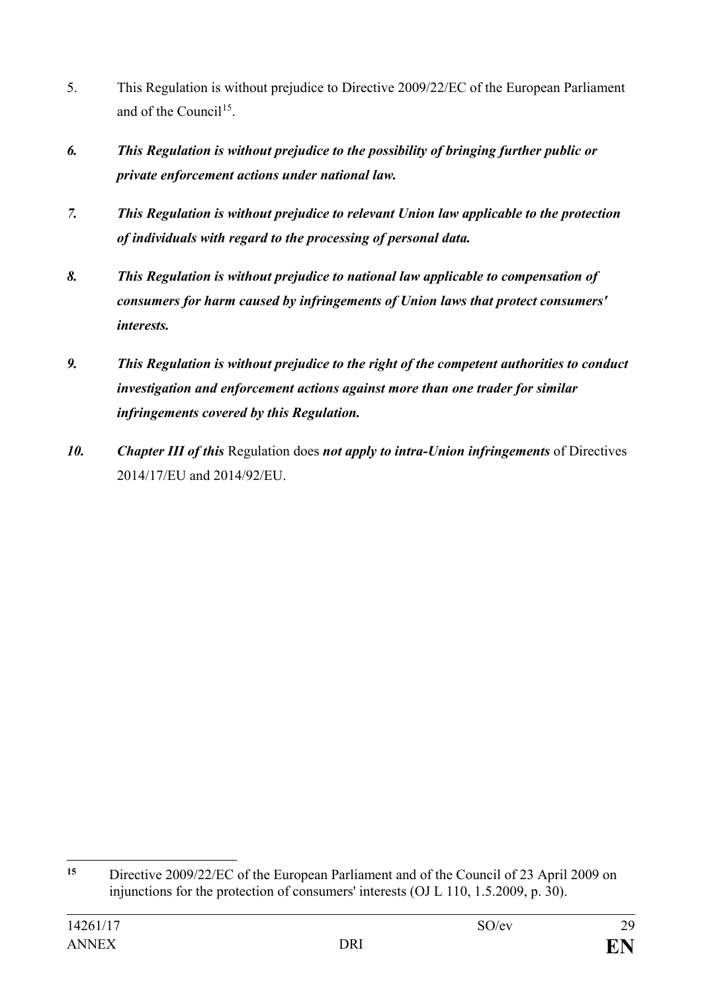- 5. This Regulation is without prejudice to Directive 2009/22/EC of the European Parliament and of the Council<sup>15</sup>.
- *6. This Regulation is without prejudice to the possibility of bringing further public or private enforcement actions under national law.*
- *7. This Regulation is without prejudice to relevant Union law applicable to the protection of individuals with regard to the processing of personal data.*
- *8. This Regulation is without prejudice to national law applicable to compensation of consumers for harm caused by infringements of Union laws that protect consumers' interests.*
- *9. This Regulation is without prejudice to the right of the competent authorities to conduct investigation and enforcement actions against more than one trader for similar infringements covered by this Regulation.*
- *10. Chapter III of this* Regulation does *not apply to intra-Union infringements* of Directives 2014/17/EU and 2014/92/EU.

<span id="page-28-0"></span> $15$ **<sup>15</sup>** Directive 2009/22/EC of the European Parliament and of the Council of 23 April 2009 on injunctions for the protection of consumers' interests (OJ L 110, 1.5.2009, p. 30).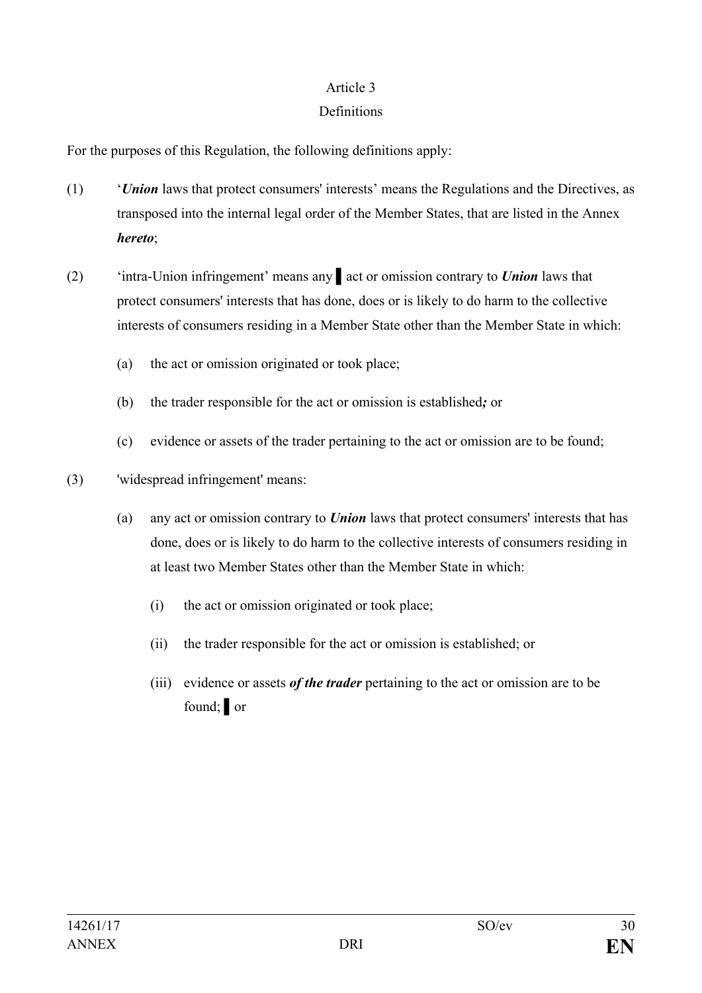## Definitions

For the purposes of this Regulation, the following definitions apply:

- (1) '*Union* laws that protect consumers' interests' means the Regulations and the Directives, as transposed into the internal legal order of the Member States, that are listed in the Annex *hereto*;
- (2) 'intra-Union infringement' means any ▌act or omission contrary to *Union* laws that protect consumers' interests that has done, does or is likely to do harm to the collective interests of consumers residing in a Member State other than the Member State in which:
	- (a) the act or omission originated or took place;
	- (b) the trader responsible for the act or omission is established*;* or
	- (c) evidence or assets of the trader pertaining to the act or omission are to be found;
- (3) 'widespread infringement' means:
	- (a) any act or omission contrary to *Union* laws that protect consumers' interests that has done, does or is likely to do harm to the collective interests of consumers residing in at least two Member States other than the Member State in which:
		- (i) the act or omission originated or took place;
		- (ii) the trader responsible for the act or omission is established; or
		- (iii) evidence or assets *of the trader* pertaining to the act or omission are to be found; or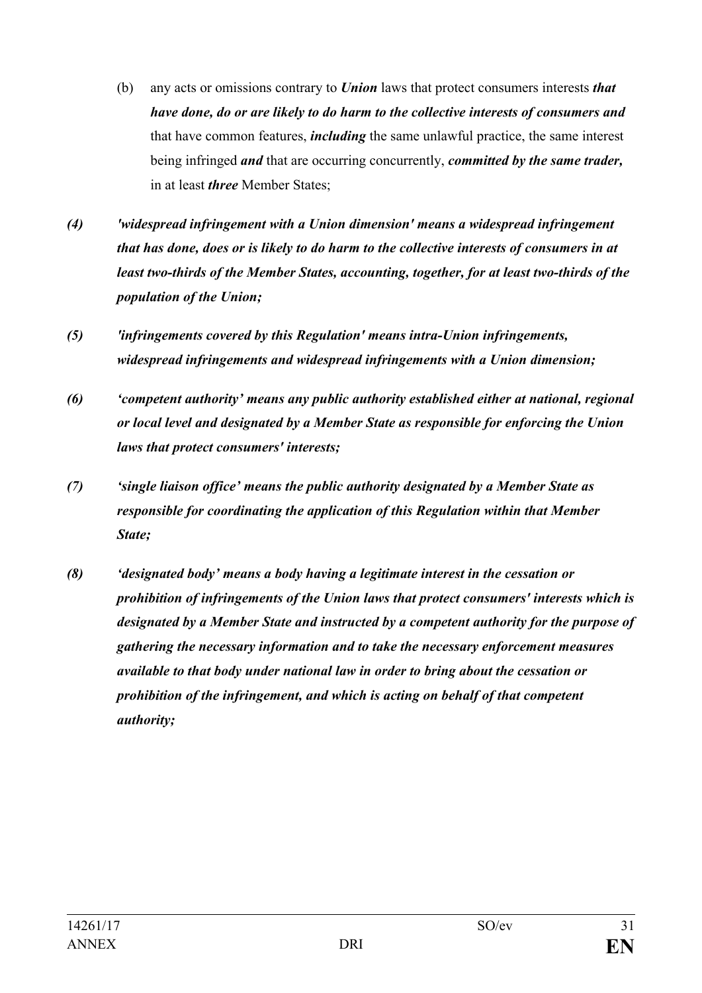- (b) any acts or omissions contrary to *Union* laws that protect consumers interests *that have done, do or are likely to do harm to the collective interests of consumers and* that have common features, *including* the same unlawful practice, the same interest being infringed *and* that are occurring concurrently, *committed by the same trader,*  in at least *three* Member States;
- *(4) 'widespread infringement with a Union dimension' means a widespread infringement that has done, does or is likely to do harm to the collective interests of consumers in at least two-thirds of the Member States, accounting, together, for at least two-thirds of the population of the Union;*
- *(5) 'infringements covered by this Regulation' means intra-Union infringements, widespread infringements and widespread infringements with a Union dimension;*
- *(6) 'competent authority' means any public authority established either at national, regional or local level and designated by a Member State as responsible for enforcing the Union laws that protect consumers' interests;*
- *(7) 'single liaison office' means the public authority designated by a Member State as responsible for coordinating the application of this Regulation within that Member State;*
- *(8) 'designated body' means a body having a legitimate interest in the cessation or prohibition of infringements of the Union laws that protect consumers' interests which is designated by a Member State and instructed by a competent authority for the purpose of gathering the necessary information and to take the necessary enforcement measures available to that body under national law in order to bring about the cessation or prohibition of the infringement, and which is acting on behalf of that competent authority;*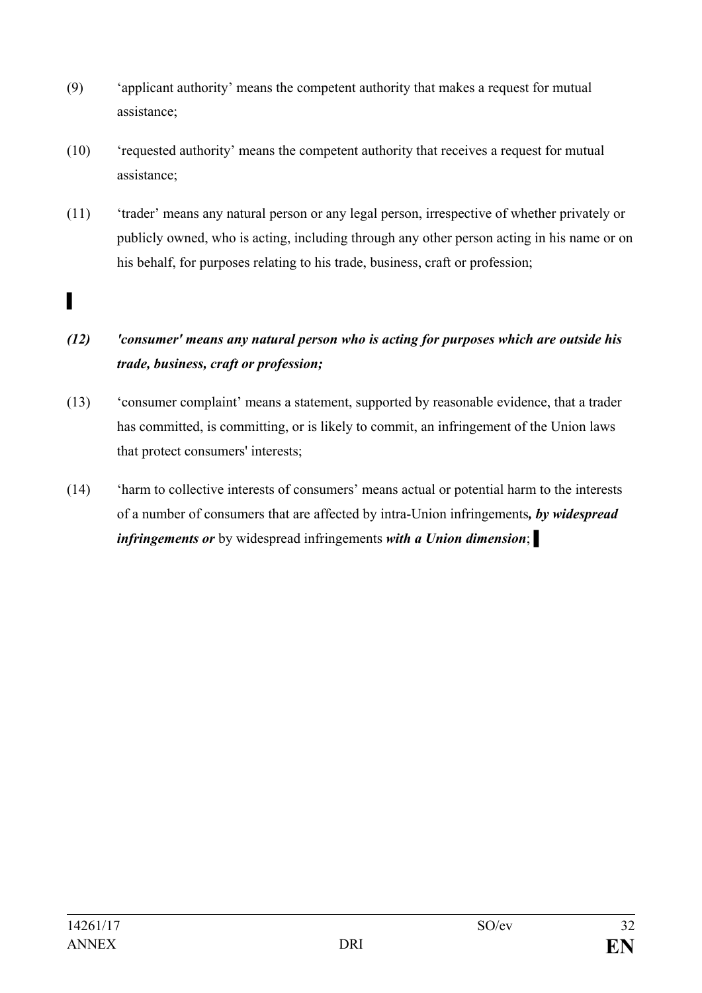- (9) 'applicant authority' means the competent authority that makes a request for mutual assistance;
- (10) 'requested authority' means the competent authority that receives a request for mutual assistance;
- (11) 'trader' means any natural person or any legal person, irrespective of whether privately or publicly owned, who is acting, including through any other person acting in his name or on his behalf, for purposes relating to his trade, business, craft or profession;

# *(12) 'consumer' means any natural person who is acting for purposes which are outside his trade, business, craft or profession;*

- (13) 'consumer complaint' means a statement, supported by reasonable evidence, that a trader has committed, is committing, or is likely to commit, an infringement of the Union laws that protect consumers' interests;
- (14) 'harm to collective interests of consumers' means actual or potential harm to the interests of a number of consumers that are affected by intra-Union infringements*, by widespread infringements or* by widespread infringements *with a Union dimension*; ▌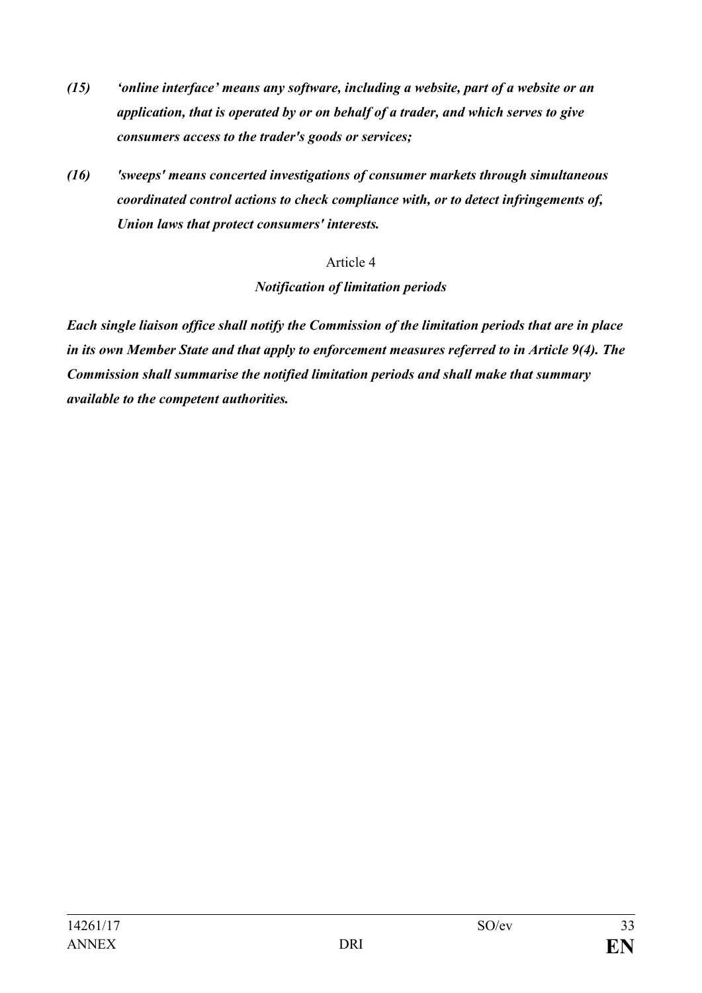- *(15) 'online interface' means any software, including a website, part of a website or an application, that is operated by or on behalf of a trader, and which serves to give consumers access to the trader's goods or services;*
- *(16) 'sweeps' means concerted investigations of consumer markets through simultaneous coordinated control actions to check compliance with, or to detect infringements of, Union laws that protect consumers' interests.*

#### *Notification of limitation periods*

*Each single liaison office shall notify the Commission of the limitation periods that are in place in its own Member State and that apply to enforcement measures referred to in Article 9(4). The Commission shall summarise the notified limitation periods and shall make that summary available to the competent authorities.*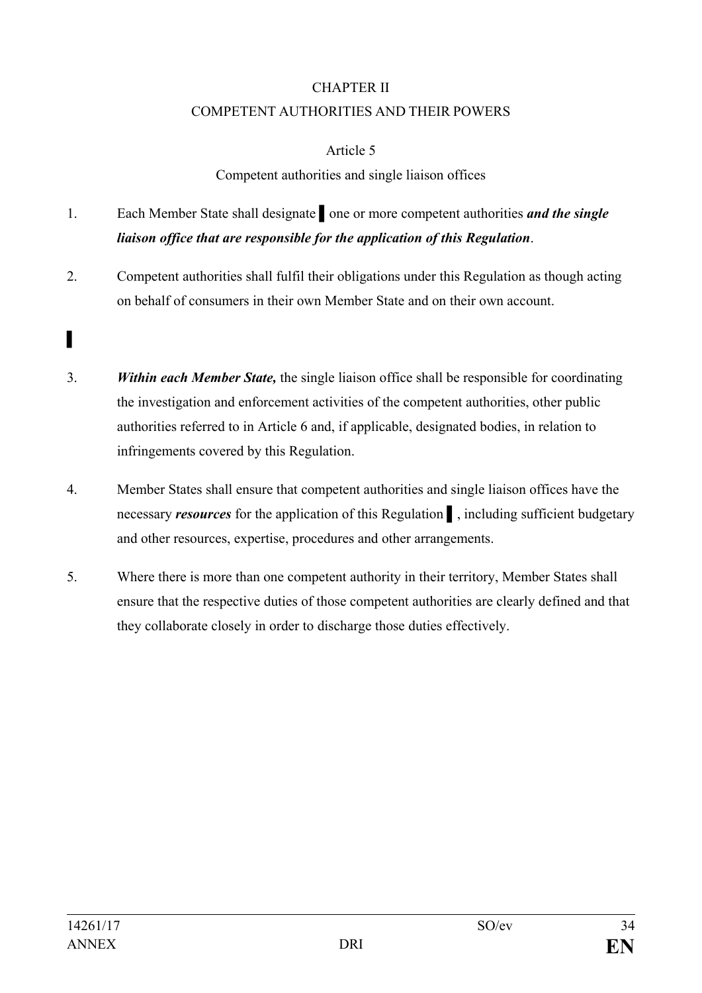# CHAPTER II COMPETENT AUTHORITIES AND THEIR POWERS

## Article 5

# Competent authorities and single liaison offices

# 1. Each Member State shall designate ▌one or more competent authorities *and the single liaison office that are responsible for the application of this Regulation*.

- 2. Competent authorities shall fulfil their obligations under this Regulation as though acting on behalf of consumers in their own Member State and on their own account.
- 3. *Within each Member State,* the single liaison office shall be responsible for coordinating the investigation and enforcement activities of the competent authorities, other public authorities referred to in Article 6 and, if applicable, designated bodies, in relation to infringements covered by this Regulation.
- 4. Member States shall ensure that competent authorities and single liaison offices have the necessary *resources* for the application of this Regulation ▌, including sufficient budgetary and other resources, expertise, procedures and other arrangements.
- 5. Where there is more than one competent authority in their territory, Member States shall ensure that the respective duties of those competent authorities are clearly defined and that they collaborate closely in order to discharge those duties effectively.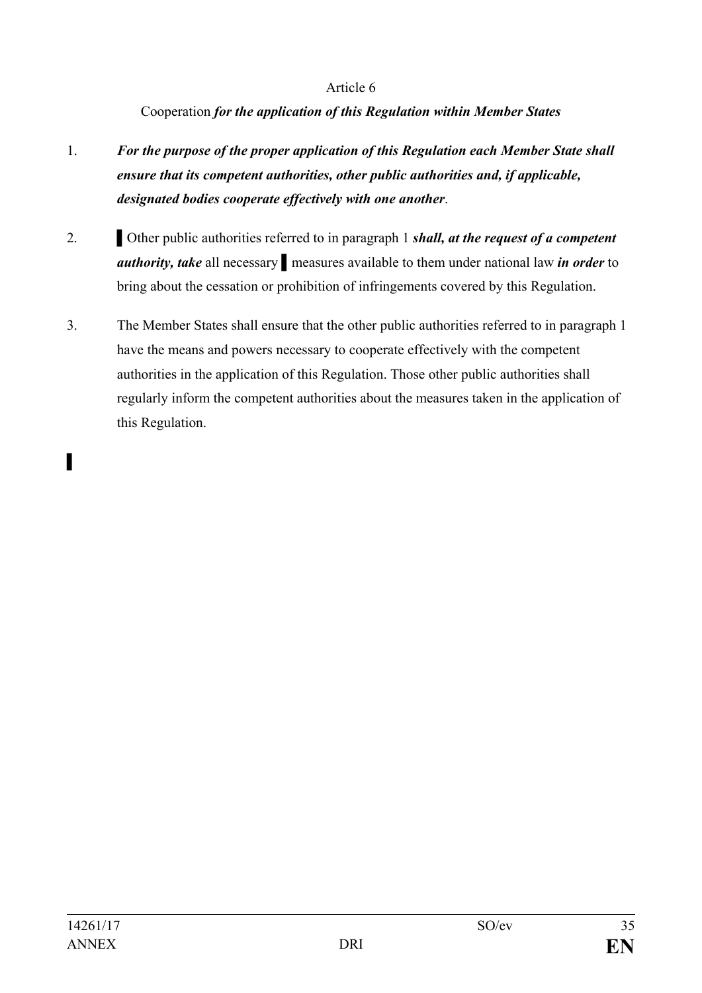Cooperation *for the application of this Regulation within Member States*

- 1. *For the purpose of the proper application of this Regulation each Member State shall ensure that its competent authorities, other public authorities and, if applicable, designated bodies cooperate effectively with one another*.
- 2. **If the public authorities referred to in paragraph 1** *shall, at the request of a competent authority, take* all necessary ▌measures available to them under national law *in order* to bring about the cessation or prohibition of infringements covered by this Regulation.
- 3. The Member States shall ensure that the other public authorities referred to in paragraph 1 have the means and powers necessary to cooperate effectively with the competent authorities in the application of this Regulation. Those other public authorities shall regularly inform the competent authorities about the measures taken in the application of this Regulation.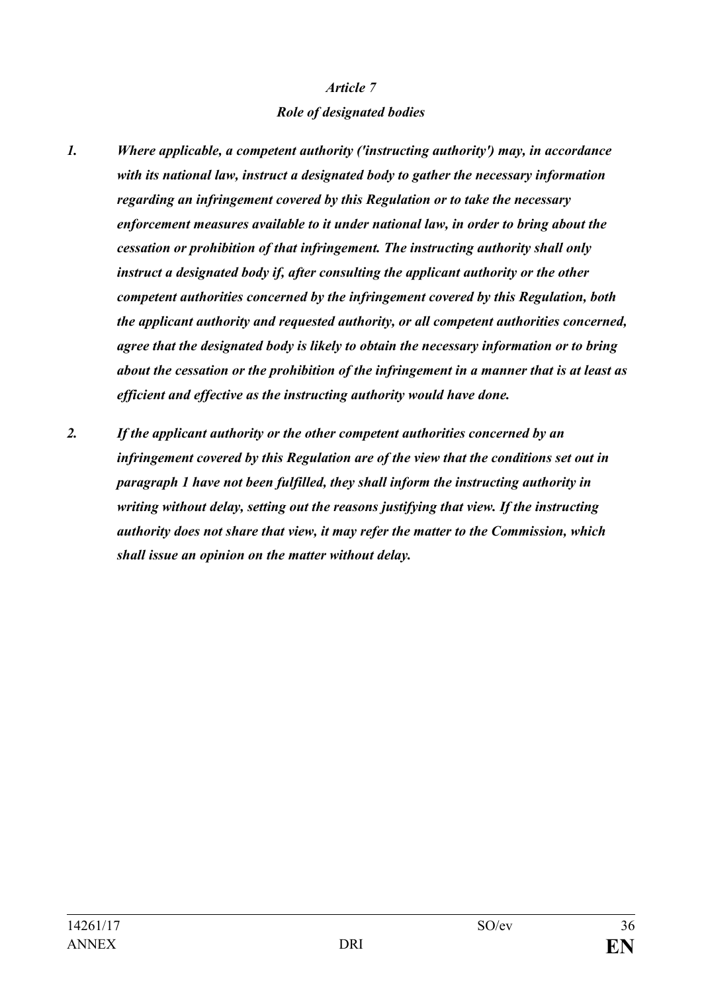#### *Role of designated bodies*

- *1. Where applicable, a competent authority ('instructing authority') may, in accordance with its national law, instruct a designated body to gather the necessary information regarding an infringement covered by this Regulation or to take the necessary enforcement measures available to it under national law, in order to bring about the cessation or prohibition of that infringement. The instructing authority shall only instruct a designated body if, after consulting the applicant authority or the other competent authorities concerned by the infringement covered by this Regulation, both the applicant authority and requested authority, or all competent authorities concerned, agree that the designated body is likely to obtain the necessary information or to bring about the cessation or the prohibition of the infringement in a manner that is at least as efficient and effective as the instructing authority would have done.*
- *2. If the applicant authority or the other competent authorities concerned by an infringement covered by this Regulation are of the view that the conditions set out in paragraph 1 have not been fulfilled, they shall inform the instructing authority in writing without delay, setting out the reasons justifying that view. If the instructing authority does not share that view, it may refer the matter to the Commission, which shall issue an opinion on the matter without delay.*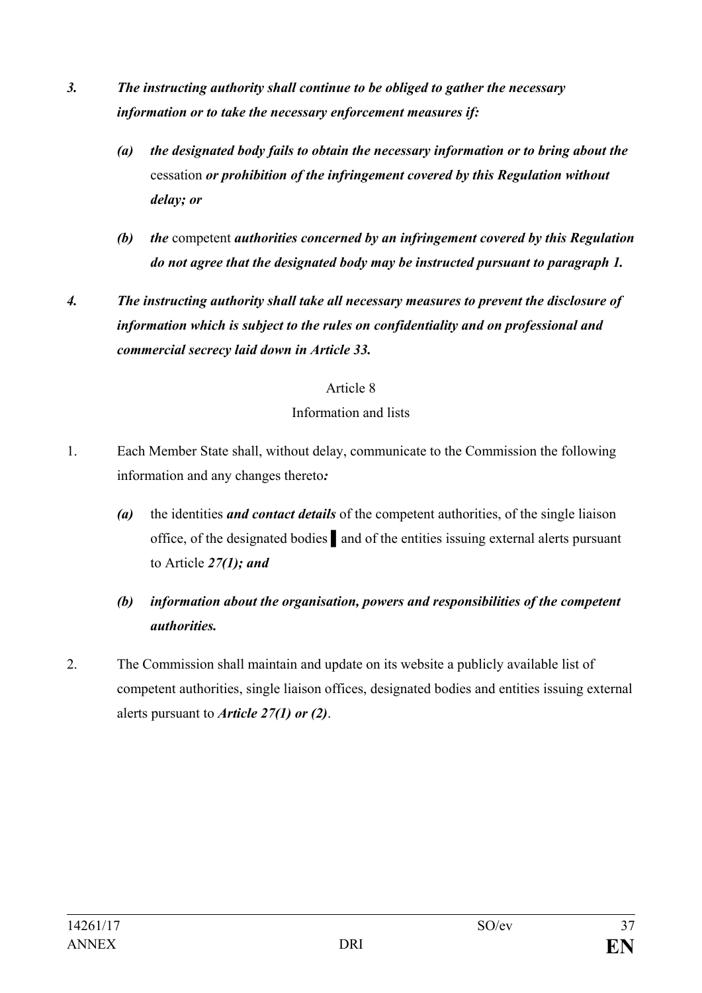- *3. The instructing authority shall continue to be obliged to gather the necessary information or to take the necessary enforcement measures if:*
	- *(a) the designated body fails to obtain the necessary information or to bring about the*  cessation *or prohibition of the infringement covered by this Regulation without delay; or*
	- *(b) the* competent *authorities concerned by an infringement covered by this Regulation do not agree that the designated body may be instructed pursuant to paragraph 1.*
- *4. The instructing authority shall take all necessary measures to prevent the disclosure of information which is subject to the rules on confidentiality and on professional and commercial secrecy laid down in Article 33.*

#### Information and lists

- 1. Each Member State shall, without delay, communicate to the Commission the following information and any changes thereto*:*
	- *(a)* the identities *and contact details* of the competent authorities, of the single liaison office, of the designated bodies ▌and of the entities issuing external alerts pursuant to Article *27(1); and*
	- *(b) information about the organisation, powers and responsibilities of the competent authorities.*
- 2. The Commission shall maintain and update on its website a publicly available list of competent authorities, single liaison offices, designated bodies and entities issuing external alerts pursuant to *Article 27(1) or (2)*.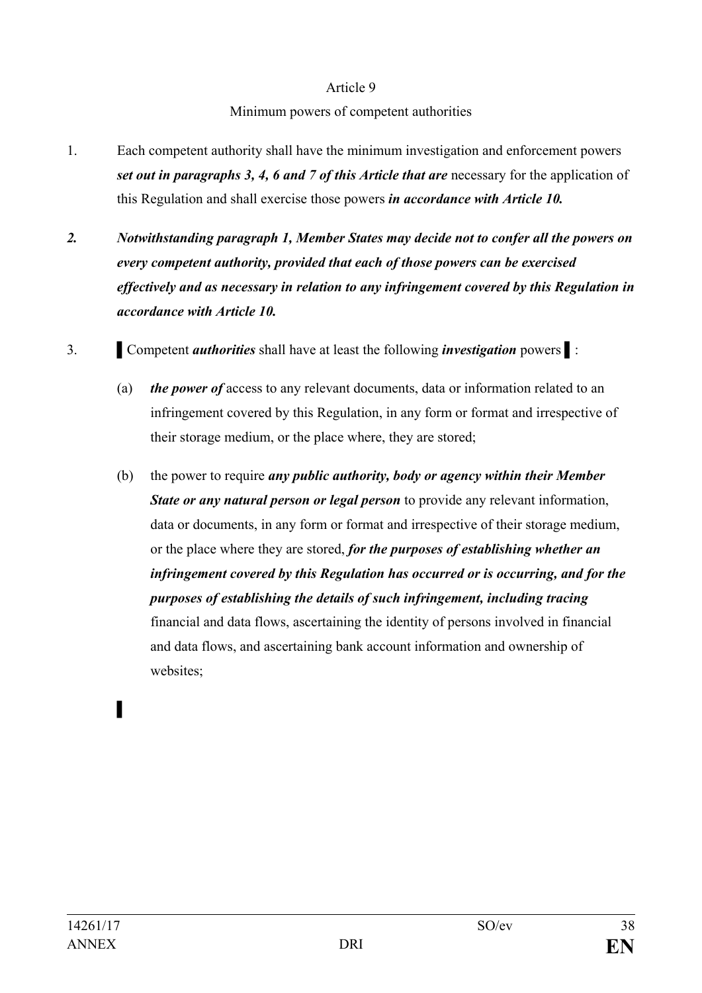Minimum powers of competent authorities

- 1. Each competent authority shall have the minimum investigation and enforcement powers *set out in paragraphs 3, 4, 6 and 7 of this Article that are necessary for the application of* this Regulation and shall exercise those powers *in accordance with Article 10.*
- *2. Notwithstanding paragraph 1, Member States may decide not to confer all the powers on every competent authority, provided that each of those powers can be exercised effectively and as necessary in relation to any infringement covered by this Regulation in accordance with Article 10.*
- 3. ▌Competent *authorities* shall have at least the following *investigation* powers ▌:
	- (a) *the power of* access to any relevant documents, data or information related to an infringement covered by this Regulation, in any form or format and irrespective of their storage medium, or the place where, they are stored;
	- (b) the power to require *any public authority, body or agency within their Member State or any natural person or legal person* to provide any relevant information, data or documents, in any form or format and irrespective of their storage medium, or the place where they are stored, *for the purposes of establishing whether an infringement covered by this Regulation has occurred or is occurring, and for the purposes of establishing the details of such infringement, including tracing* financial and data flows, ascertaining the identity of persons involved in financial and data flows, and ascertaining bank account information and ownership of websites;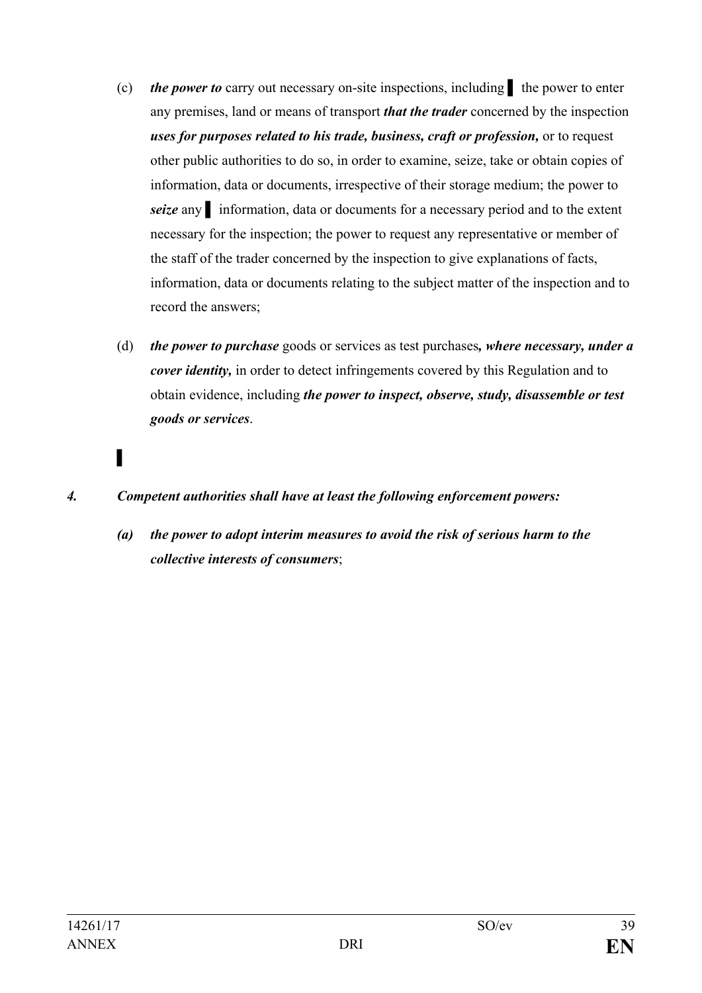- (c) *the power to* carry out necessary on-site inspections, including ▌ the power to enter any premises, land or means of transport *that the trader* concerned by the inspection *uses for purposes related to his trade, business, craft or profession,* or to request other public authorities to do so, in order to examine, seize, take or obtain copies of information, data or documents, irrespective of their storage medium; the power to *seize* any ▌ information, data or documents for a necessary period and to the extent necessary for the inspection; the power to request any representative or member of the staff of the trader concerned by the inspection to give explanations of facts, information, data or documents relating to the subject matter of the inspection and to record the answers;
- (d) *the power to purchase* goods or services as test purchases*, where necessary, under a cover identity,* in order to detect infringements covered by this Regulation and to obtain evidence, including *the power to inspect, observe, study, disassemble or test goods or services*.
- ▌
- *4. Competent authorities shall have at least the following enforcement powers:*
	- *(a) the power to adopt interim measures to avoid the risk of serious harm to the collective interests of consumers*;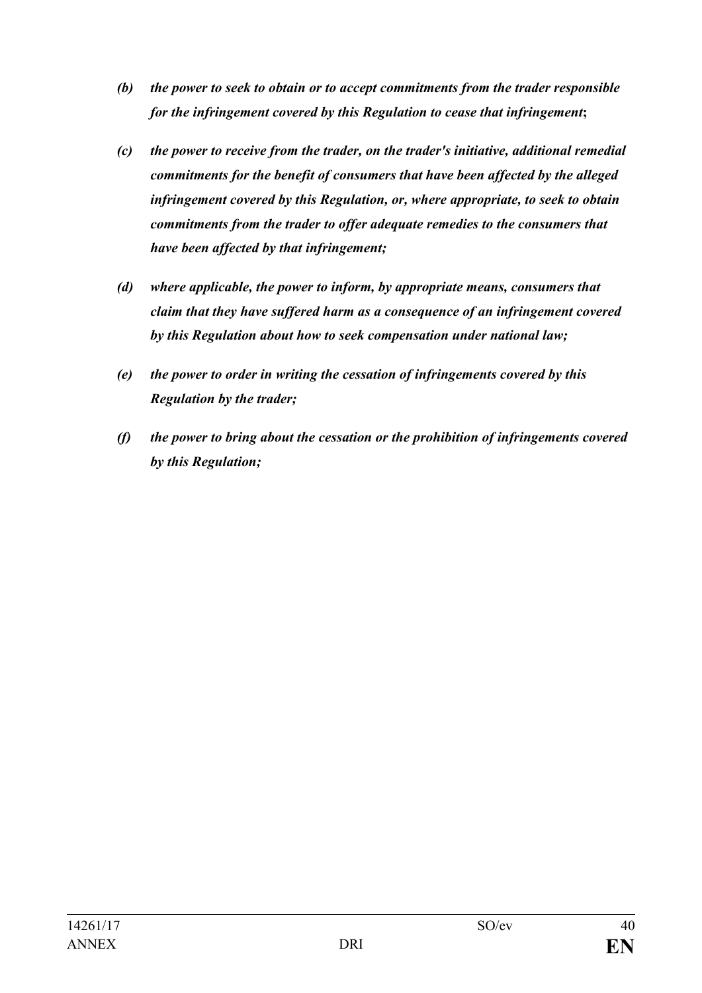- *(b) the power to seek to obtain or to accept commitments from the trader responsible for the infringement covered by this Regulation to cease that infringement***;**
- *(c) the power to receive from the trader, on the trader's initiative, additional remedial commitments for the benefit of consumers that have been affected by the alleged infringement covered by this Regulation, or, where appropriate, to seek to obtain commitments from the trader to offer adequate remedies to the consumers that have been affected by that infringement;*
- *(d) where applicable, the power to inform, by appropriate means, consumers that claim that they have suffered harm as a consequence of an infringement covered by this Regulation about how to seek compensation under national law;*
- *(e) the power to order in writing the cessation of infringements covered by this Regulation by the trader;*
- *(f) the power to bring about the cessation or the prohibition of infringements covered by this Regulation;*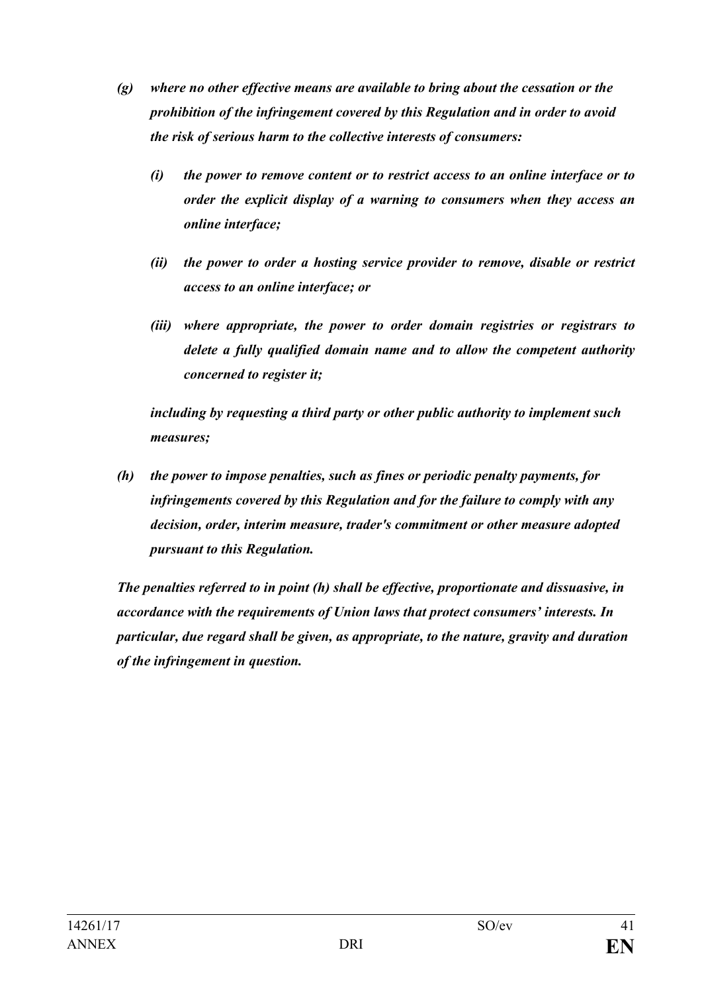- *(g) where no other effective means are available to bring about the cessation or the prohibition of the infringement covered by this Regulation and in order to avoid the risk of serious harm to the collective interests of consumers:*
	- *(i) the power to remove content or to restrict access to an online interface or to order the explicit display of a warning to consumers when they access an online interface;*
	- *(ii) the power to order a hosting service provider to remove, disable or restrict access to an online interface; or*
	- *(iii) where appropriate, the power to order domain registries or registrars to delete a fully qualified domain name and to allow the competent authority concerned to register it;*

*including by requesting a third party or other public authority to implement such measures;*

*(h) the power to impose penalties, such as fines or periodic penalty payments, for infringements covered by this Regulation and for the failure to comply with any decision, order, interim measure, trader's commitment or other measure adopted pursuant to this Regulation.*

*The penalties referred to in point (h) shall be effective, proportionate and dissuasive, in accordance with the requirements of Union laws that protect consumers' interests. In particular, due regard shall be given, as appropriate, to the nature, gravity and duration of the infringement in question.*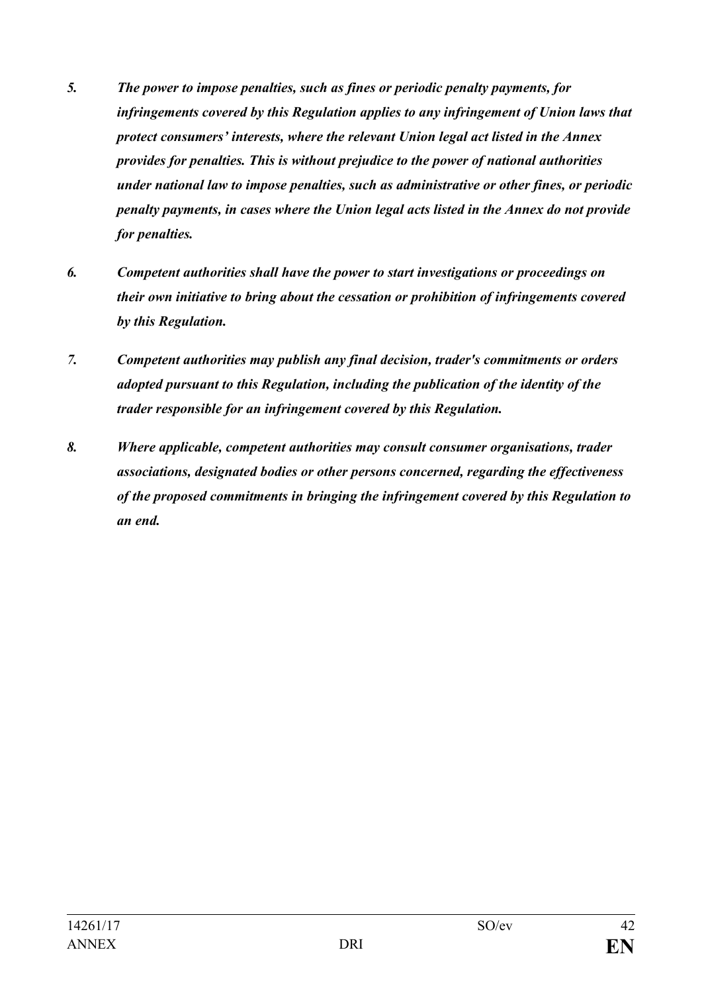- *5. The power to impose penalties, such as fines or periodic penalty payments, for infringements covered by this Regulation applies to any infringement of Union laws that protect consumers' interests, where the relevant Union legal act listed in the Annex provides for penalties. This is without prejudice to the power of national authorities under national law to impose penalties, such as administrative or other fines, or periodic penalty payments, in cases where the Union legal acts listed in the Annex do not provide for penalties.*
- *6. Competent authorities shall have the power to start investigations or proceedings on their own initiative to bring about the cessation or prohibition of infringements covered by this Regulation.*
- *7. Competent authorities may publish any final decision, trader's commitments or orders adopted pursuant to this Regulation, including the publication of the identity of the trader responsible for an infringement covered by this Regulation.*
- *8. Where applicable, competent authorities may consult consumer organisations, trader associations, designated bodies or other persons concerned, regarding the effectiveness of the proposed commitments in bringing the infringement covered by this Regulation to an end.*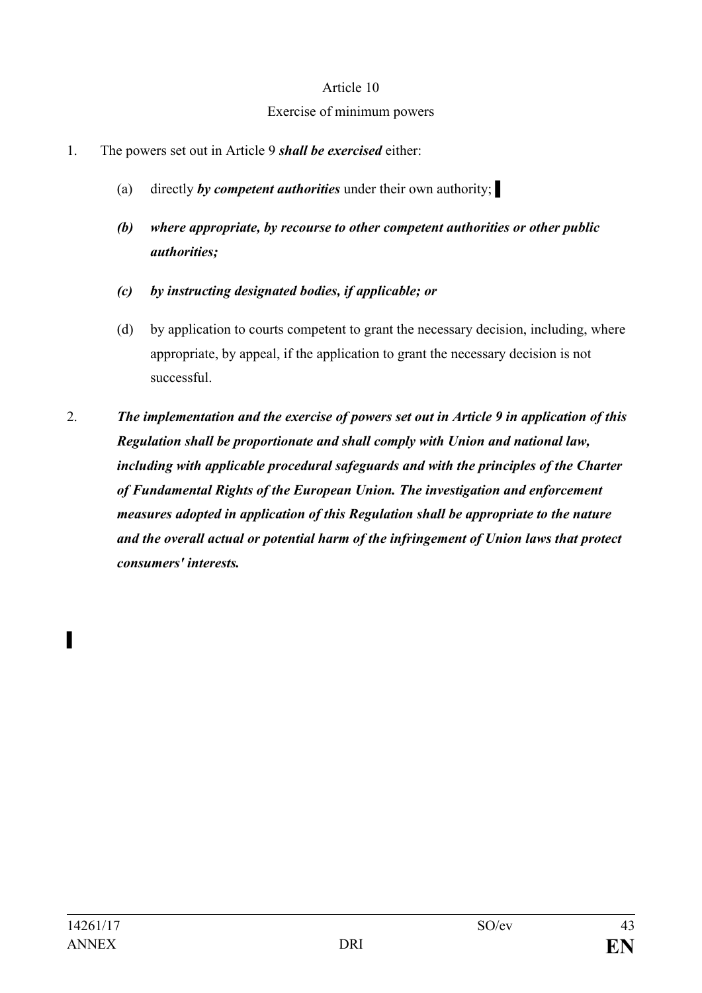#### Exercise of minimum powers

- 1. The powers set out in Article 9 *shall be exercised* either:
	- (a) directly *by competent authorities* under their own authority; ▌
	- *(b) where appropriate, by recourse to other competent authorities or other public authorities;*
	- *(c) by instructing designated bodies, if applicable; or*
	- (d) by application to courts competent to grant the necessary decision, including, where appropriate, by appeal, if the application to grant the necessary decision is not successful.
- 2. *The implementation and the exercise of powers set out in Article 9 in application of this Regulation shall be proportionate and shall comply with Union and national law, including with applicable procedural safeguards and with the principles of the Charter of Fundamental Rights of the European Union. The investigation and enforcement measures adopted in application of this Regulation shall be appropriate to the nature and the overall actual or potential harm of the infringement of Union laws that protect consumers' interests.*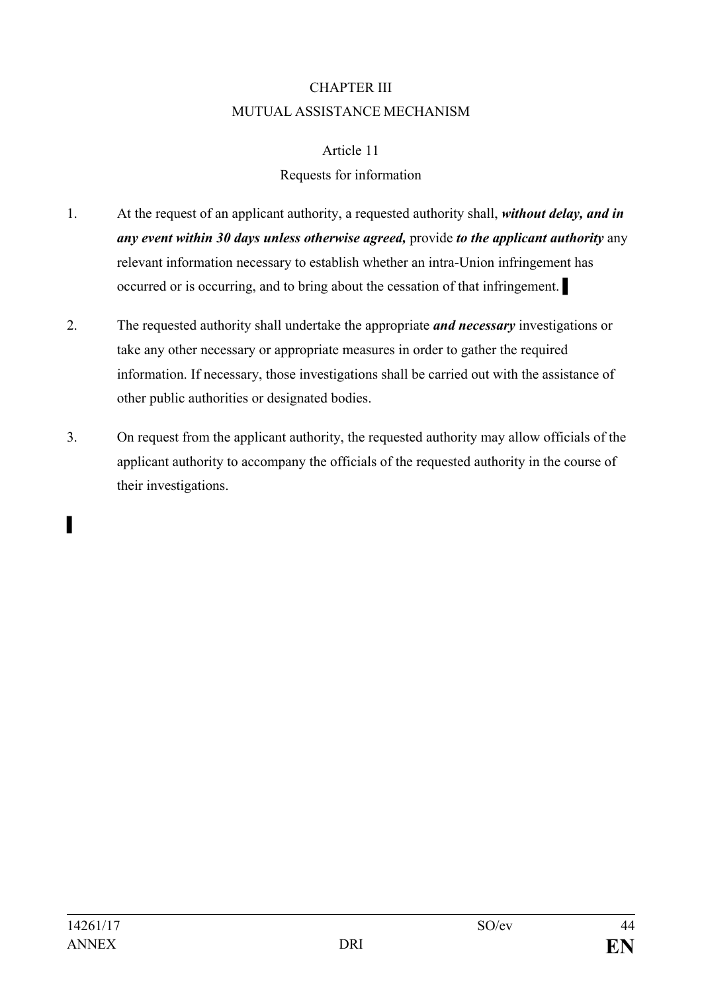## CHAPTER III MUTUAL ASSISTANCE MECHANISM

#### Article 11

## Requests for information

- 1. At the request of an applicant authority, a requested authority shall, *without delay, and in any event within 30 days unless otherwise agreed,* provide *to the applicant authority* any relevant information necessary to establish whether an intra-Union infringement has occurred or is occurring, and to bring about the cessation of that infringement. ▌
- 2. The requested authority shall undertake the appropriate *and necessary* investigations or take any other necessary or appropriate measures in order to gather the required information. If necessary, those investigations shall be carried out with the assistance of other public authorities or designated bodies.
- 3. On request from the applicant authority, the requested authority may allow officials of the applicant authority to accompany the officials of the requested authority in the course of their investigations.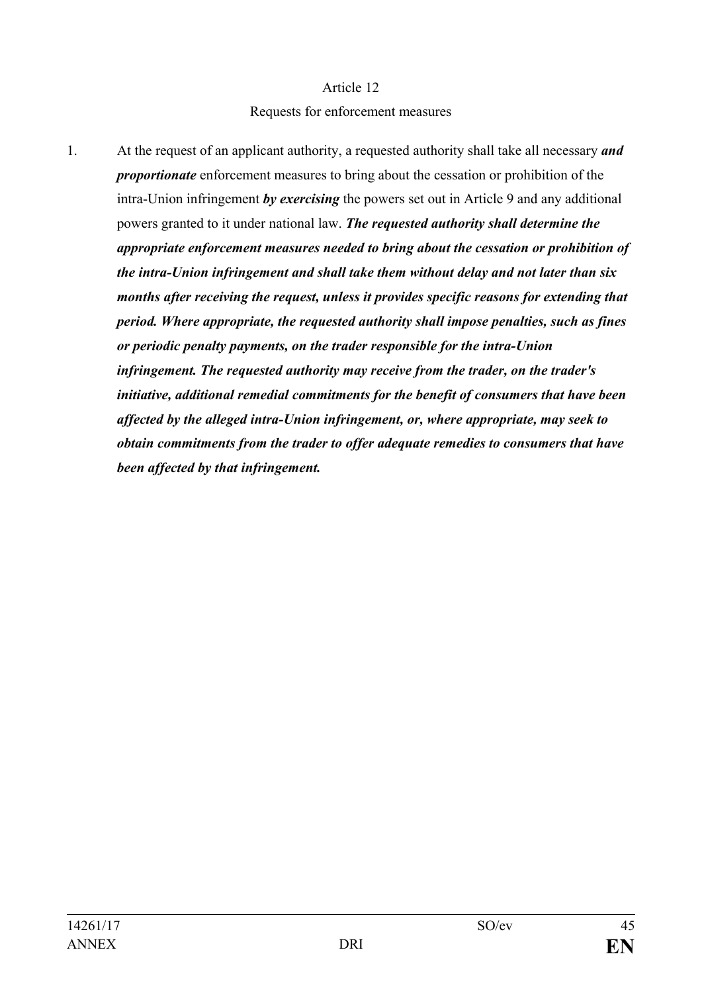#### Requests for enforcement measures

1. At the request of an applicant authority, a requested authority shall take all necessary *and proportionate* enforcement measures to bring about the cessation or prohibition of the intra-Union infringement *by exercising* the powers set out in Article 9 and any additional powers granted to it under national law. *The requested authority shall determine the appropriate enforcement measures needed to bring about the cessation or prohibition of the intra-Union infringement and shall take them without delay and not later than six months after receiving the request, unless it provides specific reasons for extending that period. Where appropriate, the requested authority shall impose penalties, such as fines or periodic penalty payments, on the trader responsible for the intra-Union infringement. The requested authority may receive from the trader, on the trader's initiative, additional remedial commitments for the benefit of consumers that have been affected by the alleged intra-Union infringement, or, where appropriate, may seek to obtain commitments from the trader to offer adequate remedies to consumers that have been affected by that infringement.*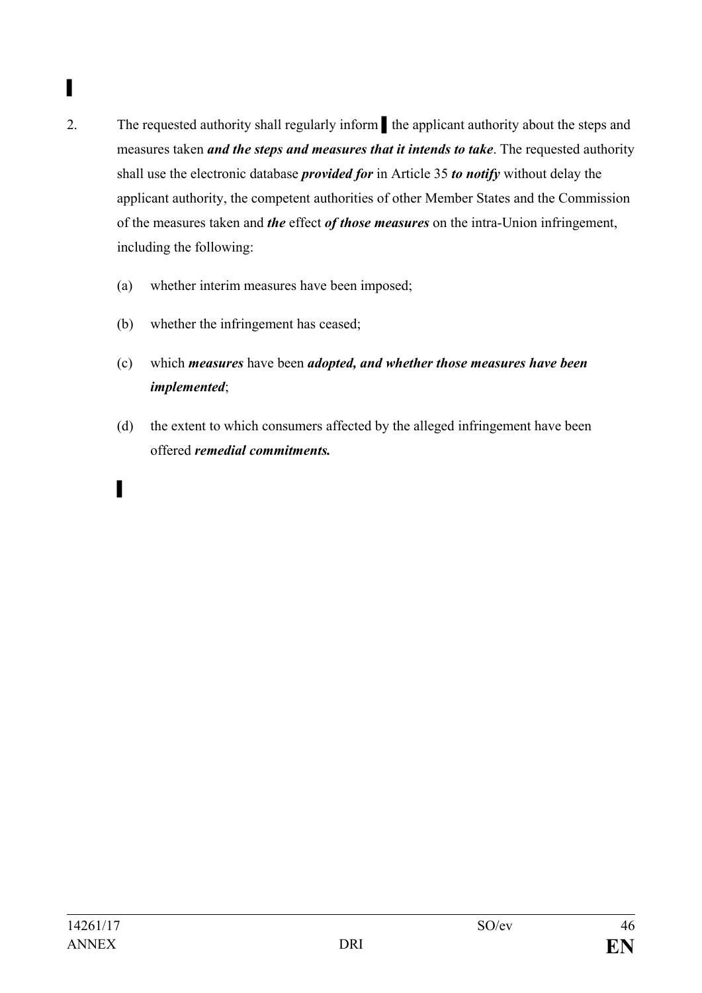# ▌

- 2. The requested authority shall regularly inform the applicant authority about the steps and measures taken *and the steps and measures that it intends to take*. The requested authority shall use the electronic database *provided for* in Article 35 *to notify* without delay the applicant authority, the competent authorities of other Member States and the Commission of the measures taken and *the* effect *of those measures* on the intra-Union infringement, including the following:
	- (a) whether interim measures have been imposed;
	- (b) whether the infringement has ceased;
	- (c) which *measures* have been *adopted, and whether those measures have been implemented*;
	- (d) the extent to which consumers affected by the alleged infringement have been offered *remedial commitments.*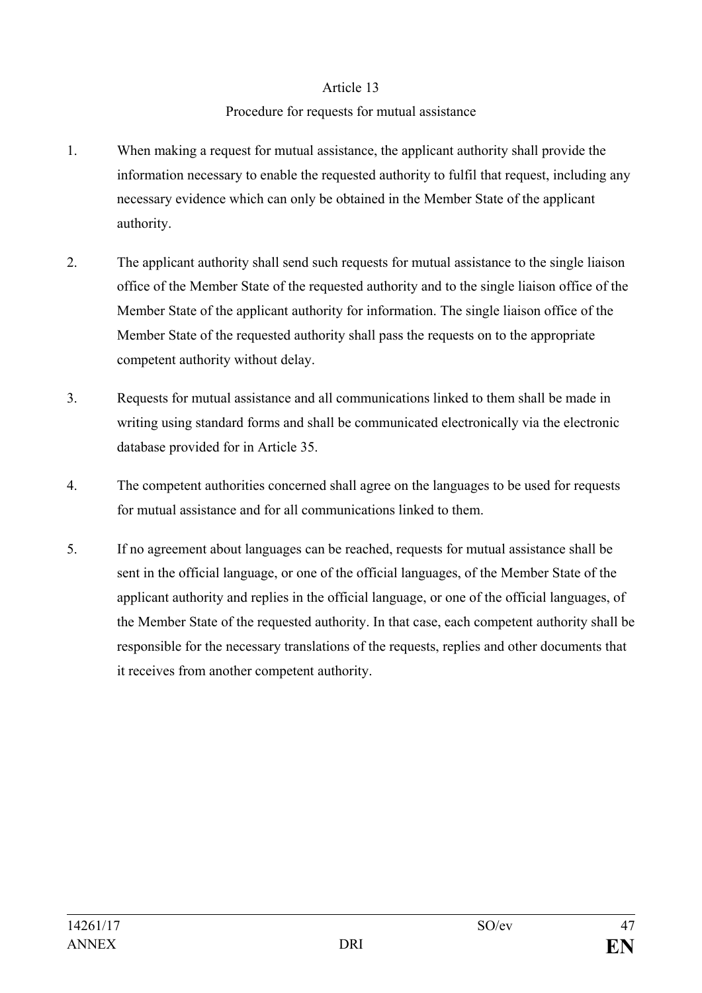#### Procedure for requests for mutual assistance

- 1. When making a request for mutual assistance, the applicant authority shall provide the information necessary to enable the requested authority to fulfil that request, including any necessary evidence which can only be obtained in the Member State of the applicant authority.
- 2. The applicant authority shall send such requests for mutual assistance to the single liaison office of the Member State of the requested authority and to the single liaison office of the Member State of the applicant authority for information. The single liaison office of the Member State of the requested authority shall pass the requests on to the appropriate competent authority without delay.
- 3. Requests for mutual assistance and all communications linked to them shall be made in writing using standard forms and shall be communicated electronically via the electronic database provided for in Article 35.
- 4. The competent authorities concerned shall agree on the languages to be used for requests for mutual assistance and for all communications linked to them.
- 5. If no agreement about languages can be reached, requests for mutual assistance shall be sent in the official language, or one of the official languages, of the Member State of the applicant authority and replies in the official language, or one of the official languages, of the Member State of the requested authority. In that case, each competent authority shall be responsible for the necessary translations of the requests, replies and other documents that it receives from another competent authority.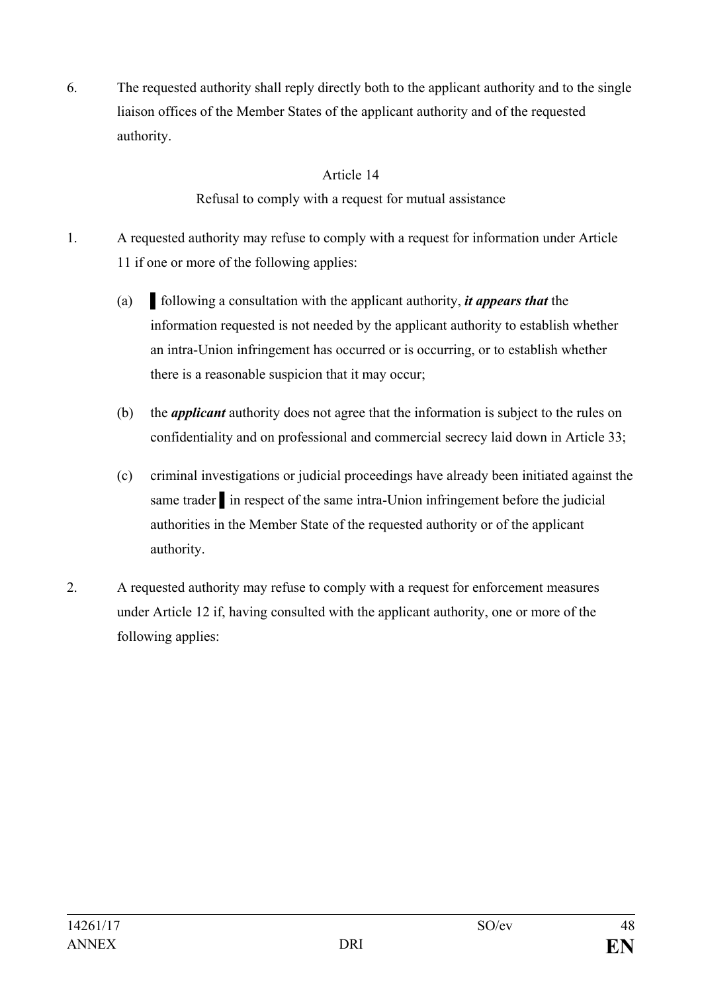6. The requested authority shall reply directly both to the applicant authority and to the single liaison offices of the Member States of the applicant authority and of the requested authority.

## Article 14

Refusal to comply with a request for mutual assistance

- 1. A requested authority may refuse to comply with a request for information under Article 11 if one or more of the following applies:
	- (a) ▌following a consultation with the applicant authority, *it appears that* the information requested is not needed by the applicant authority to establish whether an intra-Union infringement has occurred or is occurring, or to establish whether there is a reasonable suspicion that it may occur;
	- (b) the *applicant* authority does not agree that the information is subject to the rules on confidentiality and on professional and commercial secrecy laid down in Article 33;
	- (c) criminal investigations or judicial proceedings have already been initiated against the same trader in respect of the same intra-Union infringement before the judicial authorities in the Member State of the requested authority or of the applicant authority.
- 2. A requested authority may refuse to comply with a request for enforcement measures under Article 12 if, having consulted with the applicant authority, one or more of the following applies: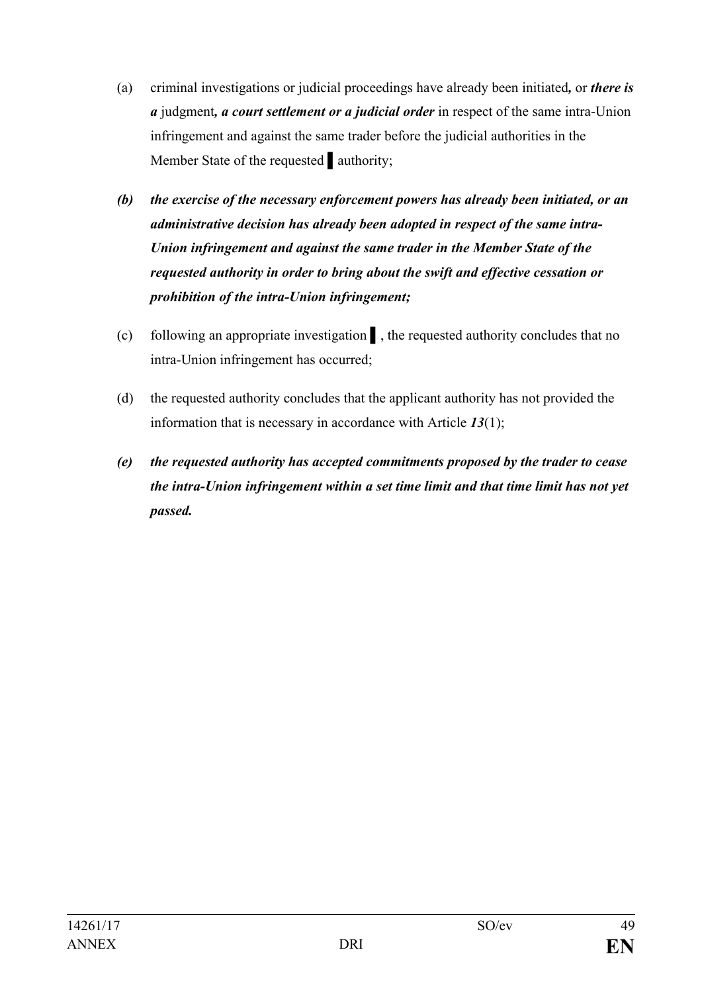- (a) criminal investigations or judicial proceedings have already been initiated*,* or *there is a* judgment*, a court settlement or a judicial order* in respect of the same intra-Union infringement and against the same trader before the judicial authorities in the Member State of the requested authority;
- *(b) the exercise of the necessary enforcement powers has already been initiated, or an administrative decision has already been adopted in respect of the same intra-Union infringement and against the same trader in the Member State of the requested authority in order to bring about the swift and effective cessation or prohibition of the intra-Union infringement;*
- (c) following an appropriate investigation ▌, the requested authority concludes that no intra-Union infringement has occurred;
- (d) the requested authority concludes that the applicant authority has not provided the information that is necessary in accordance with Article *13*(1);
- *(e) the requested authority has accepted commitments proposed by the trader to cease the intra-Union infringement within a set time limit and that time limit has not yet passed.*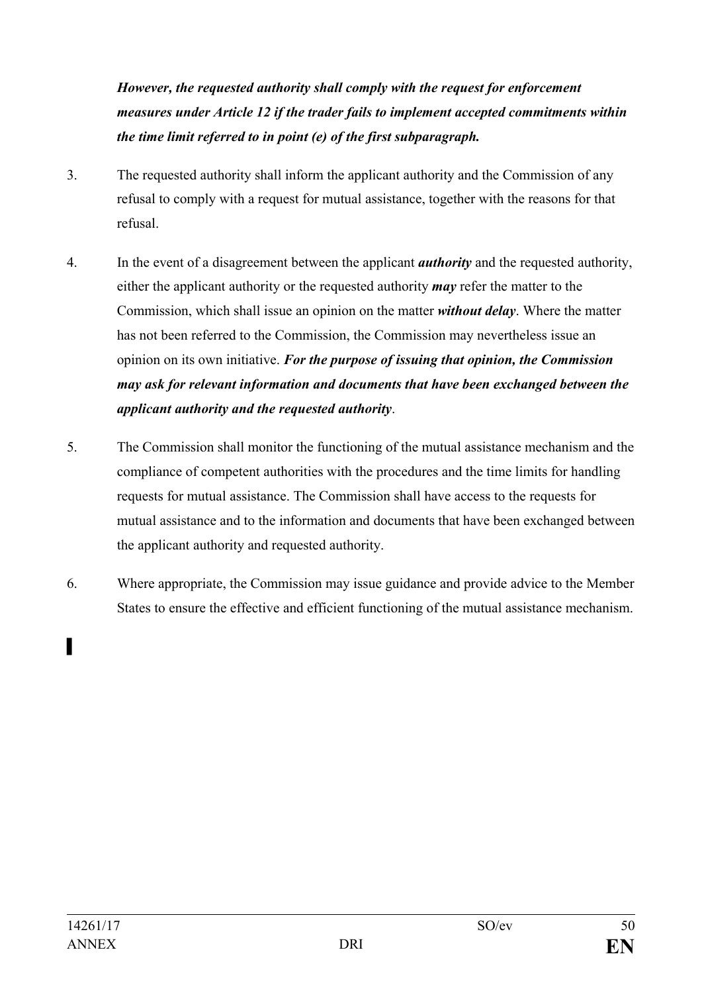*However, the requested authority shall comply with the request for enforcement measures under Article 12 if the trader fails to implement accepted commitments within the time limit referred to in point (e) of the first subparagraph.*

- 3. The requested authority shall inform the applicant authority and the Commission of any refusal to comply with a request for mutual assistance, together with the reasons for that refusal.
- 4. In the event of a disagreement between the applicant *authority* and the requested authority, either the applicant authority or the requested authority *may* refer the matter to the Commission, which shall issue an opinion on the matter *without delay*. Where the matter has not been referred to the Commission, the Commission may nevertheless issue an opinion on its own initiative. *For the purpose of issuing that opinion, the Commission may ask for relevant information and documents that have been exchanged between the applicant authority and the requested authority*.
- 5. The Commission shall monitor the functioning of the mutual assistance mechanism and the compliance of competent authorities with the procedures and the time limits for handling requests for mutual assistance. The Commission shall have access to the requests for mutual assistance and to the information and documents that have been exchanged between the applicant authority and requested authority.
- 6. Where appropriate, the Commission may issue guidance and provide advice to the Member States to ensure the effective and efficient functioning of the mutual assistance mechanism.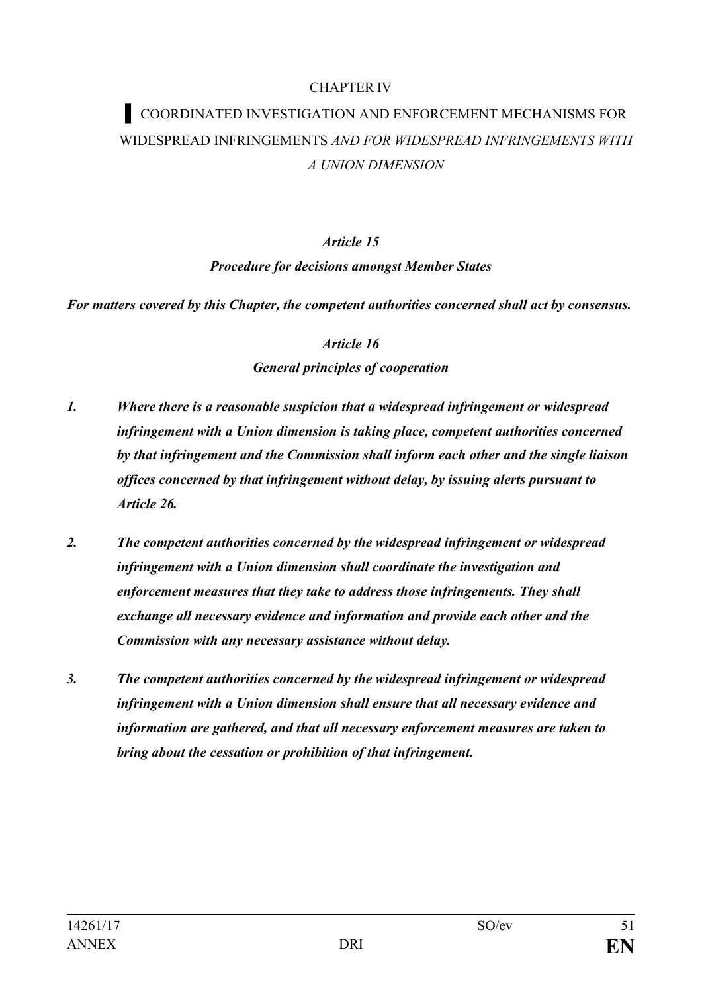#### CHAPTER IV

# **▌** COORDINATED INVESTIGATION AND ENFORCEMENT MECHANISMS FOR WIDESPREAD INFRINGEMENTS *AND FOR WIDESPREAD INFRINGEMENTS WITH A UNION DIMENSION*

#### *Article 15*

#### *Procedure for decisions amongst Member States*

*For matters covered by this Chapter, the competent authorities concerned shall act by consensus.*

*Article 16*

## *General principles of cooperation*

- *1. Where there is a reasonable suspicion that a widespread infringement or widespread infringement with a Union dimension is taking place, competent authorities concerned by that infringement and the Commission shall inform each other and the single liaison offices concerned by that infringement without delay, by issuing alerts pursuant to Article 26.*
- *2. The competent authorities concerned by the widespread infringement or widespread infringement with a Union dimension shall coordinate the investigation and enforcement measures that they take to address those infringements. They shall exchange all necessary evidence and information and provide each other and the Commission with any necessary assistance without delay.*
- *3. The competent authorities concerned by the widespread infringement or widespread infringement with a Union dimension shall ensure that all necessary evidence and information are gathered, and that all necessary enforcement measures are taken to bring about the cessation or prohibition of that infringement.*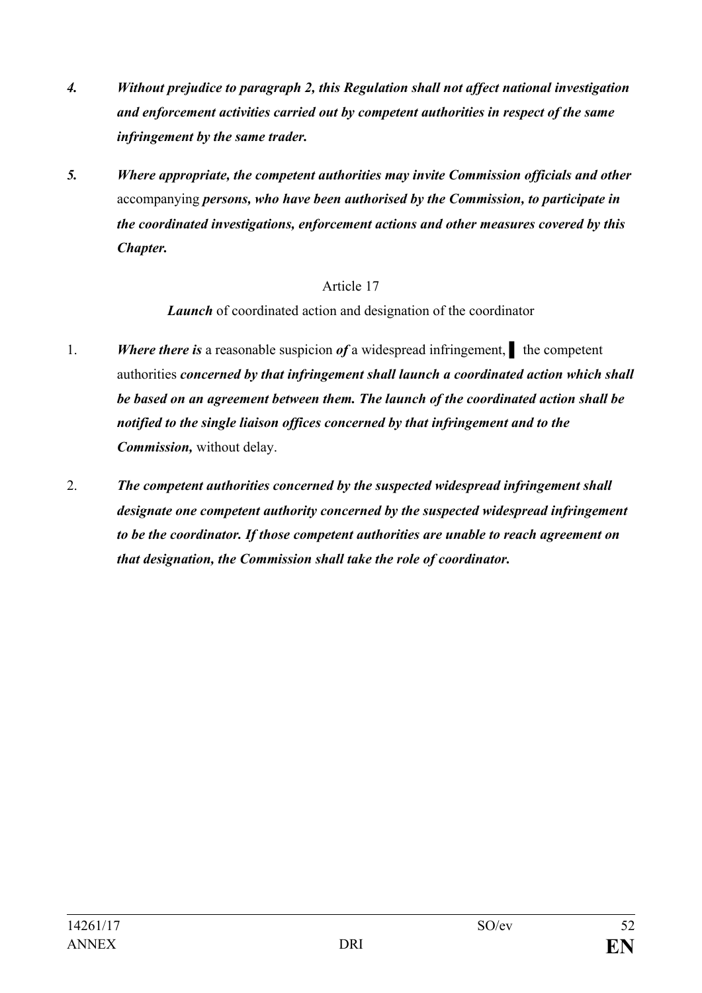- *4. Without prejudice to paragraph 2, this Regulation shall not affect national investigation and enforcement activities carried out by competent authorities in respect of the same infringement by the same trader.*
- *5. Where appropriate, the competent authorities may invite Commission officials and other*  accompanying *persons, who have been authorised by the Commission, to participate in the coordinated investigations, enforcement actions and other measures covered by this Chapter.*

*Launch* of coordinated action and designation of the coordinator

- 1. *Where there is* a reasonable suspicion *of* a widespread infringement, ▌ the competent authorities *concerned by that infringement shall launch a coordinated action which shall be based on an agreement between them. The launch of the coordinated action shall be notified to the single liaison offices concerned by that infringement and to the Commission,* without delay.
- 2. *The competent authorities concerned by the suspected widespread infringement shall designate one competent authority concerned by the suspected widespread infringement to be the coordinator. If those competent authorities are unable to reach agreement on that designation, the Commission shall take the role of coordinator.*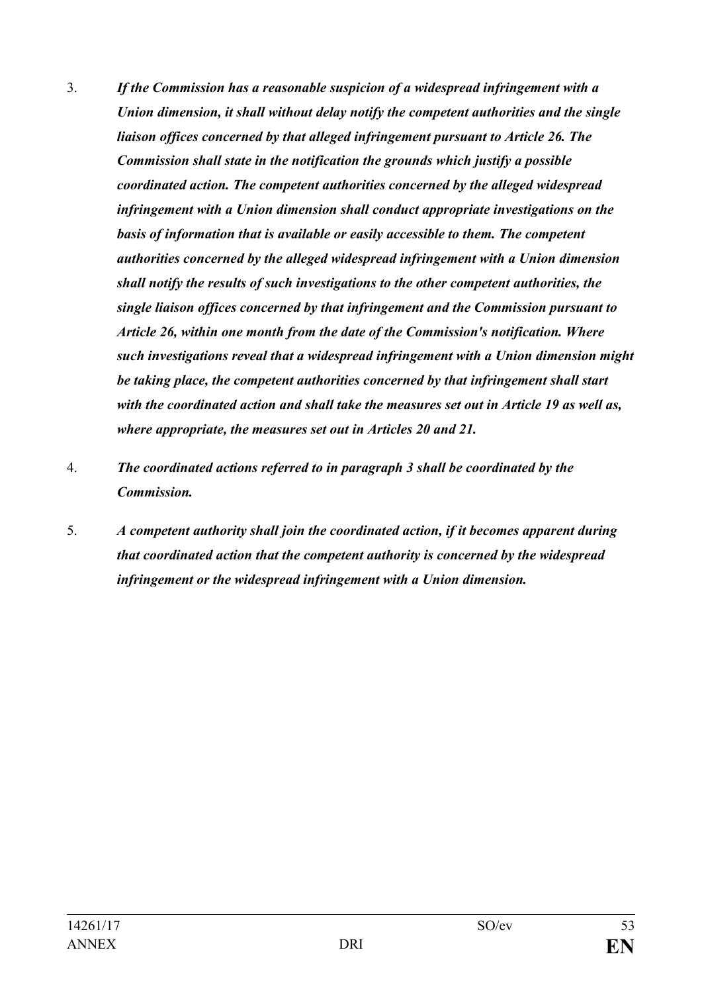- 3. *If the Commission has a reasonable suspicion of a widespread infringement with a Union dimension, it shall without delay notify the competent authorities and the single liaison offices concerned by that alleged infringement pursuant to Article 26. The Commission shall state in the notification the grounds which justify a possible coordinated action. The competent authorities concerned by the alleged widespread infringement with a Union dimension shall conduct appropriate investigations on the basis of information that is available or easily accessible to them. The competent authorities concerned by the alleged widespread infringement with a Union dimension shall notify the results of such investigations to the other competent authorities, the single liaison offices concerned by that infringement and the Commission pursuant to Article 26, within one month from the date of the Commission's notification. Where such investigations reveal that a widespread infringement with a Union dimension might be taking place, the competent authorities concerned by that infringement shall start with the coordinated action and shall take the measures set out in Article 19 as well as, where appropriate, the measures set out in Articles 20 and 21.*
- 4. *The coordinated actions referred to in paragraph 3 shall be coordinated by the Commission.*
- 5. *A competent authority shall join the coordinated action, if it becomes apparent during that coordinated action that the competent authority is concerned by the widespread infringement or the widespread infringement with a Union dimension.*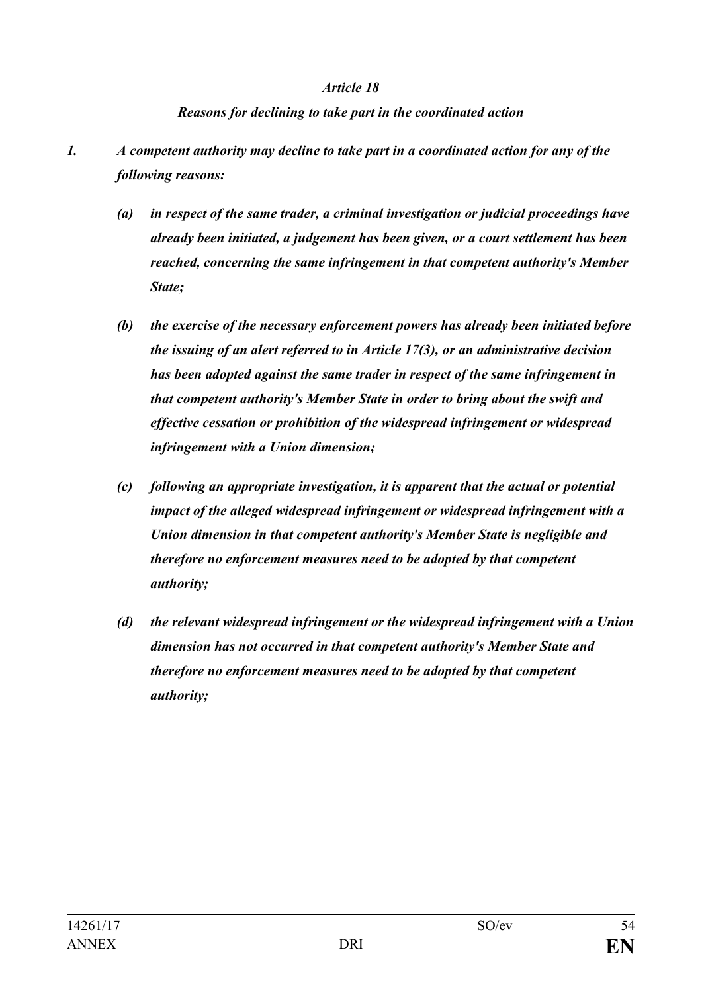#### *Reasons for declining to take part in the coordinated action*

- *1. A competent authority may decline to take part in a coordinated action for any of the following reasons:*
	- *(a) in respect of the same trader, a criminal investigation or judicial proceedings have already been initiated, a judgement has been given, or a court settlement has been reached, concerning the same infringement in that competent authority's Member State;*
	- *(b) the exercise of the necessary enforcement powers has already been initiated before the issuing of an alert referred to in Article 17(3), or an administrative decision has been adopted against the same trader in respect of the same infringement in that competent authority's Member State in order to bring about the swift and effective cessation or prohibition of the widespread infringement or widespread infringement with a Union dimension;*
	- *(c) following an appropriate investigation, it is apparent that the actual or potential impact of the alleged widespread infringement or widespread infringement with a Union dimension in that competent authority's Member State is negligible and therefore no enforcement measures need to be adopted by that competent authority;*
	- *(d) the relevant widespread infringement or the widespread infringement with a Union dimension has not occurred in that competent authority's Member State and therefore no enforcement measures need to be adopted by that competent authority;*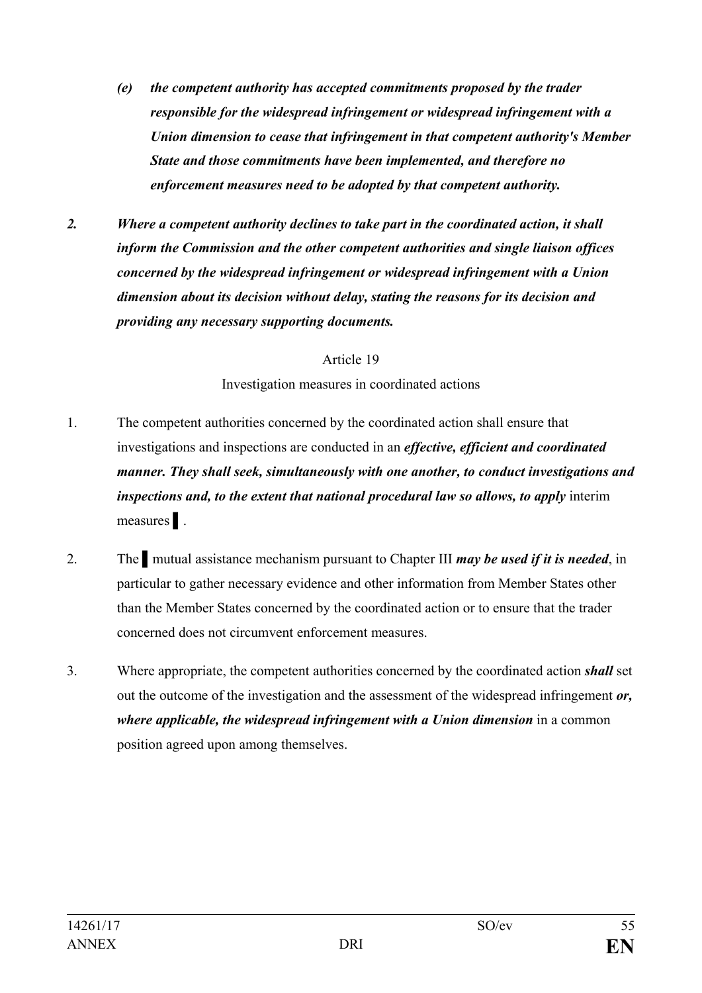- *(e) the competent authority has accepted commitments proposed by the trader responsible for the widespread infringement or widespread infringement with a Union dimension to cease that infringement in that competent authority's Member State and those commitments have been implemented, and therefore no enforcement measures need to be adopted by that competent authority.*
- *2. Where a competent authority declines to take part in the coordinated action, it shall inform the Commission and the other competent authorities and single liaison offices concerned by the widespread infringement or widespread infringement with a Union dimension about its decision without delay, stating the reasons for its decision and providing any necessary supporting documents.*

Investigation measures in coordinated actions

- 1. The competent authorities concerned by the coordinated action shall ensure that investigations and inspections are conducted in an *effective, efficient and coordinated manner. They shall seek, simultaneously with one another, to conduct investigations and inspections and, to the extent that national procedural law so allows, to apply* interim measures ▌.
- 2. The ▌mutual assistance mechanism pursuant to Chapter III *may be used if it is needed*, in particular to gather necessary evidence and other information from Member States other than the Member States concerned by the coordinated action or to ensure that the trader concerned does not circumvent enforcement measures.
- 3. Where appropriate, the competent authorities concerned by the coordinated action *shall* set out the outcome of the investigation and the assessment of the widespread infringement *or, where applicable, the widespread infringement with a Union dimension* in a common position agreed upon among themselves.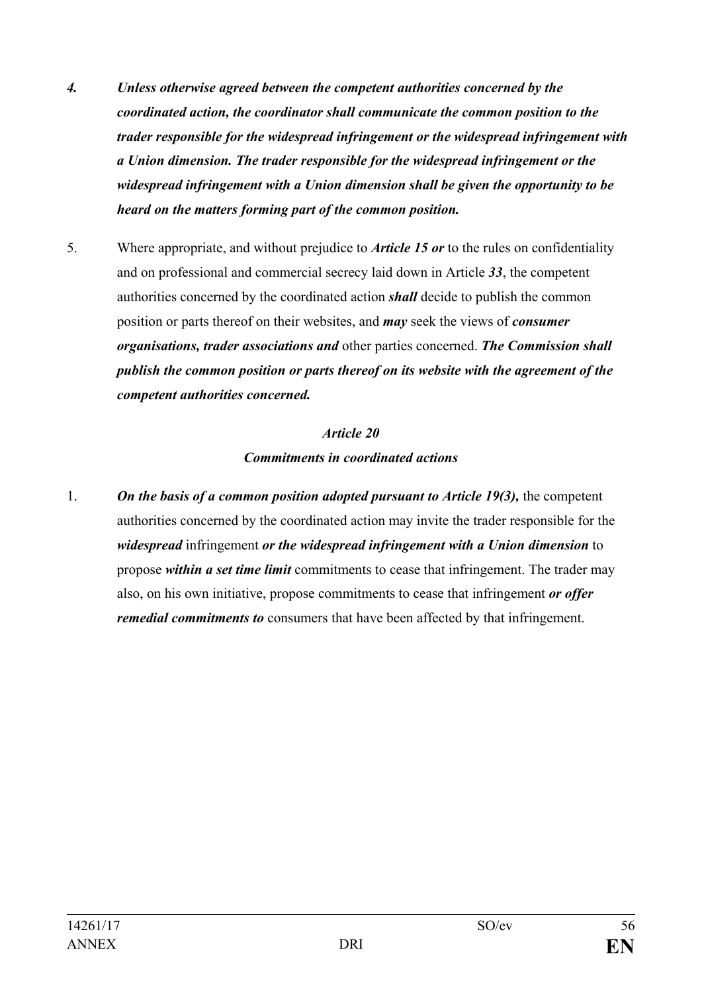- *4. Unless otherwise agreed between the competent authorities concerned by the coordinated action, the coordinator shall communicate the common position to the trader responsible for the widespread infringement or the widespread infringement with a Union dimension. The trader responsible for the widespread infringement or the widespread infringement with a Union dimension shall be given the opportunity to be heard on the matters forming part of the common position.*
- 5. Where appropriate, and without prejudice to *Article 15 or* to the rules on confidentiality and on professional and commercial secrecy laid down in Article *33*, the competent authorities concerned by the coordinated action *shall* decide to publish the common position or parts thereof on their websites, and *may* seek the views of *consumer organisations, trader associations and* other parties concerned. *The Commission shall publish the common position or parts thereof on its website with the agreement of the competent authorities concerned.*

## *Article 20 Commitments in coordinated actions*

1. *On the basis of a common position adopted pursuant to Article 19(3),* the competent authorities concerned by the coordinated action may invite the trader responsible for the *widespread* infringement *or the widespread infringement with a Union dimension* to propose *within a set time limit* commitments to cease that infringement. The trader may also, on his own initiative, propose commitments to cease that infringement *or offer remedial commitments to* consumers that have been affected by that infringement.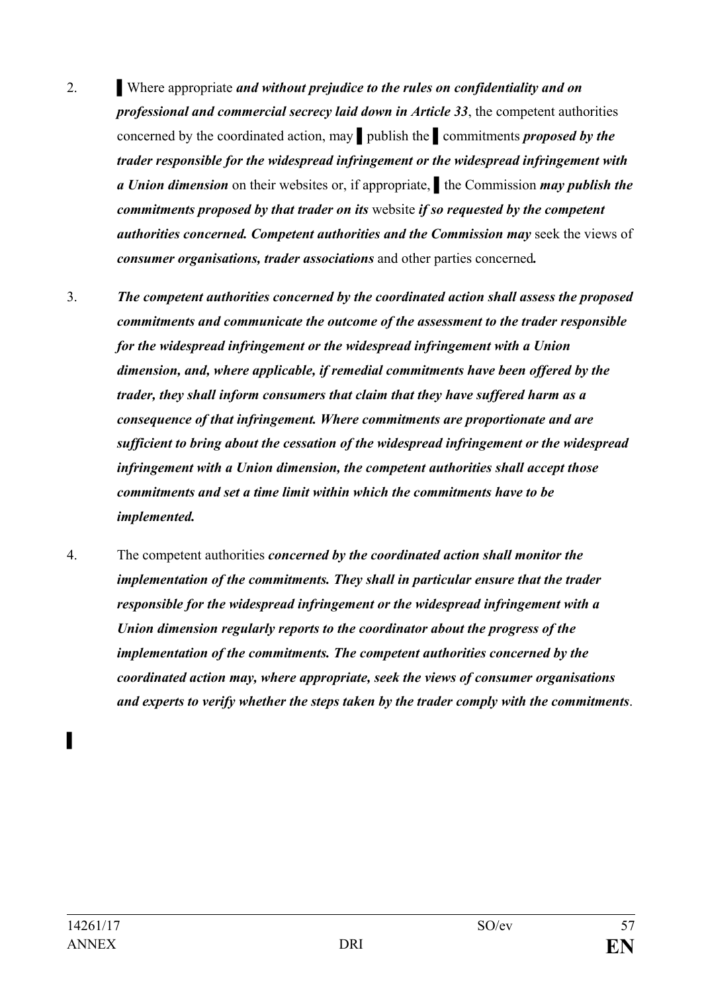- 2. Where appropriate *and without prejudice to the rules on confidentiality and on professional and commercial secrecy laid down in Article 33*, the competent authorities concerned by the coordinated action, may ▌publish the ▌commitments *proposed by the trader responsible for the widespread infringement or the widespread infringement with a Union dimension* on their websites or, if appropriate, ▌the Commission *may publish the commitments proposed by that trader on its* website *if so requested by the competent authorities concerned. Competent authorities and the Commission may* seek the views of *consumer organisations, trader associations* and other parties concerned*.*
- 3. *The competent authorities concerned by the coordinated action shall assess the proposed commitments and communicate the outcome of the assessment to the trader responsible for the widespread infringement or the widespread infringement with a Union dimension, and, where applicable, if remedial commitments have been offered by the trader, they shall inform consumers that claim that they have suffered harm as a consequence of that infringement. Where commitments are proportionate and are sufficient to bring about the cessation of the widespread infringement or the widespread infringement with a Union dimension, the competent authorities shall accept those commitments and set a time limit within which the commitments have to be implemented.*
- 4. The competent authorities *concerned by the coordinated action shall monitor the implementation of the commitments. They shall in particular ensure that the trader responsible for the widespread infringement or the widespread infringement with a Union dimension regularly reports to the coordinator about the progress of the implementation of the commitments. The competent authorities concerned by the coordinated action may, where appropriate, seek the views of consumer organisations and experts to verify whether the steps taken by the trader comply with the commitments*.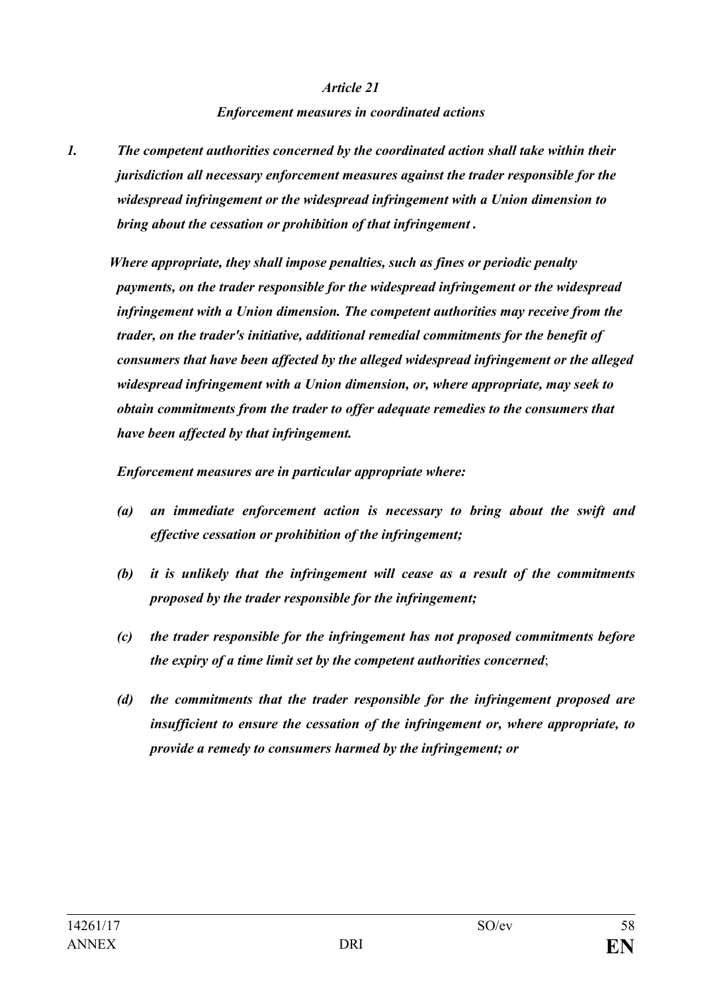#### *Enforcement measures in coordinated actions*

*1. The competent authorities concerned by the coordinated action shall take within their jurisdiction all necessary enforcement measures against the trader responsible for the widespread infringement or the widespread infringement with a Union dimension to bring about the cessation or prohibition of that infringement .* 

*Where appropriate, they shall impose penalties, such as fines or periodic penalty payments, on the trader responsible for the widespread infringement or the widespread infringement with a Union dimension. The competent authorities may receive from the trader, on the trader's initiative, additional remedial commitments for the benefit of consumers that have been affected by the alleged widespread infringement or the alleged widespread infringement with a Union dimension, or, where appropriate, may seek to obtain commitments from the trader to offer adequate remedies to the consumers that have been affected by that infringement.* 

*Enforcement measures are in particular appropriate where:*

- *(a) an immediate enforcement action is necessary to bring about the swift and effective cessation or prohibition of the infringement;*
- *(b) it is unlikely that the infringement will cease as a result of the commitments proposed by the trader responsible for the infringement;*
- *(c) the trader responsible for the infringement has not proposed commitments before the expiry of a time limit set by the competent authorities concerned*;
- *(d) the commitments that the trader responsible for the infringement proposed are insufficient to ensure the cessation of the infringement or, where appropriate, to provide a remedy to consumers harmed by the infringement; or*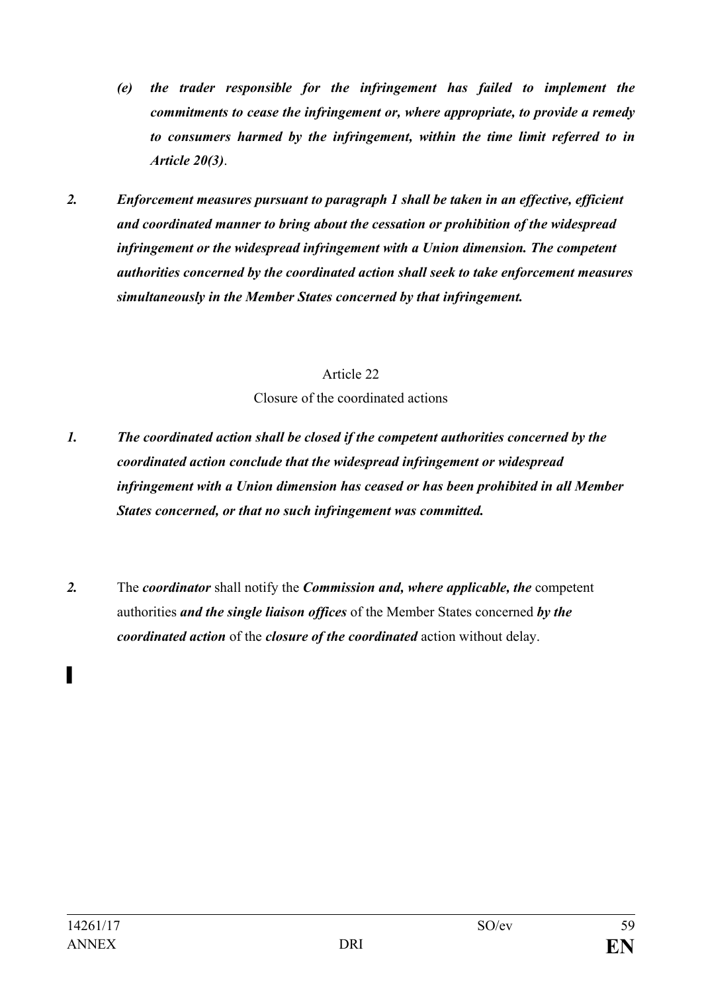- *(e) the trader responsible for the infringement has failed to implement the commitments to cease the infringement or, where appropriate, to provide a remedy to consumers harmed by the infringement, within the time limit referred to in Article 20(3)*.
- *2. Enforcement measures pursuant to paragraph 1 shall be taken in an effective, efficient and coordinated manner to bring about the cessation or prohibition of the widespread infringement or the widespread infringement with a Union dimension. The competent authorities concerned by the coordinated action shall seek to take enforcement measures simultaneously in the Member States concerned by that infringement.*

Closure of the coordinated actions

- *1. The coordinated action shall be closed if the competent authorities concerned by the coordinated action conclude that the widespread infringement or widespread infringement with a Union dimension has ceased or has been prohibited in all Member States concerned, or that no such infringement was committed.*
- *2.* The *coordinator* shall notify the *Commission and, where applicable, the* competent authorities *and the single liaison offices* of the Member States concerned *by the coordinated action* of the *closure of the coordinated* action without delay.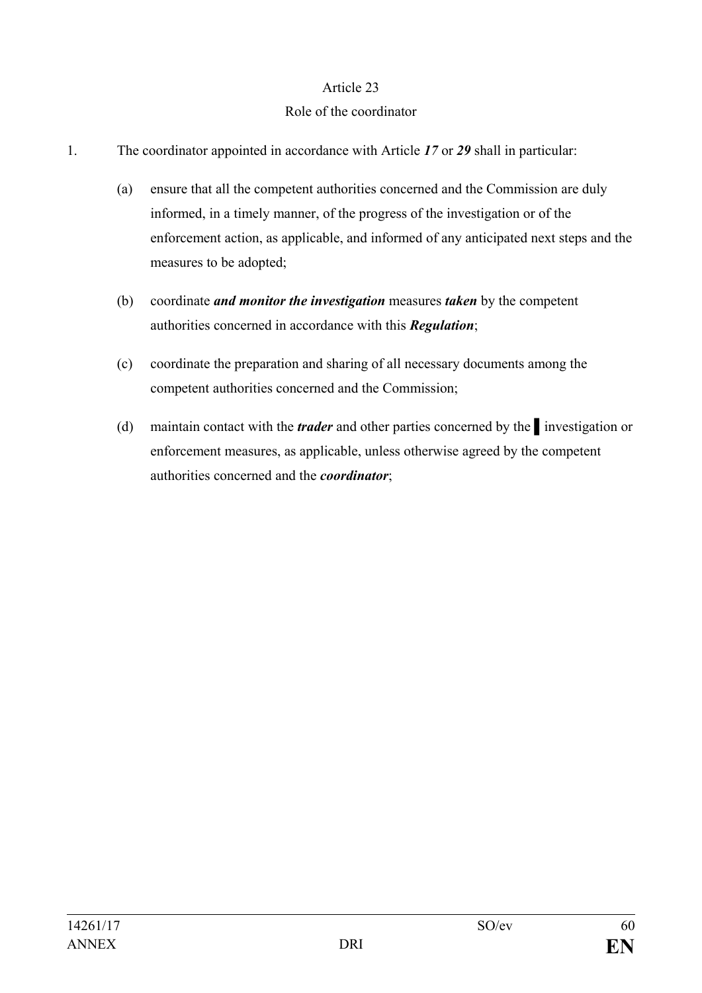#### Role of the coordinator

- 1. The coordinator appointed in accordance with Article *17* or *29* shall in particular:
	- (a) ensure that all the competent authorities concerned and the Commission are duly informed, in a timely manner, of the progress of the investigation or of the enforcement action, as applicable, and informed of any anticipated next steps and the measures to be adopted;
	- (b) coordinate *and monitor the investigation* measures *taken* by the competent authorities concerned in accordance with this *Regulation*;
	- (c) coordinate the preparation and sharing of all necessary documents among the competent authorities concerned and the Commission;
	- (d) maintain contact with the *trader* and other parties concerned by the ▌investigation or enforcement measures, as applicable, unless otherwise agreed by the competent authorities concerned and the *coordinator*;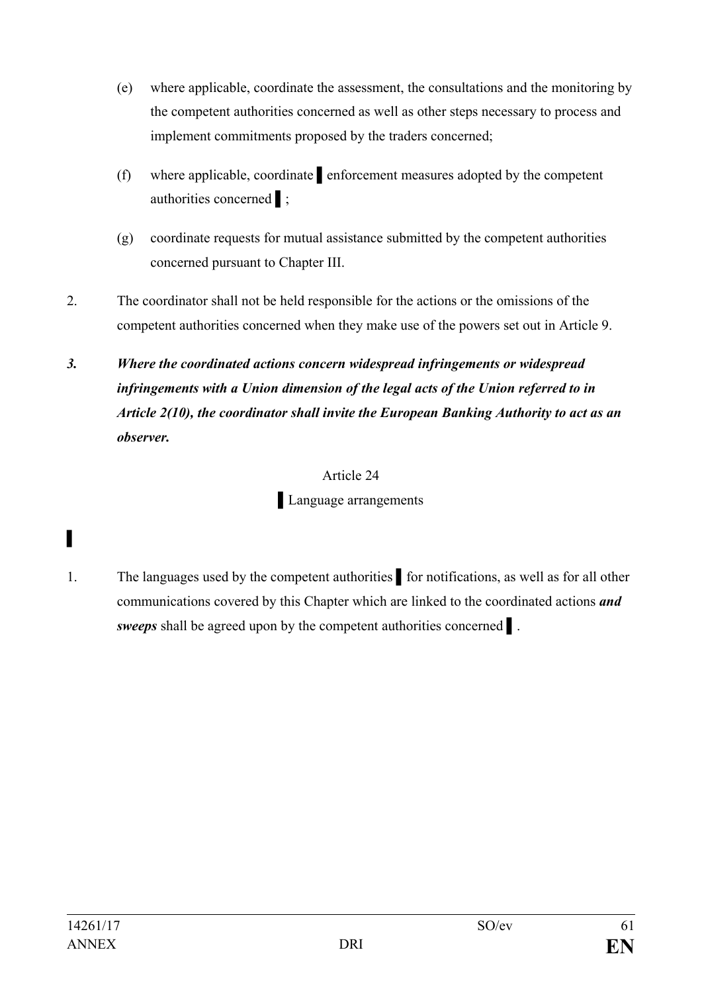- (e) where applicable, coordinate the assessment, the consultations and the monitoring by the competent authorities concerned as well as other steps necessary to process and implement commitments proposed by the traders concerned;
- (f) where applicable, coordinate ▌enforcement measures adopted by the competent authorities concerned ▌;
- (g) coordinate requests for mutual assistance submitted by the competent authorities concerned pursuant to Chapter III.
- 2. The coordinator shall not be held responsible for the actions or the omissions of the competent authorities concerned when they make use of the powers set out in Article 9.
- *3. Where the coordinated actions concern widespread infringements or widespread infringements with a Union dimension of the legal acts of the Union referred to in Article 2(10), the coordinator shall invite the European Banking Authority to act as an observer.*

▌Language arrangements

1. The languages used by the competent authorities ▌for notifications, as well as for all other communications covered by this Chapter which are linked to the coordinated actions *and sweeps* shall be agreed upon by the competent authorities concerned ▌.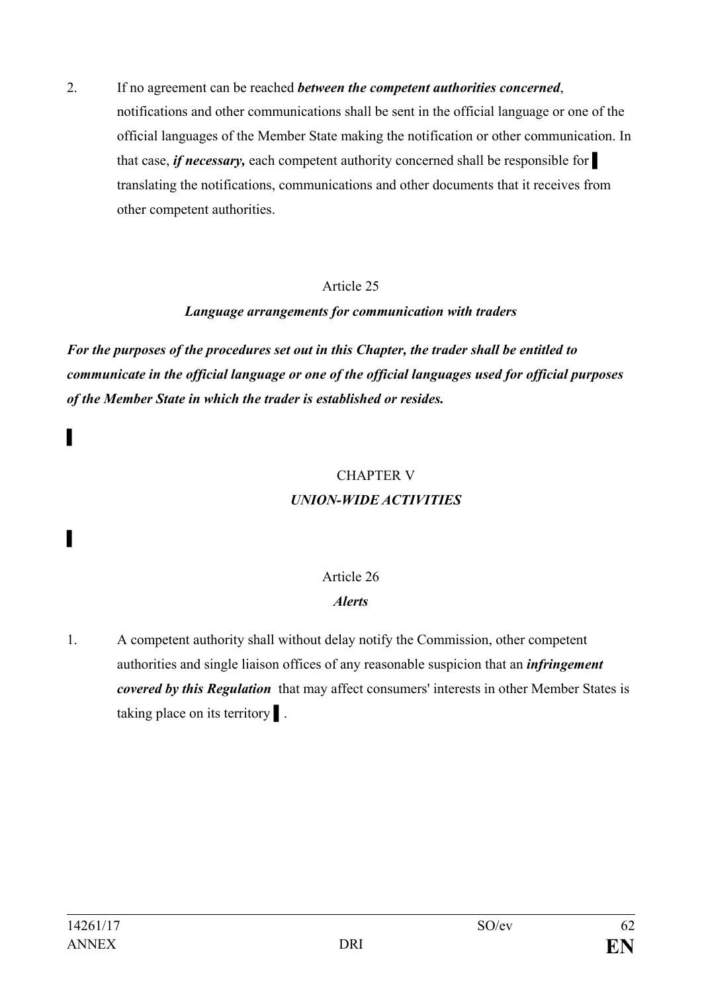2. If no agreement can be reached *between the competent authorities concerned*, notifications and other communications shall be sent in the official language or one of the official languages of the Member State making the notification or other communication. In that case, *if necessary*, each competent authority concerned shall be responsible for translating the notifications, communications and other documents that it receives from other competent authorities.

#### Article 25

#### *Language arrangements for communication with traders*

*For the purposes of the procedures set out in this Chapter, the trader shall be entitled to communicate in the official language or one of the official languages used for official purposes of the Member State in which the trader is established or resides.*

#### CHAPTER V *UNION-WIDE ACTIVITIES*

## Article 26

## *Alerts*

1. A competent authority shall without delay notify the Commission, other competent authorities and single liaison offices of any reasonable suspicion that an *infringement covered by this Regulation* that may affect consumers' interests in other Member States is taking place on its territory **i**.

▌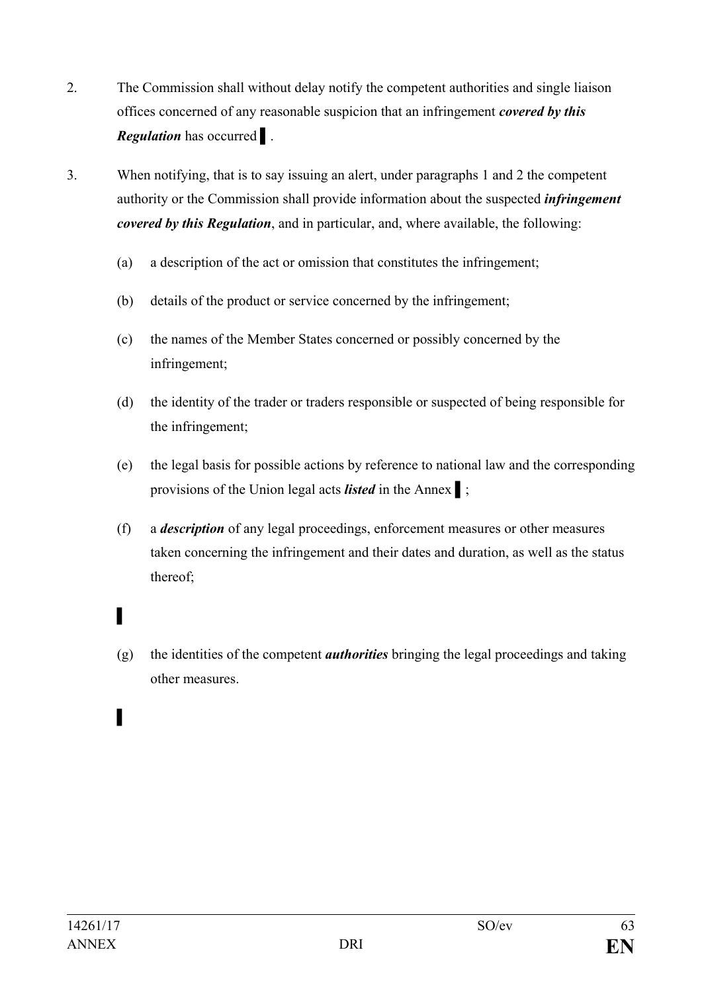- 2. The Commission shall without delay notify the competent authorities and single liaison offices concerned of any reasonable suspicion that an infringement *covered by this Regulation* has occurred ▌.
- 3. When notifying, that is to say issuing an alert, under paragraphs 1 and 2 the competent authority or the Commission shall provide information about the suspected *infringement covered by this Regulation*, and in particular, and, where available, the following:
	- (a) a description of the act or omission that constitutes the infringement;
	- (b) details of the product or service concerned by the infringement;
	- (c) the names of the Member States concerned or possibly concerned by the infringement;
	- (d) the identity of the trader or traders responsible or suspected of being responsible for the infringement;
	- (e) the legal basis for possible actions by reference to national law and the corresponding provisions of the Union legal acts *listed* in the Annex ▌;
	- (f) a *description* of any legal proceedings, enforcement measures or other measures taken concerning the infringement and their dates and duration, as well as the status thereof;
	- (g) the identities of the competent *authorities* bringing the legal proceedings and taking other measures.

▌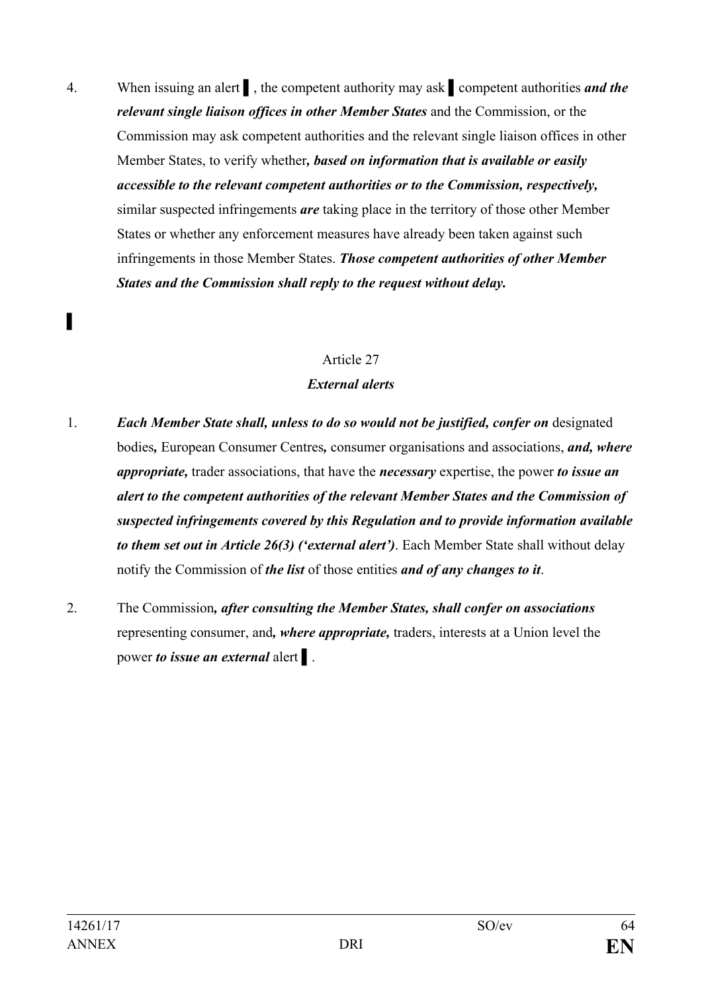4. When issuing an alert ▌, the competent authority may ask ▌competent authorities *and the relevant single liaison offices in other Member States* and the Commission, or the Commission may ask competent authorities and the relevant single liaison offices in other Member States, to verify whether*, based on information that is available or easily accessible to the relevant competent authorities or to the Commission, respectively,* similar suspected infringements *are* taking place in the territory of those other Member States or whether any enforcement measures have already been taken against such infringements in those Member States. *Those competent authorities of other Member States and the Commission shall reply to the request without delay.*

#### Article 27

#### *External alerts*

- 1. *Each Member State shall, unless to do so would not be justified, confer on* designated bodies*,* European Consumer Centres*,* consumer organisations and associations, *and, where appropriate,* trader associations, that have the *necessary* expertise, the power *to issue an alert to the competent authorities of the relevant Member States and the Commission of suspected infringements covered by this Regulation and to provide information available to them set out in Article 26(3) ('external alert')*. Each Member State shall without delay notify the Commission of *the list* of those entities *and of any changes to it*.
- 2. The Commission*, after consulting the Member States, shall confer on associations* representing consumer, and*, where appropriate,* traders, interests at a Union level the power *to issue an external* alert ▌.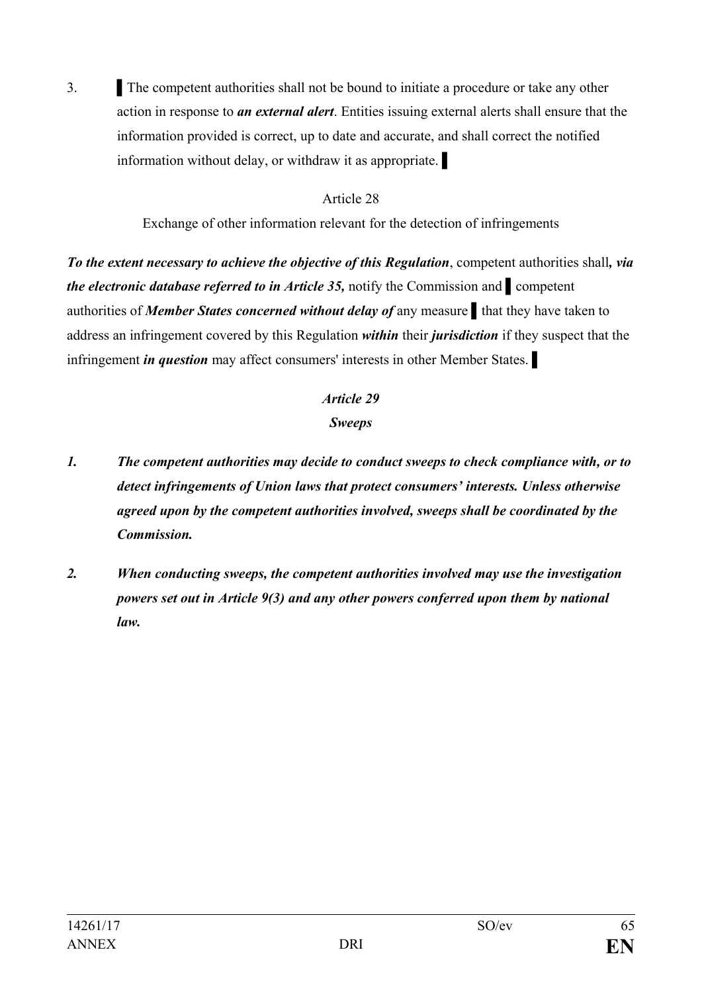3. The competent authorities shall not be bound to initiate a procedure or take any other action in response to *an external alert*. Entities issuing external alerts shall ensure that the information provided is correct, up to date and accurate, and shall correct the notified information without delay, or withdraw it as appropriate.

#### Article 28

Exchange of other information relevant for the detection of infringements

*To the extent necessary to achieve the objective of this Regulation*, competent authorities shall*, via the electronic database referred to in Article 35, notify the Commission and* ■ competent authorities of *Member States concerned without delay of* any measure ▌that they have taken to address an infringement covered by this Regulation *within* their *jurisdiction* if they suspect that the infringement *in question* may affect consumers' interests in other Member States. ▌

## *Article 29*

#### *Sweeps*

- *1. The competent authorities may decide to conduct sweeps to check compliance with, or to detect infringements of Union laws that protect consumers' interests. Unless otherwise agreed upon by the competent authorities involved, sweeps shall be coordinated by the Commission.*
- *2. When conducting sweeps, the competent authorities involved may use the investigation powers set out in Article 9(3) and any other powers conferred upon them by national law.*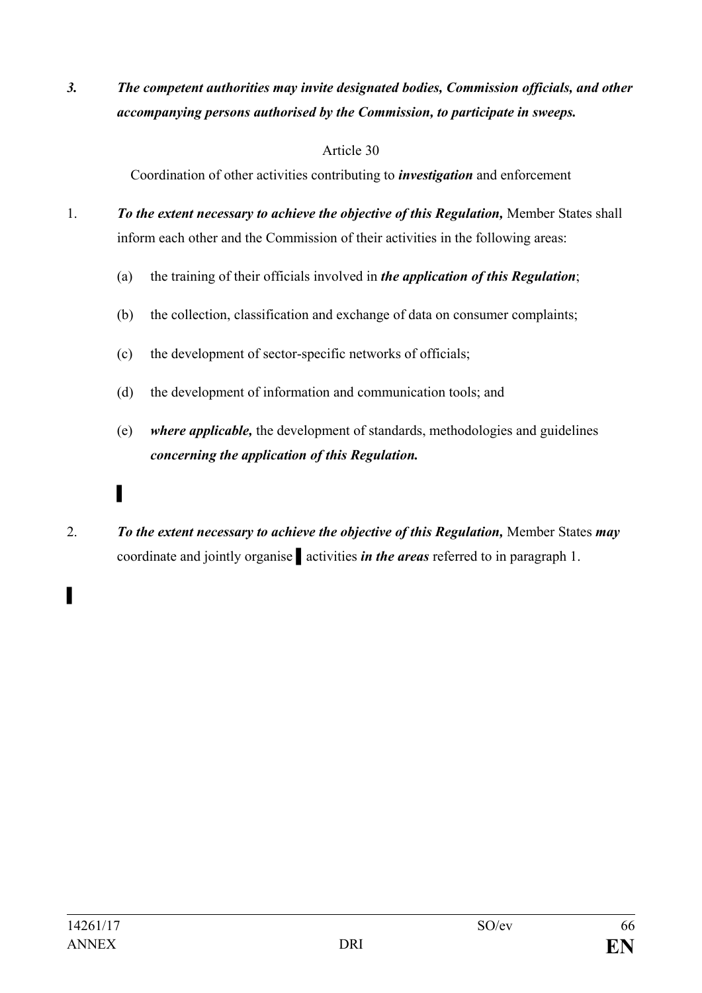*3. The competent authorities may invite designated bodies, Commission officials, and other accompanying persons authorised by the Commission, to participate in sweeps.*

#### Article 30

Coordination of other activities contributing to *investigation* and enforcement

- 1. *To the extent necessary to achieve the objective of this Regulation,* Member States shall inform each other and the Commission of their activities in the following areas:
	- (a) the training of their officials involved in *the application of this Regulation*;
	- (b) the collection, classification and exchange of data on consumer complaints;
	- (c) the development of sector-specific networks of officials;
	- (d) the development of information and communication tools; and
	- (e) *where applicable,* the development of standards, methodologies and guidelines *concerning the application of this Regulation.*
- 2. *To the extent necessary to achieve the objective of this Regulation,* Member States *may* coordinate and jointly organise ▌activities *in the areas* referred to in paragraph 1.

▌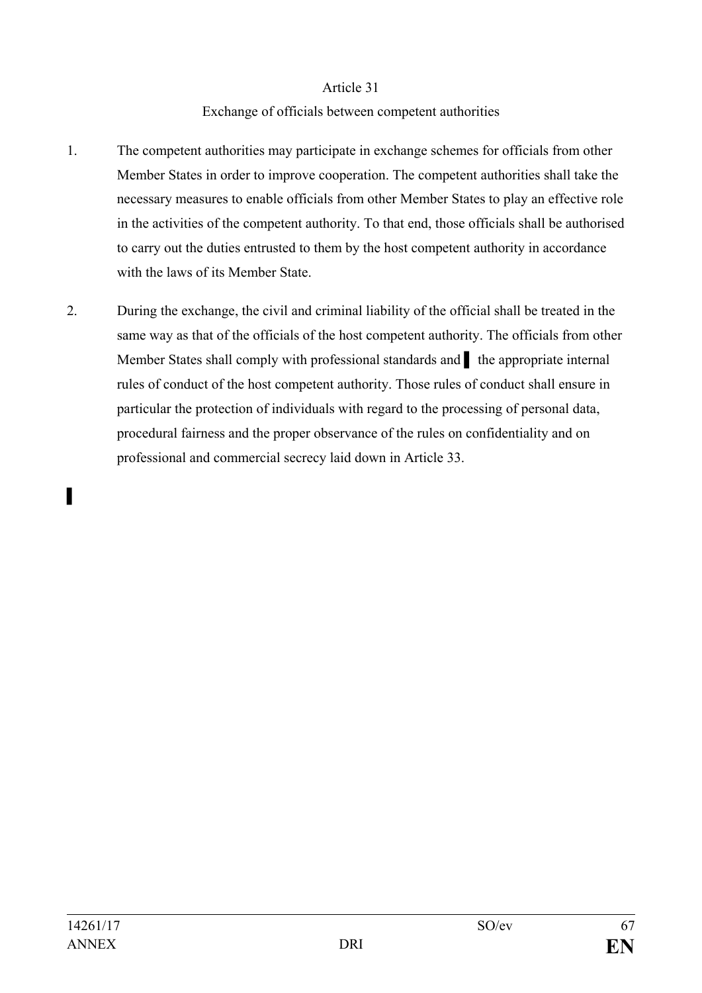#### Exchange of officials between competent authorities

- 1. The competent authorities may participate in exchange schemes for officials from other Member States in order to improve cooperation. The competent authorities shall take the necessary measures to enable officials from other Member States to play an effective role in the activities of the competent authority. To that end, those officials shall be authorised to carry out the duties entrusted to them by the host competent authority in accordance with the laws of its Member State.
- 2. During the exchange, the civil and criminal liability of the official shall be treated in the same way as that of the officials of the host competent authority. The officials from other Member States shall comply with professional standards and **Ⅰ** the appropriate internal rules of conduct of the host competent authority. Those rules of conduct shall ensure in particular the protection of individuals with regard to the processing of personal data, procedural fairness and the proper observance of the rules on confidentiality and on professional and commercial secrecy laid down in Article 33.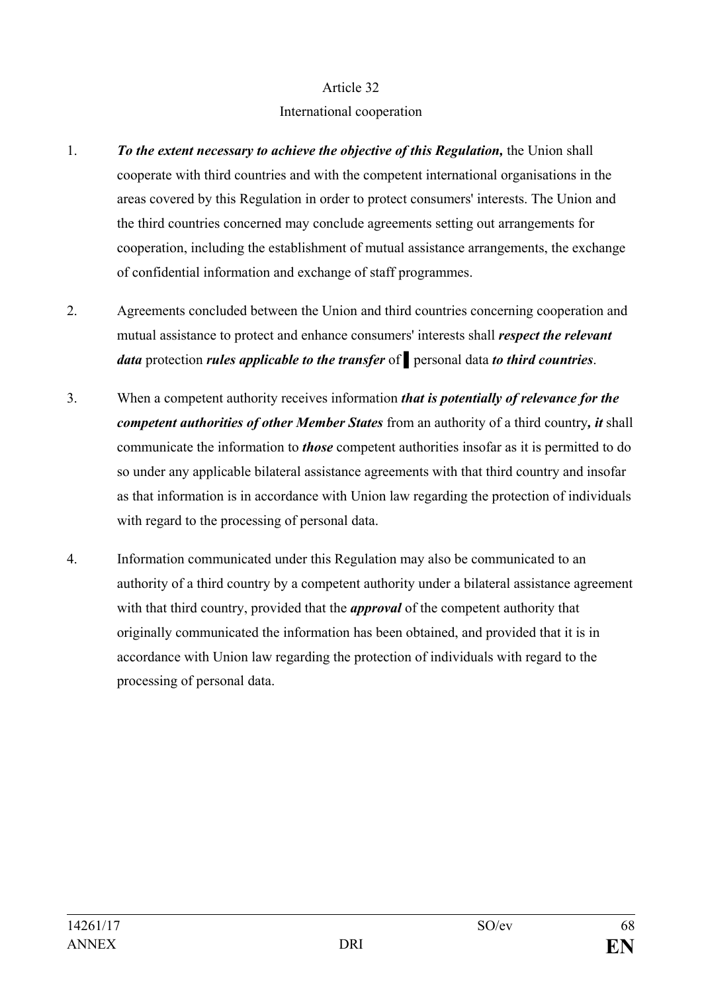#### International cooperation

- 1. *To the extent necessary to achieve the objective of this Regulation,* the Union shall cooperate with third countries and with the competent international organisations in the areas covered by this Regulation in order to protect consumers' interests. The Union and the third countries concerned may conclude agreements setting out arrangements for cooperation, including the establishment of mutual assistance arrangements, the exchange of confidential information and exchange of staff programmes.
- 2. Agreements concluded between the Union and third countries concerning cooperation and mutual assistance to protect and enhance consumers' interests shall *respect the relevant data* protection *rules applicable to the transfer* of ▌personal data *to third countries*.
- 3. When a competent authority receives information *that is potentially of relevance for the competent authorities of other Member States* from an authority of a third country*, it* shall communicate the information to *those* competent authorities insofar as it is permitted to do so under any applicable bilateral assistance agreements with that third country and insofar as that information is in accordance with Union law regarding the protection of individuals with regard to the processing of personal data.
- 4. Information communicated under this Regulation may also be communicated to an authority of a third country by a competent authority under a bilateral assistance agreement with that third country, provided that the *approval* of the competent authority that originally communicated the information has been obtained, and provided that it is in accordance with Union law regarding the protection of individuals with regard to the processing of personal data.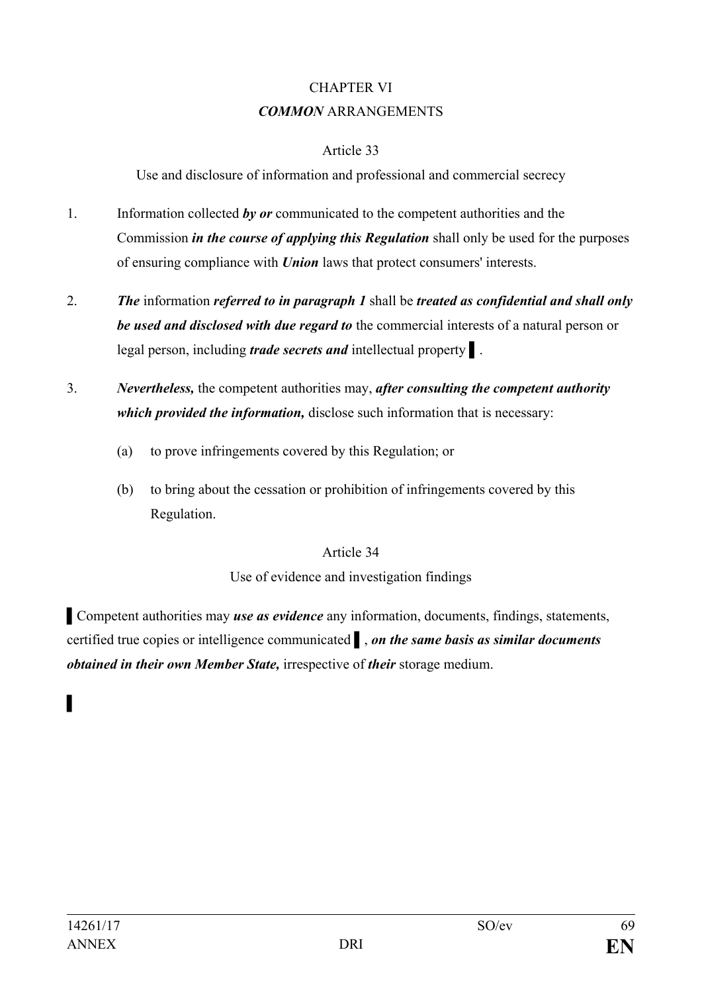## CHAPTER VI *COMMON* ARRANGEMENTS

#### Article 33

Use and disclosure of information and professional and commercial secrecy

- 1. Information collected *by or* communicated to the competent authorities and the Commission *in the course of applying this Regulation* shall only be used for the purposes of ensuring compliance with *Union* laws that protect consumers' interests.
- 2. *The* information *referred to in paragraph 1* shall be *treated as confidential and shall only be used and disclosed with due regard to* the commercial interests of a natural person or legal person, including *trade secrets and* intellectual property ▌.
- 3. *Nevertheless,* the competent authorities may, *after consulting the competent authority which provided the information,* disclose such information that is necessary:
	- (a) to prove infringements covered by this Regulation; or
	- (b) to bring about the cessation or prohibition of infringements covered by this Regulation.

## Article 34

## Use of evidence and investigation findings

▌Competent authorities may *use as evidence* any information, documents, findings, statements, certified true copies or intelligence communicated ▌, *on the same basis as similar documents obtained in their own Member State,* irrespective of *their* storage medium.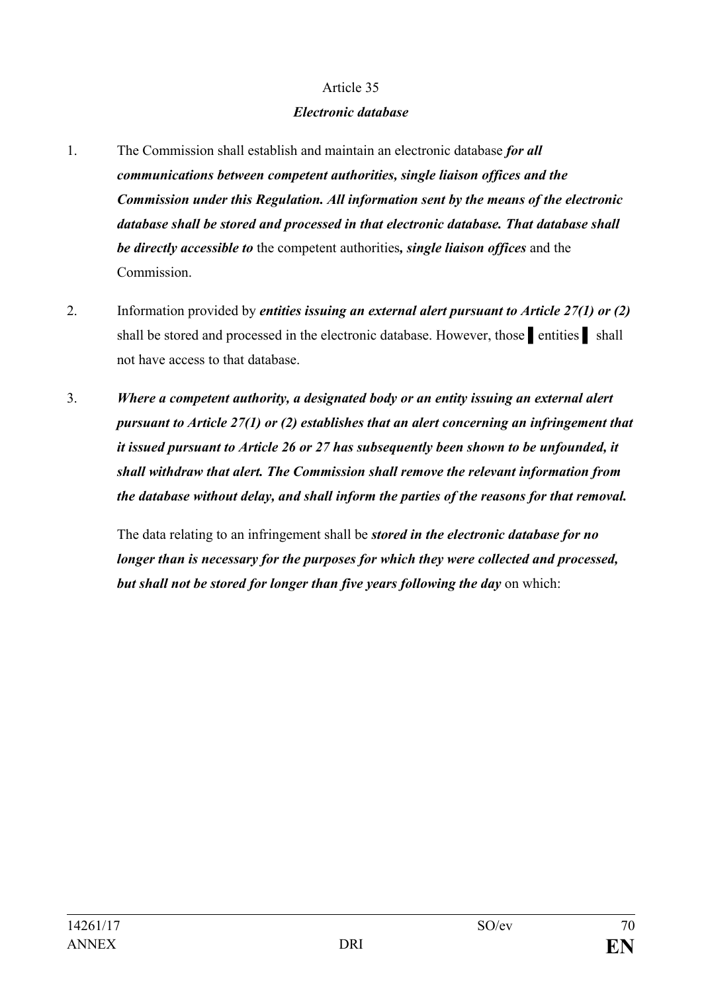#### *Electronic database*

- 1. The Commission shall establish and maintain an electronic database *for all communications between competent authorities, single liaison offices and the Commission under this Regulation. All information sent by the means of the electronic database shall be stored and processed in that electronic database. That database shall be directly accessible to* the competent authorities*, single liaison offices* and the Commission.
- 2. Information provided by *entities issuing an external alert pursuant to Article 27(1) or (2)* shall be stored and processed in the electronic database. However, those netrities shall not have access to that database.
- 3. *Where a competent authority, a designated body or an entity issuing an external alert pursuant to Article 27(1) or (2) establishes that an alert concerning an infringement that it issued pursuant to Article 26 or 27 has subsequently been shown to be unfounded, it shall withdraw that alert. The Commission shall remove the relevant information from the database without delay, and shall inform the parties of the reasons for that removal.*

The data relating to an infringement shall be *stored in the electronic database for no longer than is necessary for the purposes for which they were collected and processed, but shall not be stored for longer than five years following the day* on which: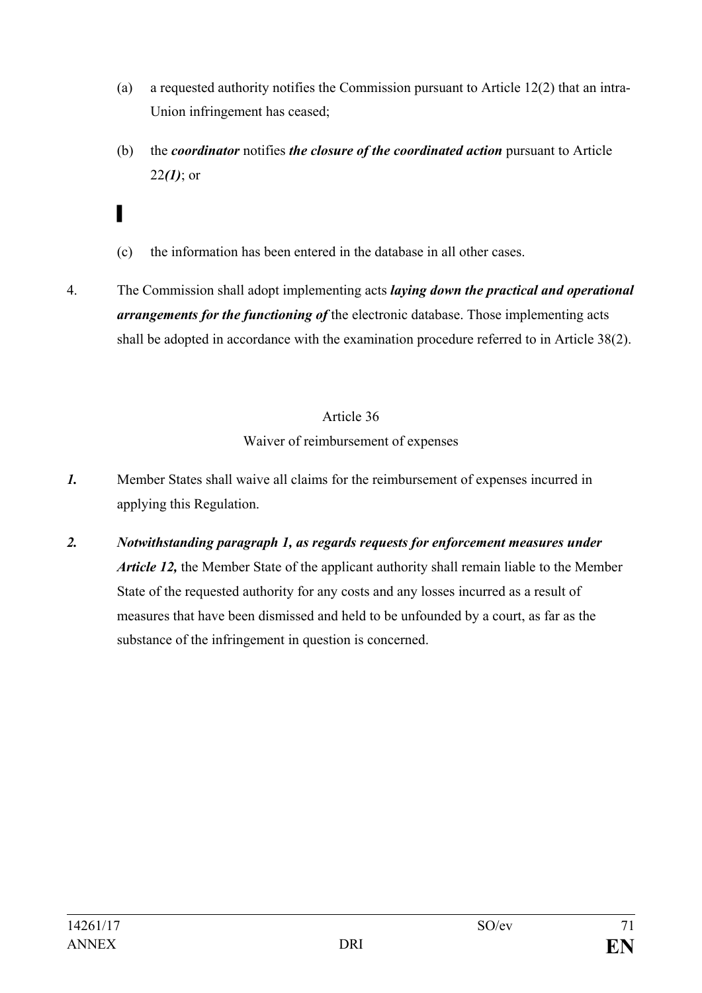- (a) a requested authority notifies the Commission pursuant to Article 12(2) that an intra-Union infringement has ceased;
- (b) the *coordinator* notifies *the closure of the coordinated action* pursuant to Article 22*(1)*; or
- (c) the information has been entered in the database in all other cases.
- 4. The Commission shall adopt implementing acts *laying down the practical and operational arrangements for the functioning of* the electronic database. Those implementing acts shall be adopted in accordance with the examination procedure referred to in Article 38(2).

## Waiver of reimbursement of expenses

- *1.* Member States shall waive all claims for the reimbursement of expenses incurred in applying this Regulation.
- *2. Notwithstanding paragraph 1, as regards requests for enforcement measures under Article 12,* the Member State of the applicant authority shall remain liable to the Member State of the requested authority for any costs and any losses incurred as a result of measures that have been dismissed and held to be unfounded by a court, as far as the substance of the infringement in question is concerned.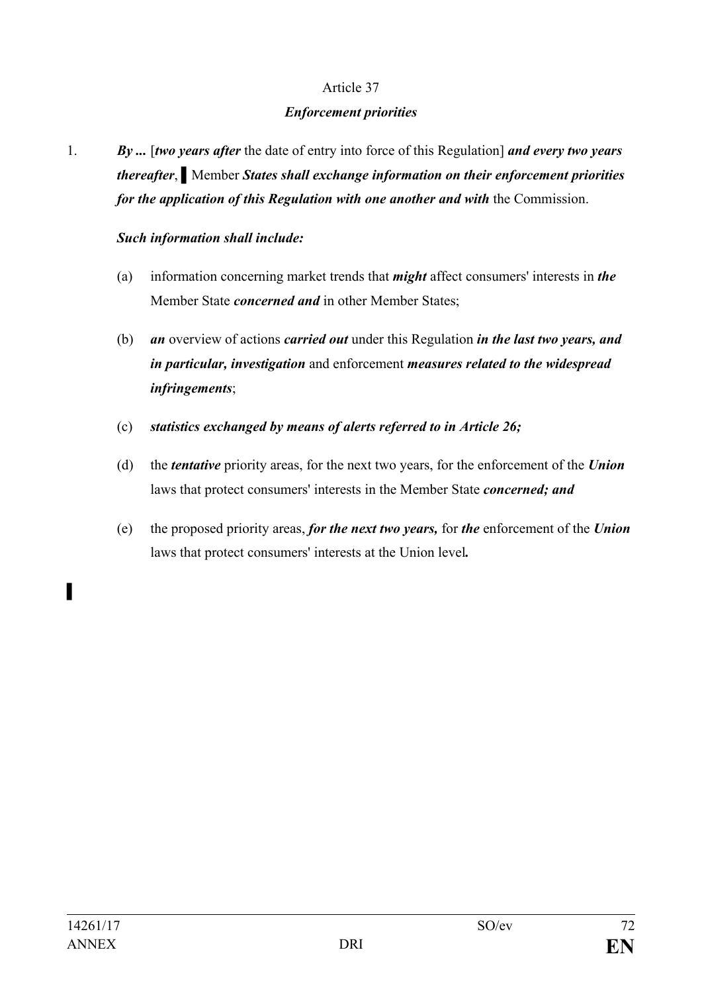#### *Enforcement priorities*

1. *By ...* [*two years after* the date of entry into force of this Regulation] *and every two years thereafter*, ▌Member *States shall exchange information on their enforcement priorities for the application of this Regulation with one another and with the Commission.* 

#### *Such information shall include:*

- (a) information concerning market trends that *might* affect consumers' interests in *the* Member State *concerned and* in other Member States;
- (b) *an* overview of actions *carried out* under this Regulation *in the last two years, and in particular, investigation* and enforcement *measures related to the widespread infringements*;
- (c) *statistics exchanged by means of alerts referred to in Article 26;*
- (d) the *tentative* priority areas, for the next two years, for the enforcement of the *Union*  laws that protect consumers' interests in the Member State *concerned; and*
- (e) the proposed priority areas, *for the next two years,* for *the* enforcement of the *Union* laws that protect consumers' interests at the Union level*.*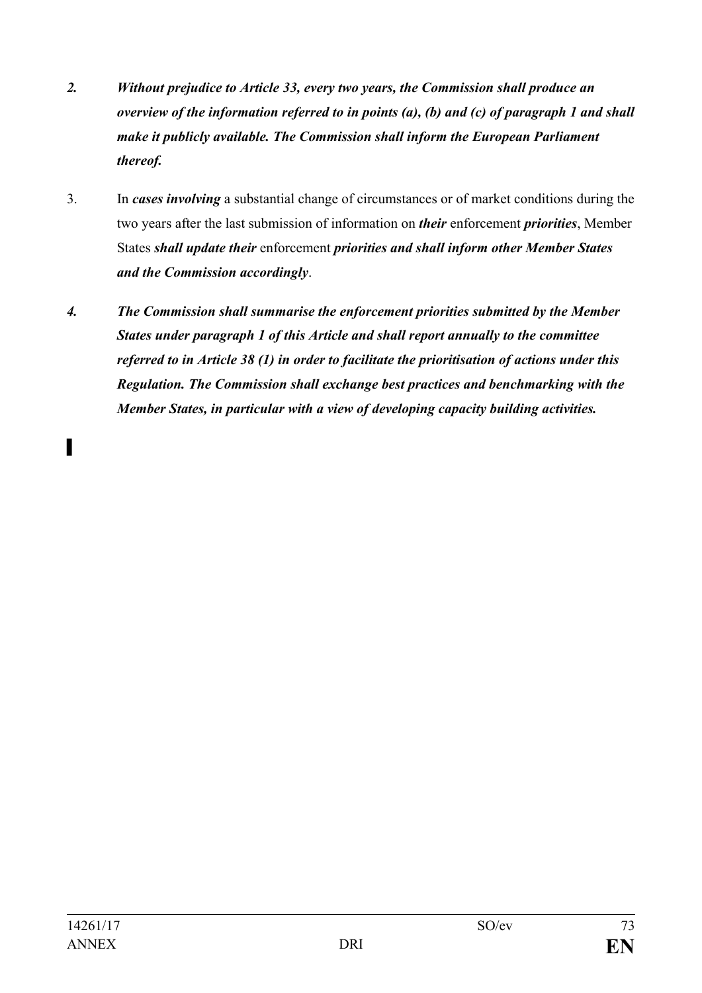- *2. Without prejudice to Article 33, every two years, the Commission shall produce an overview of the information referred to in points (a), (b) and (c) of paragraph 1 and shall make it publicly available. The Commission shall inform the European Parliament thereof.*
- 3. In *cases involving* a substantial change of circumstances or of market conditions during the two years after the last submission of information on *their* enforcement *priorities*, Member States *shall update their* enforcement *priorities and shall inform other Member States and the Commission accordingly*.
- *4. The Commission shall summarise the enforcement priorities submitted by the Member States under paragraph 1 of this Article and shall report annually to the committee referred to in Article 38 (1) in order to facilitate the prioritisation of actions under this Regulation. The Commission shall exchange best practices and benchmarking with the Member States, in particular with a view of developing capacity building activities.*

▌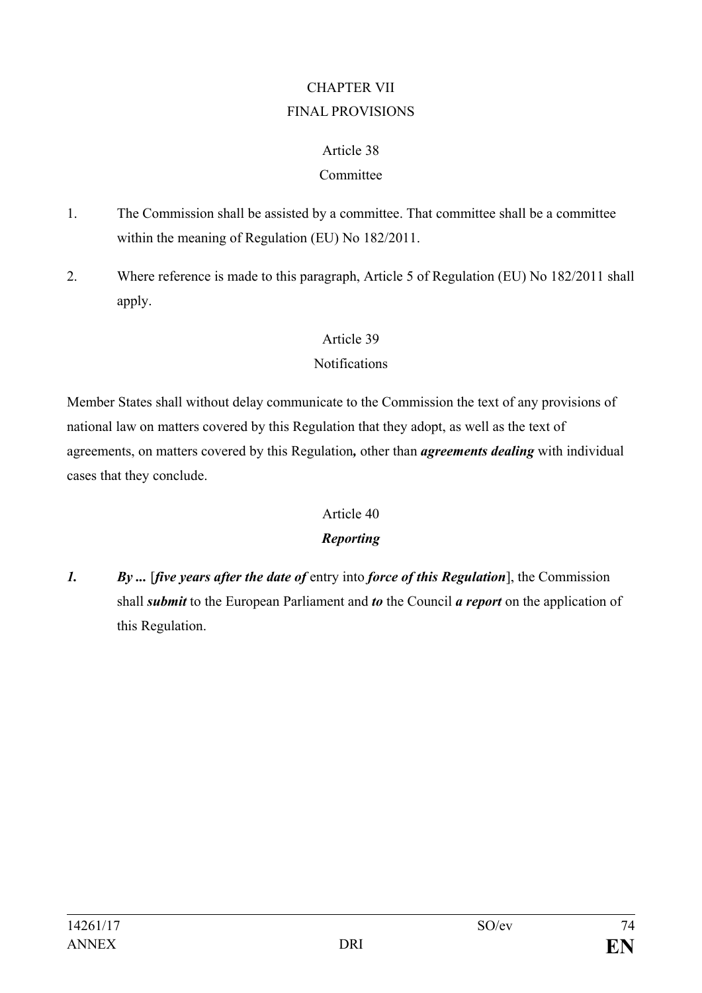# CHAPTER VII FINAL PROVISIONS

### Article 38

## Committee

- 1. The Commission shall be assisted by a committee. That committee shall be a committee within the meaning of Regulation (EU) No 182/2011.
- 2. Where reference is made to this paragraph, Article 5 of Regulation (EU) No 182/2011 shall apply.

## Article 39

## Notifications

Member States shall without delay communicate to the Commission the text of any provisions of national law on matters covered by this Regulation that they adopt, as well as the text of agreements, on matters covered by this Regulation*,* other than *agreements dealing* with individual cases that they conclude.

# Article 40

# *Reporting*

*1. By ...* [*five years after the date of* entry into *force of this Regulation*], the Commission shall *submit* to the European Parliament and *to* the Council *a report* on the application of this Regulation.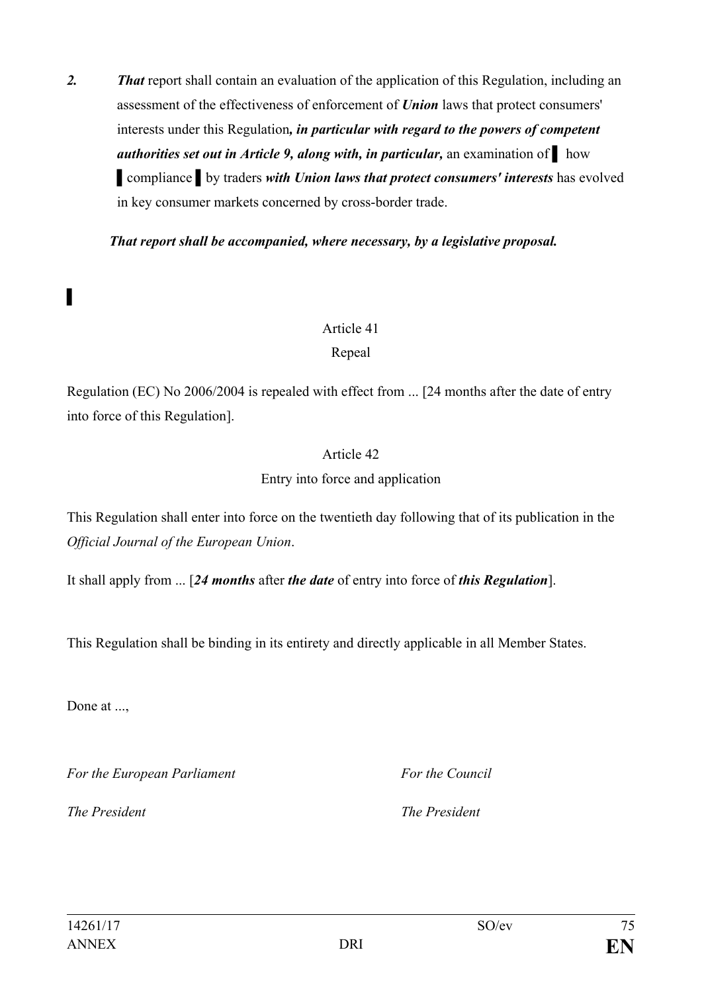*2. That* report shall contain an evaluation of the application of this Regulation, including an assessment of the effectiveness of enforcement of *Union* laws that protect consumers' interests under this Regulation*, in particular with regard to the powers of competent authorities set out in Article 9, along with, in particular,* an examination of ▌ how ▌compliance ▌by traders *with Union laws that protect consumers' interests* has evolved in key consumer markets concerned by cross-border trade.

*That report shall be accompanied, where necessary, by a legislative proposal.*

#### Article 41

### Repeal

Regulation (EC) No 2006/2004 is repealed with effect from ... [24 months after the date of entry into force of this Regulation].

### Article 42

### Entry into force and application

This Regulation shall enter into force on the twentieth day following that of its publication in the *Official Journal of the European Union*.

It shall apply from ... [*24 months* after *the date* of entry into force of *this Regulation*].

This Regulation shall be binding in its entirety and directly applicable in all Member States.

Done at ...,

▌

*For the European Parliament For the Council*

*The President The President*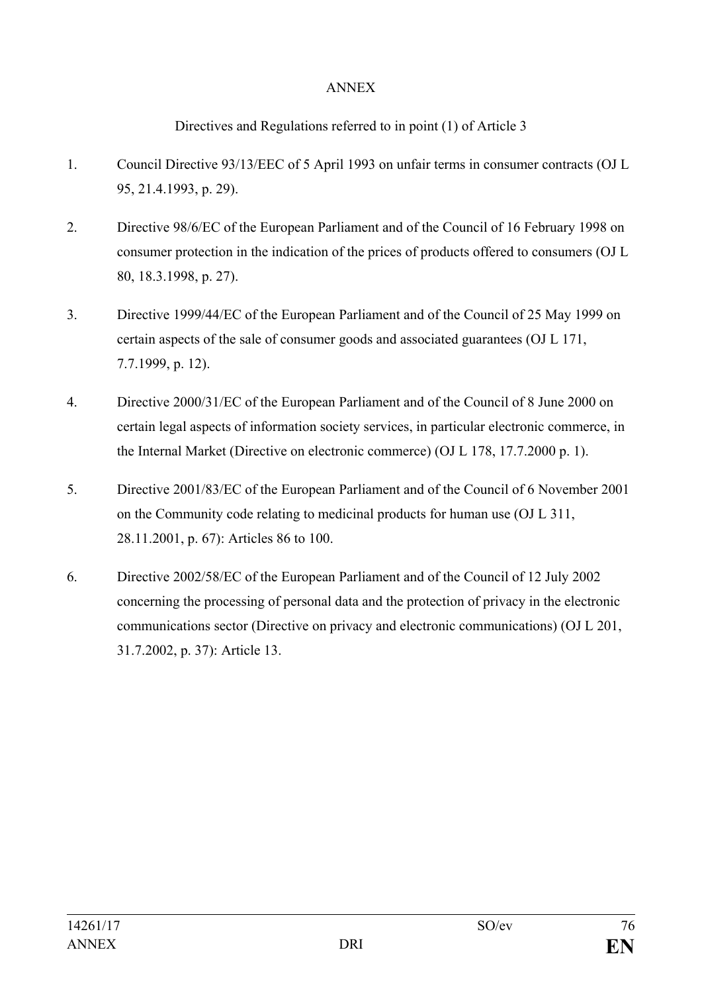### ANNEX

Directives and Regulations referred to in point (1) of Article 3

- 1. Council Directive 93/13/EEC of 5 April 1993 on unfair terms in consumer contracts (OJ L 95, 21.4.1993, p. 29).
- 2. Directive 98/6/EC of the European Parliament and of the Council of 16 February 1998 on consumer protection in the indication of the prices of products offered to consumers (OJ L 80, 18.3.1998, p. 27).
- 3. Directive 1999/44/EC of the European Parliament and of the Council of 25 May 1999 on certain aspects of the sale of consumer goods and associated guarantees (OJ L 171, 7.7.1999, p. 12).
- 4. Directive 2000/31/EC of the European Parliament and of the Council of 8 June 2000 on certain legal aspects of information society services, in particular electronic commerce, in the Internal Market (Directive on electronic commerce) (OJ L 178, 17.7.2000 p. 1).
- 5. Directive 2001/83/EC of the European Parliament and of the Council of 6 November 2001 on the Community code relating to medicinal products for human use (OJ L 311, 28.11.2001, p. 67): Articles 86 to 100.
- 6. Directive 2002/58/EC of the European Parliament and of the Council of 12 July 2002 concerning the processing of personal data and the protection of privacy in the electronic communications sector (Directive on privacy and electronic communications) (OJ L 201, 31.7.2002, p. 37): Article 13.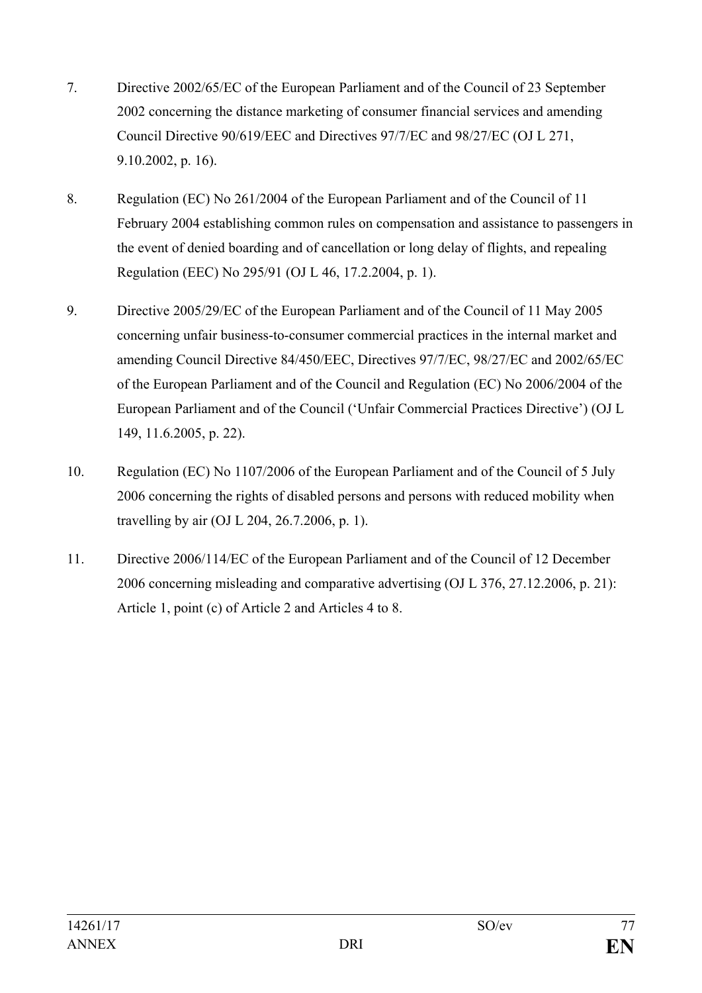- 7. Directive 2002/65/EC of the European Parliament and of the Council of 23 September 2002 concerning the distance marketing of consumer financial services and amending Council Directive 90/619/EEC and Directives 97/7/EC and 98/27/EC (OJ L 271, 9.10.2002, p. 16).
- 8. Regulation (EC) No 261/2004 of the European Parliament and of the Council of 11 February 2004 establishing common rules on compensation and assistance to passengers in the event of denied boarding and of cancellation or long delay of flights, and repealing Regulation (EEC) No 295/91 (OJ L 46, 17.2.2004, p. 1).
- 9. Directive 2005/29/EC of the European Parliament and of the Council of 11 May 2005 concerning unfair business-to-consumer commercial practices in the internal market and amending Council Directive 84/450/EEC, Directives 97/7/EC, 98/27/EC and 2002/65/EC of the European Parliament and of the Council and Regulation (EC) No 2006/2004 of the European Parliament and of the Council ('Unfair Commercial Practices Directive') (OJ L 149, 11.6.2005, p. 22).
- 10. Regulation (EC) No 1107/2006 of the European Parliament and of the Council of 5 July 2006 concerning the rights of disabled persons and persons with reduced mobility when travelling by air (OJ L 204, 26.7.2006, p. 1).
- 11. Directive 2006/114/EC of the European Parliament and of the Council of 12 December 2006 concerning misleading and comparative advertising (OJ L 376, 27.12.2006, p. 21): Article 1, point (c) of Article 2 and Articles 4 to 8.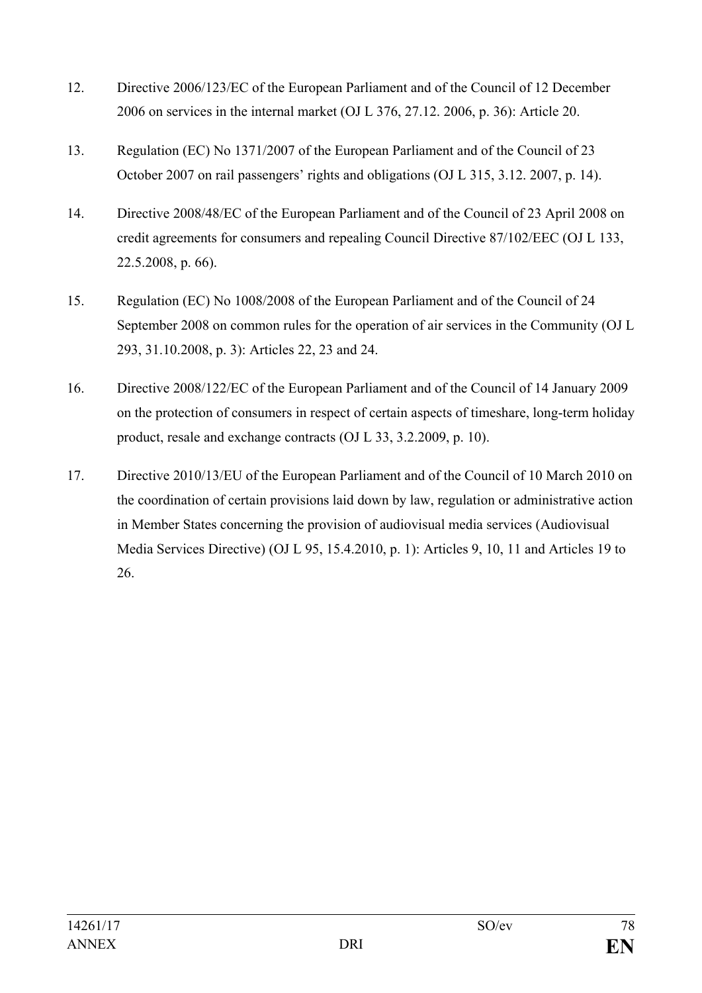- 12. Directive 2006/123/EC of the European Parliament and of the Council of 12 December 2006 on services in the internal market (OJ L 376, 27.12. 2006, p. 36): Article 20.
- 13. Regulation (EC) No 1371/2007 of the European Parliament and of the Council of 23 October 2007 on rail passengers' rights and obligations (OJ L 315, 3.12. 2007, p. 14).
- 14. Directive 2008/48/EC of the European Parliament and of the Council of 23 April 2008 on credit agreements for consumers and repealing Council Directive 87/102/EEC (OJ L 133, 22.5.2008, p. 66).
- 15. Regulation (EC) No 1008/2008 of the European Parliament and of the Council of 24 September 2008 on common rules for the operation of air services in the Community (OJ L 293, 31.10.2008, p. 3): Articles 22, 23 and 24.
- 16. Directive 2008/122/EC of the European Parliament and of the Council of 14 January 2009 on the protection of consumers in respect of certain aspects of timeshare, long-term holiday product, resale and exchange contracts (OJ L 33, 3.2.2009, p. 10).
- 17. Directive 2010/13/EU of the European Parliament and of the Council of 10 March 2010 on the coordination of certain provisions laid down by law, regulation or administrative action in Member States concerning the provision of audiovisual media services (Audiovisual Media Services Directive) (OJ L 95, 15.4.2010, p. 1): Articles 9, 10, 11 and Articles 19 to 26.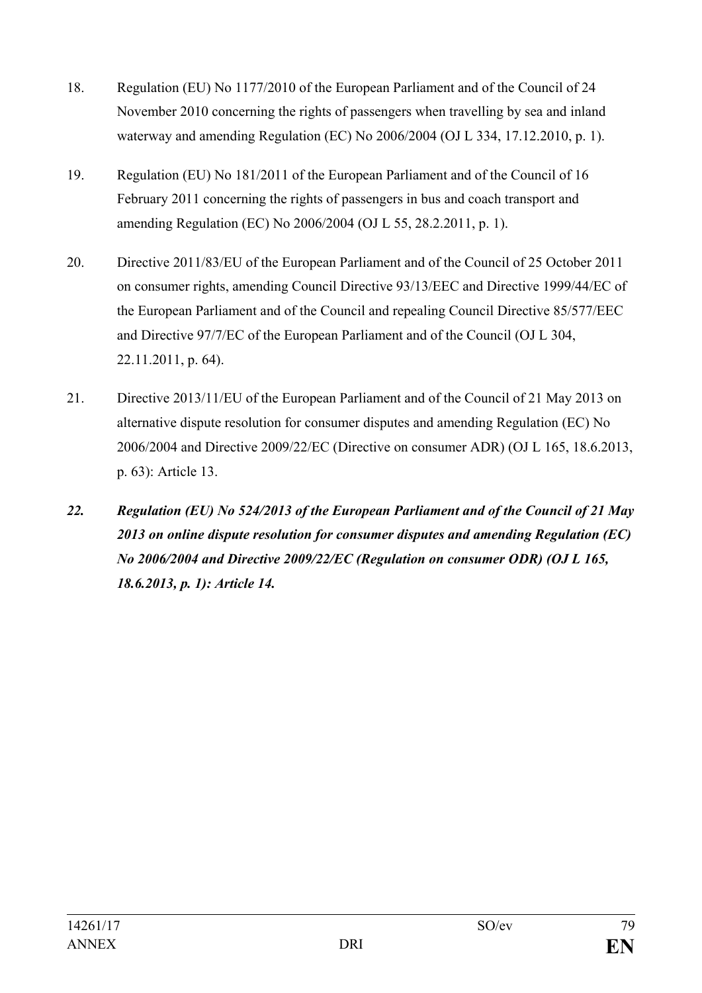- 18. Regulation (EU) No 1177/2010 of the European Parliament and of the Council of 24 November 2010 concerning the rights of passengers when travelling by sea and inland waterway and amending Regulation (EC) No 2006/2004 (OJ L 334, 17.12.2010, p. 1).
- 19. Regulation (EU) No 181/2011 of the European Parliament and of the Council of 16 February 2011 concerning the rights of passengers in bus and coach transport and amending Regulation (EC) No 2006/2004 (OJ L 55, 28.2.2011, p. 1).
- 20. Directive 2011/83/EU of the European Parliament and of the Council of 25 October 2011 on consumer rights, amending Council Directive 93/13/EEC and Directive 1999/44/EC of the European Parliament and of the Council and repealing Council Directive 85/577/EEC and Directive 97/7/EC of the European Parliament and of the Council (OJ L 304, 22.11.2011, p. 64).
- 21. Directive 2013/11/EU of the European Parliament and of the Council of 21 May 2013 on alternative dispute resolution for consumer disputes and amending Regulation (EC) No 2006/2004 and Directive 2009/22/EC (Directive on consumer ADR) (OJ L 165, 18.6.2013, p. 63): Article 13.
- *22. Regulation (EU) No 524/2013 of the European Parliament and of the Council of 21 May 2013 on online dispute resolution for consumer disputes and amending Regulation (EC) No 2006/2004 and Directive 2009/22/EC (Regulation on consumer ODR) (OJ L 165, 18.6.2013, p. 1): Article 14.*